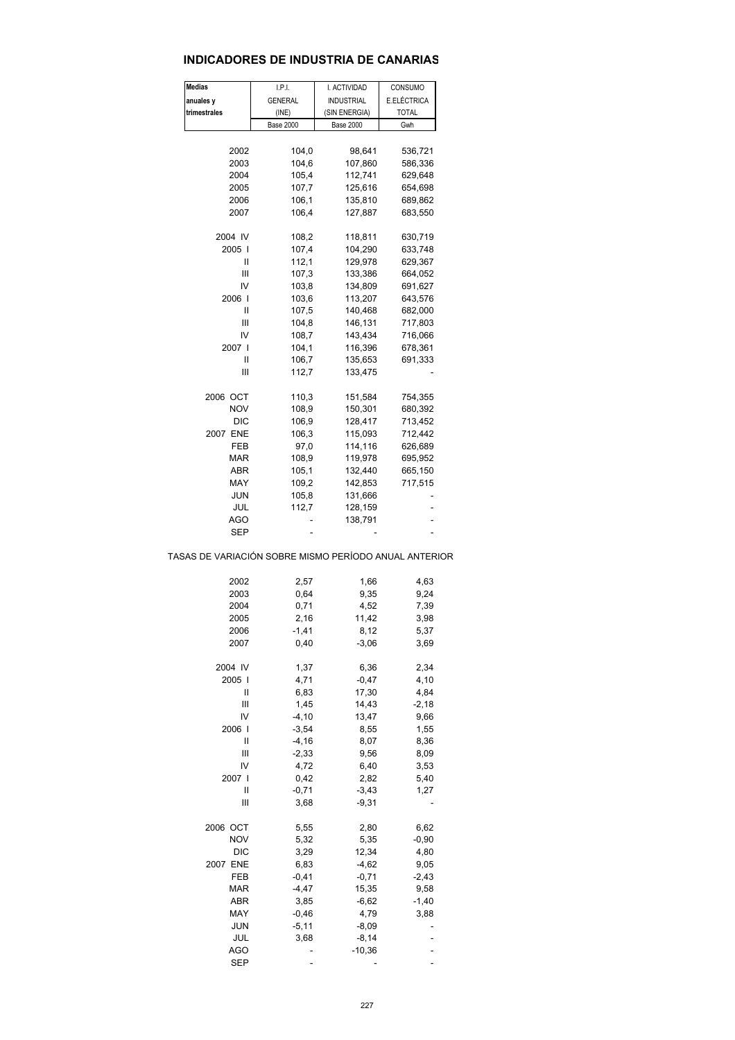#### **INDICADORES DE INDUSTRIA DE CANARIAS**

| <b>Medias</b>                                         | I.P.I.           | I. ACTIVIDAD       | CONSUMO            |  |
|-------------------------------------------------------|------------------|--------------------|--------------------|--|
| anuales y                                             | <b>GENERAL</b>   | <b>INDUSTRIAL</b>  | E.ELÉCTRICA        |  |
| trimestrales                                          | (INE)            | (SIN ENERGIA)      | <b>TOTAL</b>       |  |
|                                                       | <b>Base 2000</b> | <b>Base 2000</b>   | Gwh                |  |
|                                                       |                  |                    |                    |  |
| 2002<br>2003                                          | 104,0            | 98,641             | 536,721            |  |
| 2004                                                  | 104,6<br>105,4   | 107,860<br>112,741 | 586,336<br>629,648 |  |
| 2005                                                  | 107,7            | 125,616            | 654,698            |  |
| 2006                                                  | 106,1            | 135,810            | 689,862            |  |
| 2007                                                  | 106,4            | 127,887            | 683,550            |  |
|                                                       |                  |                    |                    |  |
| 2004 IV                                               | 108,2            | 118,811            | 630,719            |  |
| 2005 l                                                | 107,4            | 104,290            | 633,748            |  |
| Ш                                                     | 112,1            | 129,978            | 629,367            |  |
| Ш                                                     | 107,3            | 133,386            | 664,052            |  |
| IV                                                    | 103,8            | 134,809            | 691,627            |  |
| 2006 l                                                | 103,6            | 113,207            | 643,576            |  |
| Ш                                                     | 107,5            | 140,468            | 682,000            |  |
| Ш                                                     | 104,8            | 146,131            | 717,803            |  |
| IV                                                    | 108,7            | 143,434            | 716,066            |  |
| 2007 I                                                | 104,1            | 116,396            | 678,361            |  |
| Ш                                                     | 106,7            | 135,653            | 691,333            |  |
| Ш                                                     | 112,7            | 133,475            |                    |  |
| 2006 OCT                                              | 110,3            | 151,584            | 754,355            |  |
| <b>NOV</b>                                            | 108,9            | 150,301            | 680,392            |  |
| DIC                                                   | 106,9            | 128,417            | 713,452            |  |
| 2007 ENE                                              | 106,3            | 115,093            | 712,442            |  |
| FEB                                                   | 97,0             | 114,116            | 626,689            |  |
| MAR                                                   | 108,9            | 119,978            | 695,952            |  |
| ABR                                                   | 105,1            | 132,440            | 665,150            |  |
| MAY                                                   | 109,2            | 142,853            | 717,515            |  |
| JUN                                                   | 105,8            | 131,666            |                    |  |
| JUL                                                   | 112,7            | 128,159            |                    |  |
| AGO                                                   |                  | 138,791            | ÷,                 |  |
| SEP                                                   |                  |                    |                    |  |
| TASAS DE VARIACIÓN SOBRE MISMO PERÍODO ANUAL ANTERIOR |                  |                    |                    |  |
| 2002                                                  | 2,57             | 1,66               | 4,63               |  |
| 2003                                                  | 0,64             | 9,35               | 9,24               |  |
| 2004                                                  | 0,71             | 4,52               | 7,39               |  |
| 2005                                                  | 2,16             | 11,42              | 3,98               |  |
| 2006                                                  | $-1,41$          | 8,12               | 5,37               |  |
| 2007                                                  | 0,40             | $-3,06$            | 3,69               |  |
|                                                       |                  |                    |                    |  |
| 2004 IV<br>2005                                       | 1,37<br>4,71     | 6,36<br>$-0,47$    | 2,34<br>4,10       |  |
| Ш                                                     | 6,83             | 17,30              | 4,84               |  |
| Ш                                                     | 1,45             | 14,43              | $-2,18$            |  |
| IV                                                    | $-4, 10$         | 13,47              | 9,66               |  |
| 2006 l                                                | $-3,54$          | 8,55               | 1,55               |  |
| Ш                                                     | $-4, 16$         | 8,07               | 8,36               |  |
| Ш                                                     | $-2,33$          | 9,56               | 8,09               |  |
| IV                                                    | 4,72             | 6,40               | 3,53               |  |
| 2007 l                                                | 0,42             | 2,82               | 5,40               |  |
| Ш                                                     | $-0,71$          | $-3,43$            | 1,27               |  |
| Ш                                                     | 3,68             | $-9,31$            |                    |  |
|                                                       |                  |                    |                    |  |
| 2006 OCT                                              | 5,55             | 2,80               | 6,62               |  |
| <b>NOV</b>                                            | 5,32             | 5,35               | $-0,90$            |  |
| <b>DIC</b>                                            | 3,29             | 12,34              | 4,80               |  |
| 2007 ENE                                              | 6,83             | $-4,62$            | 9,05               |  |
| FEB                                                   | $-0,41$          | $-0,71$            | $-2,43$            |  |
| MAR                                                   | $-4,47$          | 15,35              | 9,58               |  |
| ABR                                                   | 3,85             | $-6,62$            | $-1,40$            |  |
| MAY                                                   | $-0,46$          | 4,79               | 3,88               |  |
| JUN                                                   | $-5,11$          | $-8,09$            |                    |  |
| JUL                                                   | 3,68             | $-8,14$            |                    |  |
| <b>AGO</b>                                            |                  | $-10,36$           |                    |  |
| SEP                                                   |                  |                    |                    |  |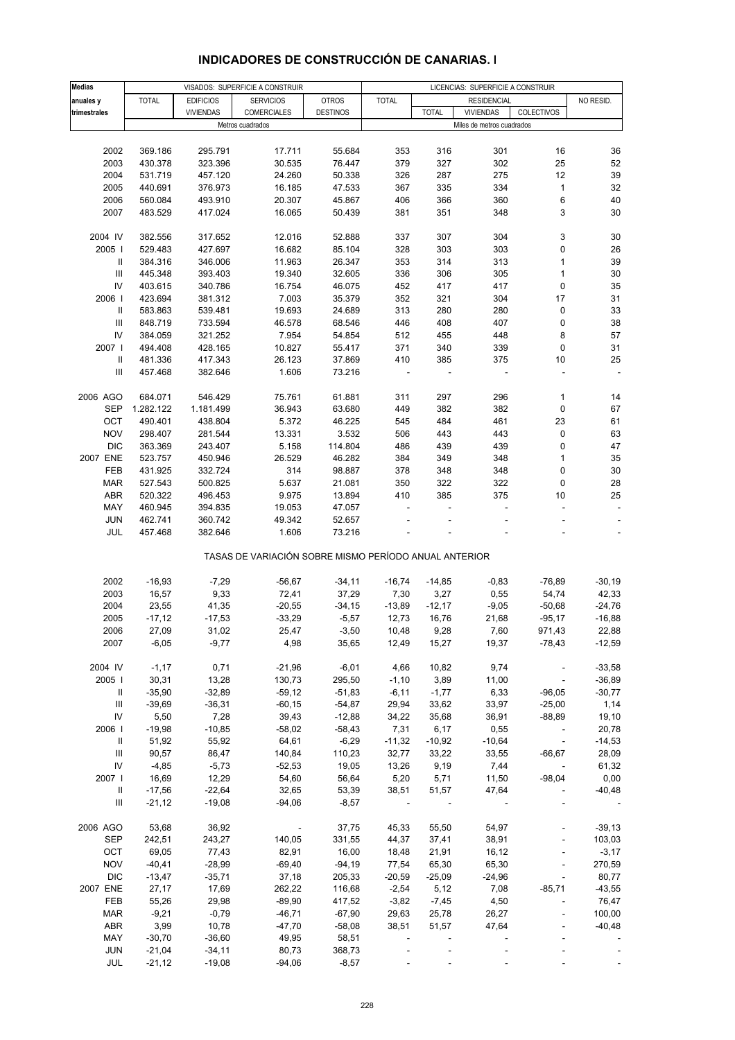| <b>Medias</b> |                   |                   | VISADOS: SUPERFICIE A CONSTRUIR                       |                 |               |               | LICENCIAS: SUPERFICIE A CONSTRUIR |                          |                  |
|---------------|-------------------|-------------------|-------------------------------------------------------|-----------------|---------------|---------------|-----------------------------------|--------------------------|------------------|
| anuales y     | <b>TOTAL</b>      | <b>EDIFICIOS</b>  | <b>SERVICIOS</b>                                      | <b>OTROS</b>    | <b>TOTAL</b>  |               | <b>RESIDENCIAL</b>                |                          | NO RESID.        |
| trimestrales  |                   | <b>VIVIENDAS</b>  | <b>COMERCIALES</b>                                    | <b>DESTINOS</b> |               | <b>TOTAL</b>  | <b>VIVIENDAS</b>                  | COLECTIVOS               |                  |
|               |                   |                   | Metros cuadrados                                      |                 |               |               | Miles de metros cuadrados         |                          |                  |
|               |                   |                   |                                                       |                 |               |               |                                   |                          |                  |
| 2002          | 369.186           | 295.791           | 17.711                                                | 55.684          | 353           | 316           | 301                               | 16                       | 36               |
| 2003          | 430.378           | 323.396           | 30.535                                                | 76.447          | 379           | 327           | 302                               | 25                       | 52               |
| 2004          | 531.719           | 457.120           | 24.260                                                | 50.338          | 326           | 287           | 275                               | 12                       | 39               |
| 2005          | 440.691           | 376.973           | 16.185                                                | 47.533          | 367           | 335           | 334                               | $\mathbf{1}$             | 32               |
| 2006          | 560.084           | 493.910           | 20.307                                                | 45.867          | 406           | 366           | 360                               | 6                        | 40               |
| 2007          |                   | 417.024           | 16.065                                                | 50.439          | 381           | 351           | 348                               | 3                        | 30               |
|               | 483.529           |                   |                                                       |                 |               |               |                                   |                          |                  |
| 2004 IV       | 382.556           | 317.652           | 12.016                                                | 52.888          | 337           | 307           | 304                               | 3                        | 30               |
| 2005          | 529.483           | 427.697           | 16.682                                                | 85.104          | 328           | 303           | 303                               | $\mathbf 0$              | 26               |
| Ш             | 384.316           | 346.006           | 11.963                                                | 26.347          | 353           | 314           | 313                               | $\mathbf 1$              | 39               |
| Ш             | 445.348           | 393.403           | 19.340                                                | 32.605          | 336           | 306           | 305                               | $\mathbf 1$              | 30               |
| IV            | 403.615           | 340.786           | 16.754                                                | 46.075          | 452           | 417           | 417                               | 0                        | 35               |
|               |                   |                   |                                                       |                 | 352           |               |                                   |                          | 31               |
| 2006          | 423.694           | 381.312           | 7.003                                                 | 35.379          | 313           | 321           | 304                               | 17                       |                  |
| Ш             | 583.863           | 539.481           | 19.693                                                | 24.689          |               | 280           | 280                               | 0                        | 33               |
| Ш             | 848.719           | 733.594           | 46.578                                                | 68.546          | 446           | 408           | 407                               | 0                        | 38               |
| IV            | 384.059           | 321.252           | 7.954                                                 | 54.854          | 512           | 455           | 448                               | 8                        | 57               |
| 2007 l        | 494.408           | 428.165           | 10.827                                                | 55.417          | 371           | 340           | 339                               | 0                        | 31               |
| 11            | 481.336           | 417.343           | 26.123                                                | 37.869          | 410           | 385           | 375                               | 10                       | 25               |
| Ш             | 457.468           | 382.646           | 1.606                                                 | 73.216          |               |               |                                   |                          |                  |
|               |                   |                   |                                                       |                 |               |               |                                   |                          |                  |
| 2006 AGO      | 684.071           | 546.429           | 75.761                                                | 61.881          | 311           | 297           | 296                               | 1                        | 14               |
| SEP           | 1.282.122         | 1.181.499         | 36.943                                                | 63.680          | 449           | 382           | 382                               | 0                        | 67               |
| OCT           | 490.401           | 438.804           | 5.372                                                 | 46.225          | 545           | 484           | 461                               | 23                       | 61               |
| <b>NOV</b>    | 298.407           | 281.544           | 13.331                                                | 3.532           | 506           | 443           | 443                               | 0                        | 63               |
| <b>DIC</b>    | 363.369           | 243.407           | 5.158                                                 | 114.804         | 486           | 439           | 439                               | $\mathbf 0$              | 47               |
| 2007 ENE      | 523.757           | 450.946           | 26.529                                                | 46.282          | 384           | 349           | 348                               | $\mathbf{1}$             | 35               |
| FEB           | 431.925           | 332.724           | 314                                                   | 98.887          | 378           | 348           | 348                               | 0                        | 30               |
| MAR           | 527.543           | 500.825           | 5.637                                                 | 21.081          | 350           | 322           | 322                               | 0                        | 28               |
| ABR           | 520.322           | 496.453           | 9.975                                                 | 13.894          | 410           | 385           | 375                               | 10                       | 25               |
| MAY           | 460.945           | 394.835           | 19.053                                                | 47.057          |               |               |                                   |                          |                  |
| <b>JUN</b>    | 462.741           | 360.742           | 49.342                                                | 52.657          |               |               |                                   |                          |                  |
| JUL           | 457.468           | 382.646           | 1.606                                                 | 73.216          |               |               |                                   |                          |                  |
|               |                   |                   | TASAS DE VARIACIÓN SOBRE MISMO PERÍODO ANUAL ANTERIOR |                 |               |               |                                   |                          |                  |
|               |                   |                   |                                                       |                 |               |               |                                   |                          |                  |
| 2002          | $-16,93$          | $-7,29$           | $-56,67$                                              | $-34,11$        | $-16,74$      | $-14,85$      | $-0,83$                           | $-76,89$                 | $-30,19$         |
| 2003          | 16,57             | 9,33              | 72,41                                                 | 37,29           | 7,30          | 3,27          | 0,55                              | 54,74                    | 42,33            |
| 2004          | 23,55             | 41,35             | $-20,55$                                              | $-34,15$        | $-13,89$      | $-12,17$      | $-9,05$                           | $-50,68$                 | $-24,76$         |
| 2005          | $-17,12$          | $-17,53$          | $-33,29$                                              | $-5,57$         | 12,73         | 16,76         | 21,68                             | $-95,17$                 | $-16,88$         |
| 2006          | 27,09             | 31,02             | 25,47                                                 | $-3,50$         | 10,48         | 9,28          | 7,60                              | 971,43                   | 22,88            |
| 2007          | $-6,05$           | $-9,77$           | 4,98                                                  | 35,65           | 12,49         | 15,27         | 19,37                             | $-78,43$                 | $-12,59$         |
| 2004 IV       | $-1,17$           | 0,71              | $-21,96$                                              | $-6,01$         | 4,66          | 10,82         | 9,74                              |                          | $-33,58$         |
| 2005          | 30,31             | 13,28             | 130,73                                                | 295,50          | $-1,10$       | 3,89          | 11,00                             | $\overline{\phantom{a}}$ | $-36,89$         |
| Ш.            | $-35,90$          | $-32,89$          | $-59,12$                                              | $-51,83$        | $-6,11$       | $-1,77$       | 6,33                              | $-96,05$                 | $-30,77$         |
| Ш             | $-39,69$          | $-36,31$          | $-60, 15$                                             | $-54,87$        | 29,94         | 33,62         | 33,97                             | $-25,00$                 | 1,14             |
| IV            | 5,50              | 7,28              | 39,43                                                 | $-12,88$        | 34,22         | 35,68         | 36,91                             | $-88,89$                 | 19,10            |
| 2006          | $-19,98$          | $-10,85$          | $-58,02$                                              | $-58,43$        | 7,31          | 6,17          | 0,55                              |                          | 20,78            |
| Ш.            | 51,92             | 55,92             | 64,61                                                 | $-6,29$         | $-11,32$      | $-10,92$      | $-10,64$                          | $\overline{\phantom{a}}$ | $-14,53$         |
| Ш             | 90,57             | 86,47             | 140,84                                                | 110,23          | 32,77         | 33,22         | 33,55                             | $-66,67$                 | 28,09            |
| IV            | $-4,85$           | $-5,73$           | $-52,53$                                              | 19,05           | 13,26         | 9,19          | 7,44                              |                          | 61,32            |
|               |                   |                   | 54,60                                                 |                 |               |               |                                   |                          |                  |
| 2007  <br>Ш.  | 16,69<br>$-17,56$ | 12,29<br>$-22,64$ | 32,65                                                 | 56,64<br>53,39  | 5,20<br>38,51 | 5,71<br>51,57 | 11,50<br>47,64                    | $-98,04$                 | 0,00<br>$-40,48$ |
| Ш             | $-21,12$          | $-19,08$          | $-94,06$                                              | $-8,57$         |               |               |                                   |                          |                  |
|               |                   |                   |                                                       |                 |               |               |                                   |                          |                  |
| 2006 AGO      | 53,68             | 36,92             | $\overline{\phantom{a}}$                              | 37,75           | 45,33         | 55,50         | 54,97                             |                          | $-39,13$         |
| <b>SEP</b>    | 242,51            | 243,27            | 140,05                                                | 331,55          | 44,37         | 37,41         | 38,91                             |                          | 103,03           |
| OCT           | 69,05             | 77,43             | 82,91                                                 | 16,00           | 18,48         | 21,91         | 16,12                             |                          | $-3,17$          |
| <b>NOV</b>    | $-40,41$          | $-28,99$          | $-69,40$                                              | $-94,19$        | 77,54         | 65,30         | 65,30                             |                          | 270,59           |
| <b>DIC</b>    | $-13,47$          | $-35,71$          | 37,18                                                 | 205,33          | $-20,59$      | $-25,09$      | $-24,96$                          |                          | 80,77            |
| 2007 ENE      | 27,17             | 17,69             | 262,22                                                | 116,68          | $-2,54$       | 5,12          | 7,08                              | $-85,71$                 | $-43,55$         |
| FEB           | 55,26             | 29,98             | $-89,90$                                              | 417,52          | $-3,82$       | $-7,45$       | 4,50                              |                          | 76,47            |
| <b>MAR</b>    | $-9,21$           | $-0,79$           | $-46,71$                                              | $-67,90$        | 29,63         | 25,78         | 26,27                             |                          | 100,00           |
| ABR           | 3,99              | 10,78             | $-47,70$                                              | $-58,08$        | 38,51         | 51,57         | 47,64                             |                          | $-40,48$         |
| MAY           | $-30,70$          | $-36,60$          | 49,95                                                 | 58,51           |               |               |                                   |                          |                  |
| <b>JUN</b>    | $-21,04$          | $-34,11$          | 80,73                                                 | 368,73          |               |               |                                   |                          |                  |
| JUL           | $-21,12$          | $-19,08$          | $-94,06$                                              | $-8,57$         |               |               |                                   |                          |                  |

### **INDICADORES DE CONSTRUCCIÓN DE CANARIAS. I**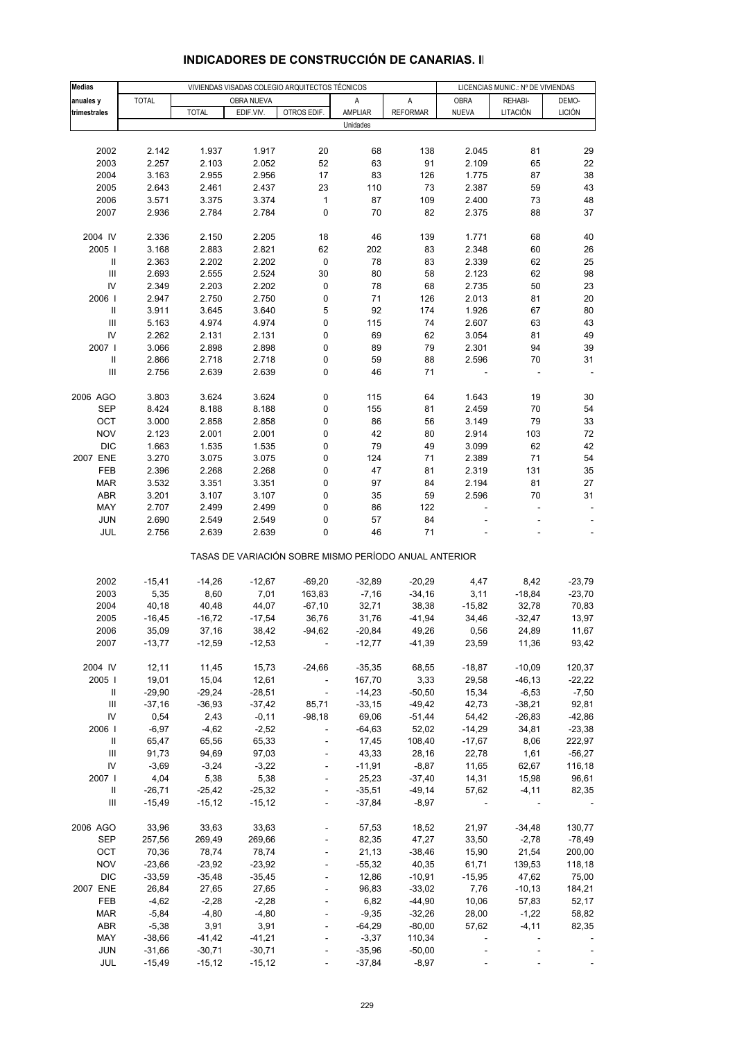| <b>Medias</b>                      |                      | VIVIENDAS VISADAS COLEGIO ARQUITECTOS TÉCNICOS |                      |                                                       |                      |                      |                          | LICENCIAS MUNIC.: Nº DE VIVIENDAS |                          |  |
|------------------------------------|----------------------|------------------------------------------------|----------------------|-------------------------------------------------------|----------------------|----------------------|--------------------------|-----------------------------------|--------------------------|--|
| anuales y                          | <b>TOTAL</b>         |                                                | OBRA NUEVA           |                                                       | Α                    | A                    | <b>OBRA</b>              | REHABI-                           | DEMO-                    |  |
| trimestrales                       |                      | <b>TOTAL</b>                                   | EDIF.VIV.            | OTROS EDIF.                                           | AMPLIAR              | <b>REFORMAR</b>      | <b>NUEVA</b>             | LITACIÓN                          | <b>LICIÓN</b>            |  |
|                                    |                      |                                                |                      |                                                       | Unidades             |                      |                          |                                   |                          |  |
|                                    |                      |                                                |                      |                                                       |                      |                      |                          |                                   |                          |  |
| 2002                               | 2.142                | 1.937                                          | 1.917                | 20                                                    | 68                   | 138                  | 2.045                    | 81                                | 29                       |  |
| 2003                               | 2.257                | 2.103                                          | 2.052                | 52                                                    | 63                   | 91                   | 2.109                    | 65                                | 22                       |  |
| 2004                               | 3.163                | 2.955                                          | 2.956                | 17                                                    | 83                   | 126                  | 1.775                    | 87                                | 38                       |  |
| 2005                               | 2.643                | 2.461                                          | 2.437                | 23                                                    | 110                  | 73                   | 2.387                    | 59                                | 43                       |  |
| 2006                               | 3.571                | 3.375                                          | 3.374                | $\mathbf{1}$                                          | 87                   | 109                  | 2.400                    | 73                                | 48                       |  |
| 2007                               | 2.936                | 2.784                                          | 2.784                | 0                                                     | 70                   | 82                   | 2.375                    | 88                                | 37                       |  |
| 2004 IV                            | 2.336                | 2.150                                          | 2.205                | 18                                                    | 46                   | 139                  | 1.771                    | 68                                | 40                       |  |
| 2005                               | 3.168                | 2.883                                          | 2.821                | 62                                                    | 202                  | 83                   | 2.348                    | 60                                | 26                       |  |
| $\, \parallel$                     | 2.363                | 2.202                                          | 2.202                | $\pmb{0}$                                             | 78                   | 83                   | 2.339                    | 62                                | 25                       |  |
| $\mathop{\rm III}\nolimits$        | 2.693                | 2.555                                          | 2.524                | 30                                                    | 80                   | 58                   | 2.123                    | 62                                | 98                       |  |
| IV                                 | 2.349                | 2.203                                          | 2.202                | 0                                                     | 78                   | 68                   | 2.735                    | 50                                | 23                       |  |
| 2006                               | 2.947                | 2.750                                          | 2.750                | 0                                                     | 71                   | 126                  | 2.013                    | 81                                | 20                       |  |
| $\, \parallel$                     | 3.911                | 3.645                                          | 3.640                | 5                                                     | 92                   | 174                  | 1.926                    | 67                                | 80                       |  |
| Ш                                  | 5.163                | 4.974                                          | 4.974                | 0                                                     | 115                  | 74                   | 2.607                    | 63                                | 43                       |  |
| IV                                 | 2.262                | 2.131                                          | 2.131                | 0                                                     | 69                   | 62                   | 3.054                    | 81                                | 49                       |  |
| 2007 l                             | 3.066                | 2.898                                          | 2.898                | 0                                                     | 89                   | 79                   | 2.301                    | 94                                | 39                       |  |
| $\, \parallel$                     | 2.866                | 2.718                                          | 2.718                | 0                                                     | 59                   | 88                   | 2.596                    | 70                                | 31                       |  |
| $\ensuremath{\mathsf{III}}\xspace$ | 2.756                | 2.639                                          | 2.639                | 0                                                     | 46                   | 71                   |                          |                                   |                          |  |
| 2006 AGO                           | 3.803                | 3.624                                          | 3.624                | 0                                                     | 115                  | 64                   | 1.643                    | 19                                | 30                       |  |
| <b>SEP</b>                         | 8.424                | 8.188                                          | 8.188                | 0                                                     | 155                  | 81                   | 2.459                    | 70                                | 54                       |  |
| OCT                                | 3.000                | 2.858                                          | 2.858                | 0                                                     | 86                   | 56                   | 3.149                    | 79                                | 33                       |  |
| <b>NOV</b>                         | 2.123                | 2.001                                          | 2.001                | 0                                                     | 42                   | 80                   | 2.914                    | 103                               | 72                       |  |
| <b>DIC</b>                         | 1.663                | 1.535                                          | 1.535                | 0                                                     | 79                   | 49                   | 3.099                    | 62                                | 42                       |  |
| 2007 ENE                           | 3.270                | 3.075                                          | 3.075                | 0                                                     | 124                  | 71                   | 2.389                    | 71                                | 54                       |  |
| FEB                                | 2.396                | 2.268                                          | 2.268                | 0                                                     | 47                   | 81                   | 2.319                    | 131                               | 35                       |  |
| <b>MAR</b>                         | 3.532                | 3.351                                          | 3.351                | 0                                                     | 97                   | 84                   | 2.194                    | 81                                | 27                       |  |
| ABR                                | 3.201                | 3.107                                          | 3.107                | 0                                                     | 35                   | 59                   | 2.596                    | 70                                | 31                       |  |
| MAY                                | 2.707                | 2.499                                          | 2.499                | 0                                                     | 86                   | 122                  |                          |                                   |                          |  |
| <b>JUN</b>                         | 2.690                | 2.549                                          | 2.549                | 0                                                     | 57                   | 84                   |                          |                                   |                          |  |
| JUL                                | 2.756                | 2.639                                          | 2.639                | 0                                                     | 46                   | 71                   |                          |                                   | $\overline{\phantom{a}}$ |  |
|                                    |                      |                                                |                      | TASAS DE VARIACIÓN SOBRE MISMO PERÍODO ANUAL ANTERIOR |                      |                      |                          |                                   |                          |  |
| 2002                               | $-15,41$             | $-14,26$                                       | $-12,67$             | $-69,20$                                              | $-32,89$             | $-20,29$             | 4,47                     | 8,42                              | $-23,79$                 |  |
| 2003                               | 5,35                 | 8,60                                           | 7,01                 | 163,83                                                | $-7,16$              | $-34,16$             | 3,11                     | $-18,84$                          | $-23,70$                 |  |
| 2004                               | 40,18                | 40,48                                          | 44,07                | $-67,10$                                              | 32,71                | 38,38                | $-15,82$                 | 32,78                             | 70,83                    |  |
| 2005                               | $-16,45$             | $-16,72$                                       | $-17,54$             | 36,76                                                 | 31,76                | $-41,94$             | 34,46                    | $-32,47$                          | 13,97                    |  |
| 2006                               | 35,09                | 37,16                                          | 38,42                | $-94,62$                                              | $-20,84$             | 49,26                | 0,56                     | 24,89                             | 11,67                    |  |
| 2007                               | $-13,77$             | $-12,59$                                       | $-12,53$             | $\overline{\phantom{a}}$                              | $-12,77$             | -41,39               | 23,59                    | 11,36                             | 93,42                    |  |
|                                    |                      |                                                |                      |                                                       |                      |                      |                          |                                   |                          |  |
| 2004 IV                            | 12,11                | 11,45                                          | 15,73                | $-24,66$                                              | $-35,35$             | 68,55                | $-18,87$                 | $-10,09$                          | 120,37                   |  |
| 2005                               | 19,01                | 15,04                                          | 12,61                | $\Box$                                                | 167,70               | 3,33                 | 29,58                    | $-46, 13$                         | $-22,22$                 |  |
| Ш<br>Ш                             | $-29,90$<br>$-37,16$ | $-29,24$<br>$-36,93$                           | $-28,51$<br>$-37,42$ | $\blacksquare$<br>85,71                               | $-14,23$<br>$-33,15$ | $-50,50$<br>$-49,42$ | 15,34<br>42,73           | $-6,53$<br>$-38,21$               | $-7,50$<br>92,81         |  |
| IV                                 | 0,54                 | 2,43                                           | $-0,11$              | $-98,18$                                              | 69,06                | $-51,44$             | 54,42                    | $-26,83$                          | $-42,86$                 |  |
| 2006                               | $-6,97$              | $-4,62$                                        | $-2,52$              | $\frac{1}{2}$                                         | $-64,63$             | 52,02                | $-14,29$                 | 34,81                             | $-23,38$                 |  |
| Ш                                  | 65,47                | 65,56                                          | 65,33                |                                                       | 17,45                | 108,40               | $-17,67$                 | 8,06                              | 222,97                   |  |
| Ш                                  | 91,73                | 94,69                                          | 97,03                | $\blacksquare$                                        | 43,33                | 28,16                | 22,78                    | 1,61                              | $-56,27$                 |  |
| IV                                 | $-3,69$              | $-3,24$                                        | $-3,22$              |                                                       | $-11,91$             | $-8,87$              | 11,65                    | 62,67                             | 116,18                   |  |
| 2007 l                             | 4,04                 | 5,38                                           | 5,38                 |                                                       | 25,23                | $-37,40$             | 14,31                    | 15,98                             | 96,61                    |  |
| Ш                                  | $-26,71$             | $-25,42$                                       | $-25,32$             | $\overline{\phantom{a}}$                              | $-35,51$             | $-49,14$             | 57,62                    | $-4, 11$                          | 82,35                    |  |
| Ш                                  | $-15,49$             | $-15,12$                                       | $-15,12$             | $\blacksquare$                                        | $-37,84$             | $-8,97$              | $\overline{\phantom{a}}$ |                                   |                          |  |
|                                    |                      |                                                |                      |                                                       |                      |                      |                          |                                   |                          |  |
| 2006 AGO                           | 33,96                | 33,63                                          | 33,63                | $\overline{\phantom{a}}$                              | 57,53                | 18,52                | 21,97                    | $-34,48$                          | 130,77                   |  |
| SEP                                | 257,56               | 269,49                                         | 269,66               |                                                       | 82,35                | 47,27                | 33,50                    | $-2,78$                           | $-78,49$                 |  |
| OCT                                | 70,36                | 78,74                                          | 78,74                | ÷,                                                    | 21,13                | $-38,46$             | 15,90                    | 21,54                             | 200,00                   |  |
| <b>NOV</b><br><b>DIC</b>           | $-23,66$<br>$-33,59$ | $-23,92$<br>$-35,48$                           | $-23,92$<br>$-35,45$ | $\blacksquare$                                        | $-55,32$<br>12,86    | 40,35<br>$-10,91$    | 61,71<br>$-15,95$        | 139,53<br>47,62                   | 118,18<br>75,00          |  |
| 2007 ENE                           | 26,84                | 27,65                                          | 27,65                | ÷,                                                    | 96,83                | $-33,02$             | 7,76                     | $-10, 13$                         | 184,21                   |  |
| FEB                                | $-4,62$              | $-2,28$                                        | $-2,28$              |                                                       | 6,82                 | $-44,90$             | 10,06                    | 57,83                             | 52,17                    |  |
| <b>MAR</b>                         | $-5,84$              | $-4,80$                                        | $-4,80$              |                                                       | $-9,35$              | $-32,26$             | 28,00                    | $-1,22$                           | 58,82                    |  |
| ABR                                | $-5,38$              | 3,91                                           | 3,91                 | $\frac{1}{2}$                                         | $-64,29$             | $-80,00$             | 57,62                    | $-4, 11$                          | 82,35                    |  |
| MAY                                | $-38,66$             | $-41,42$                                       | $-41,21$             |                                                       | $-3,37$              | 110,34               | $\blacksquare$           |                                   |                          |  |
| <b>JUN</b>                         | $-31,66$             | $-30,71$                                       | $-30,71$             |                                                       | $-35,96$             | $-50,00$             |                          |                                   |                          |  |
| <b>JUL</b>                         | $-15,49$             | $-15,12$                                       | $-15,12$             | $\blacksquare$                                        | $-37,84$             | $-8,97$              |                          |                                   |                          |  |

## **INDICADORES DE CONSTRUCCIÓN DE CANARIAS. II**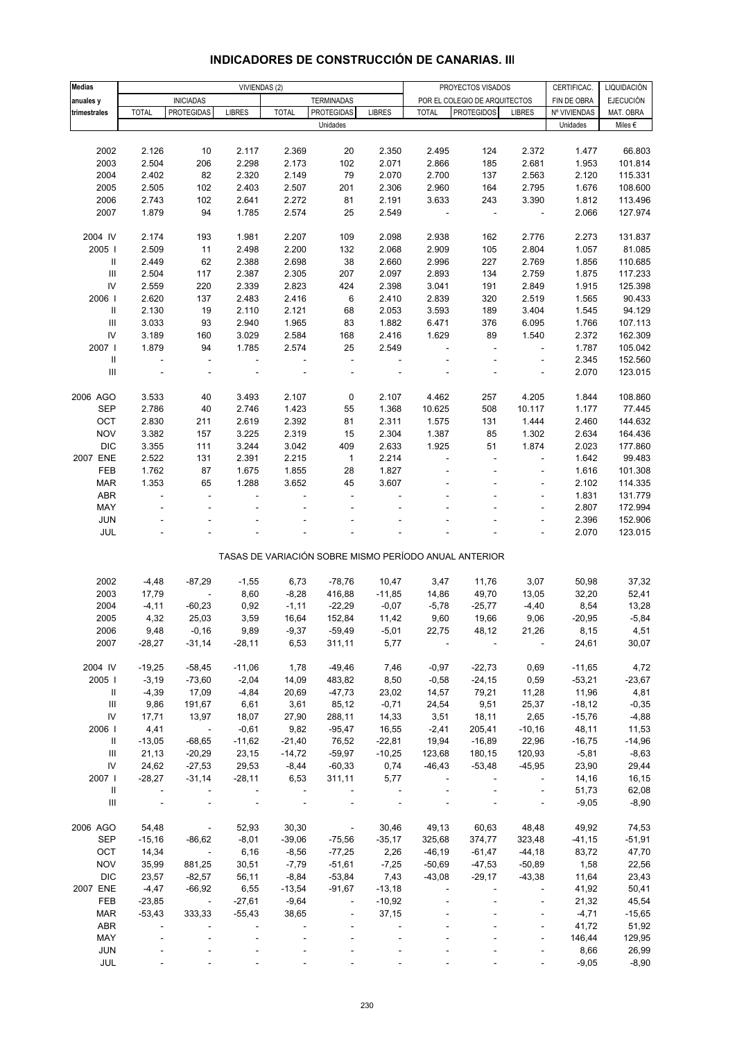| <b>Medias</b>                      |                |                          |               | VIVIENDAS (2)  |                          |               |                | PROYECTOS VISADOS                                     |                              | CERTIFICAC.  | LIQUIDACIÓN      |
|------------------------------------|----------------|--------------------------|---------------|----------------|--------------------------|---------------|----------------|-------------------------------------------------------|------------------------------|--------------|------------------|
| anuales y                          |                | <b>INICIADAS</b>         |               |                | <b>TERMINADAS</b>        |               |                | POR EL COLEGIO DE ARQUITECTOS                         |                              | FIN DE OBRA  | <b>EJECUCIÓN</b> |
| trimestrales                       | <b>TOTAL</b>   | <b>PROTEGIDAS</b>        | <b>LIBRES</b> | <b>TOTAL</b>   | <b>PROTEGIDAS</b>        | <b>LIBRES</b> | <b>TOTAL</b>   | <b>PROTEGIDOS</b>                                     | <b>LIBRES</b>                | Nº VIVIENDAS | MAT. OBRA        |
|                                    |                |                          |               |                | Unidades                 |               |                |                                                       |                              | Unidades     | Miles $\epsilon$ |
|                                    |                |                          |               |                |                          |               |                |                                                       |                              |              |                  |
|                                    |                |                          |               |                |                          |               |                |                                                       |                              |              |                  |
| 2002                               | 2.126          | 10                       | 2.117         | 2.369<br>2.173 | 20                       | 2.350         | 2.495          | 124                                                   | 2.372                        | 1.477        | 66.803           |
| 2003                               | 2.504          | 206                      | 2.298         |                | 102                      | 2.071         | 2.866          | 185                                                   | 2.681                        | 1.953        | 101.814          |
| 2004                               | 2.402          | 82                       | 2.320         | 2.149          | 79                       | 2.070         | 2.700          | 137                                                   | 2.563                        | 2.120        | 115.331          |
| 2005                               | 2.505          | 102                      | 2.403         | 2.507          | 201                      | 2.306         | 2.960          | 164                                                   | 2.795                        | 1.676        | 108.600          |
| 2006                               | 2.743          | 102                      | 2.641         | 2.272          | 81                       | 2.191         | 3.633          | 243                                                   | 3.390                        | 1.812        | 113.496          |
| 2007                               | 1.879          | 94                       | 1.785         | 2.574          | 25                       | 2.549         | $\blacksquare$ | $\blacksquare$                                        | $\overline{\phantom{a}}$     | 2.066        | 127.974          |
|                                    |                |                          |               |                |                          |               |                |                                                       |                              |              |                  |
| 2004 IV                            | 2.174          | 193                      | 1.981         | 2.207          | 109                      | 2.098         | 2.938          | 162                                                   | 2.776                        | 2.273        | 131.837          |
| 2005                               | 2.509          | 11                       | 2.498         | 2.200          | 132                      | 2.068         | 2.909          | 105                                                   | 2.804                        | 1.057        | 81.085           |
| $\mathsf{I}$                       | 2.449          | 62                       | 2.388         | 2.698          | 38                       | 2.660         | 2.996          | 227                                                   | 2.769                        | 1.856        | 110.685          |
| $\mathbf{III}$                     | 2.504          | 117                      | 2.387         | 2.305          | 207                      | 2.097         | 2.893          | 134                                                   | 2.759                        | 1.875        | 117.233          |
| ${\sf IV}$                         | 2.559          | 220                      | 2.339         | 2.823          | 424                      | 2.398         | 3.041          | 191                                                   | 2.849                        | 1.915        | 125.398          |
| 2006                               | 2.620          | 137                      | 2.483         | 2.416          | 6                        | 2.410         | 2.839          | 320                                                   | 2.519                        | 1.565        | 90.433           |
| Ш                                  | 2.130          | 19                       | 2.110         | 2.121          | 68                       | 2.053         | 3.593          | 189                                                   | 3.404                        | 1.545        | 94.129           |
| $\ensuremath{\mathsf{III}}\xspace$ | 3.033          | 93                       | 2.940         | 1.965          | 83                       | 1.882         | 6.471          | 376                                                   | 6.095                        | 1.766        | 107.113          |
| IV                                 |                |                          |               |                |                          | 2.416         | 1.629          |                                                       |                              |              |                  |
|                                    | 3.189          | 160                      | 3.029         | 2.584          | 168                      |               |                | 89                                                    | 1.540                        | 2.372        | 162.309          |
| 2007 l                             | 1.879          | 94                       | 1.785         | 2.574          | 25                       | 2.549         |                | ÷,                                                    | $\blacksquare$               | 1.787        | 105.042          |
| $\mathsf{I}$                       | $\blacksquare$ | $\blacksquare$           | $\Box$        | $\blacksquare$ | $\blacksquare$           | ÷             |                |                                                       | ÷,                           | 2.345        | 152.560          |
| $\ensuremath{\mathsf{III}}\xspace$ |                |                          |               |                |                          |               |                |                                                       |                              | 2.070        | 123.015          |
|                                    |                |                          |               |                |                          |               |                |                                                       |                              |              |                  |
| 2006 AGO                           | 3.533          | 40                       | 3.493         | 2.107          | 0                        | 2.107         | 4.462          | 257                                                   | 4.205                        | 1.844        | 108.860          |
| <b>SEP</b>                         | 2.786          | 40                       | 2.746         | 1.423          | 55                       | 1.368         | 10.625         | 508                                                   | 10.117                       | 1.177        | 77.445           |
| OCT                                | 2.830          | 211                      | 2.619         | 2.392          | 81                       | 2.311         | 1.575          | 131                                                   | 1.444                        | 2.460        | 144.632          |
| <b>NOV</b>                         | 3.382          | 157                      | 3.225         | 2.319          | 15                       | 2.304         | 1.387          | 85                                                    | 1.302                        | 2.634        | 164.436          |
| <b>DIC</b>                         | 3.355          | 111                      | 3.244         | 3.042          | 409                      | 2.633         | 1.925          | 51                                                    | 1.874                        | 2.023        | 177.860          |
| 2007 ENE                           | 2.522          | 131                      | 2.391         | 2.215          | $\mathbf 1$              | 2.214         |                | ä,                                                    | $\overline{\phantom{a}}$     | 1.642        | 99.483           |
| FEB                                | 1.762          | 87                       | 1.675         | 1.855          | 28                       | 1.827         |                |                                                       | $\blacksquare$               | 1.616        | 101.308          |
|                                    | 1.353          |                          | 1.288         | 3.652          |                          | 3.607         |                |                                                       |                              |              |                  |
| <b>MAR</b>                         |                | 65                       |               |                | 45                       |               |                |                                                       |                              | 2.102        | 114.335          |
| <b>ABR</b>                         | ä,             | ÷,                       | ÷,            | ÷.             | $\overline{\phantom{a}}$ |               |                |                                                       | ÷,                           | 1.831        | 131.779          |
| MAY                                |                |                          |               |                |                          |               |                |                                                       | $\qquad \qquad \blacksquare$ | 2.807        | 172.994          |
| <b>JUN</b>                         |                |                          |               |                |                          |               |                |                                                       |                              | 2.396        | 152.906          |
| JUL                                |                |                          |               |                |                          |               |                |                                                       | $\overline{\phantom{a}}$     | 2.070        | 123.015          |
|                                    |                |                          |               |                |                          |               |                |                                                       |                              |              |                  |
|                                    |                |                          |               |                |                          |               |                | TASAS DE VARIACIÓN SOBRE MISMO PERÍODO ANUAL ANTERIOR |                              |              |                  |
|                                    |                |                          |               |                |                          |               |                |                                                       |                              |              |                  |
| 2002                               | $-4,48$        | $-87,29$                 | $-1,55$       | 6,73           | $-78,76$                 | 10,47         | 3,47           | 11,76                                                 | 3,07                         | 50,98        | 37,32            |
| 2003                               | 17,79          | $\overline{\phantom{a}}$ | 8,60          | $-8,28$        | 416,88                   | $-11,85$      | 14,86          | 49,70                                                 | 13,05                        | 32,20        | 52,41            |
| 2004                               | $-4, 11$       | $-60,23$                 | 0,92          | $-1,11$        | $-22,29$                 | $-0,07$       | $-5,78$        | $-25,77$                                              | $-4,40$                      | 8,54         | 13,28            |
| 2005                               | 4,32           | 25,03                    | 3,59          | 16,64          | 152,84                   | 11,42         | 9,60           | 19,66                                                 | 9,06                         | $-20,95$     | $-5,84$          |
| 2006                               | 9,48           | $-0,16$                  | 9,89          | $-9,37$        | $-59,49$                 | $-5,01$       | 22,75          | 48,12                                                 | 21,26                        | 8,15         | 4,51             |
| 2007                               | $-28,27$       | $-31,14$                 | $-28,11$      | 6,53           | 311,11                   | 5,77          |                |                                                       |                              | 24,61        | 30,07            |
|                                    |                |                          |               |                |                          |               |                |                                                       |                              |              |                  |
| 2004 IV                            |                |                          |               |                |                          |               |                |                                                       |                              |              |                  |
|                                    | $-19,25$       | $-58,45$                 | $-11,06$      | 1,78           | $-49,46$                 | 7,46          | $-0,97$        | $-22,73$                                              | 0,69                         | $-11,65$     | 4,72             |
| 2005                               | $-3,19$        | $-73,60$                 | $-2,04$       | 14,09          | 483,82                   | 8,50          | $-0,58$        | $-24,15$                                              | 0,59                         | $-53,21$     | $-23,67$         |
| Ш                                  | $-4,39$        | 17,09                    | $-4,84$       | 20,69          | $-47,73$                 | 23,02         | 14,57          | 79,21                                                 | 11,28                        | 11,96        | 4,81             |
| $\mathop{\mathsf{III}}\nolimits$   | 9,86           | 191,67                   | 6,61          | 3,61           | 85,12                    | $-0,71$       | 24,54          | 9,51                                                  | 25,37                        | $-18,12$     | $-0,35$          |
| ${\sf IV}$                         | 17,71          | 13,97                    | 18,07         | 27,90          | 288,11                   | 14,33         | 3,51           | 18,11                                                 | 2,65                         | $-15,76$     | $-4,88$          |
| 2006                               | 4,41           | $\overline{\phantom{a}}$ | $-0,61$       | 9,82           | $-95,47$                 | 16,55         | $-2,41$        | 205,41                                                | $-10,16$                     | 48,11        | 11,53            |
| Ш                                  | $-13,05$       | $-68,65$                 | $-11,62$      | $-21,40$       | 76,52                    | $-22,81$      | 19,94          | $-16,89$                                              | 22,96                        | $-16,75$     | $-14,96$         |
| $\ensuremath{\mathsf{III}}\xspace$ | 21,13          | $-20,29$                 | 23,15         | $-14,72$       | $-59,97$                 | $-10,25$      | 123,68         | 180,15                                                | 120,93                       | $-5,81$      | $-8,63$          |
| IV                                 | 24,62          | $-27,53$                 | 29,53         | $-8,44$        | $-60,33$                 | 0,74          | $-46,43$       | $-53,48$                                              | $-45,95$                     | 23,90        | 29,44            |
| 2007                               | $-28,27$       | $-31,14$                 | $-28,11$      | 6,53           | 311,11                   | 5,77          |                |                                                       | $\overline{\phantom{a}}$     | 14,16        | 16,15            |
| Ш                                  | $\blacksquare$ |                          |               |                |                          |               |                |                                                       | $\overline{\phantom{a}}$     | 51,73        | 62,08            |
| $\mathbf{III}$                     |                |                          |               |                |                          |               |                |                                                       | ÷,                           | $-9,05$      | $-8,90$          |
|                                    |                |                          |               |                |                          |               |                |                                                       |                              |              |                  |
|                                    |                |                          |               |                |                          |               |                |                                                       |                              |              |                  |
| 2006 AGO                           | 54,48          | $\overline{\phantom{a}}$ | 52,93         | 30,30          | $\blacksquare$           | 30,46         | 49,13          | 60,63                                                 | 48,48                        | 49,92        | 74,53            |
| <b>SEP</b>                         | $-15,16$       | $-86,62$                 | $-8,01$       | $-39,06$       | $-75,56$                 | $-35,17$      | 325,68         | 374,77                                                | 323,48                       | $-41,15$     | $-51,91$         |
| OCT                                | 14,34          | $\sim 100$               | 6,16          | $-8,56$        | $-77,25$                 | 2,26          | $-46,19$       | $-61,47$                                              | $-44,18$                     | 83,72        | 47,70            |
| <b>NOV</b>                         | 35,99          | 881,25                   | 30,51         | $-7,79$        | $-51,61$                 | $-7,25$       | $-50,69$       | $-47,53$                                              | $-50,89$                     | 1,58         | 22,56            |
| <b>DIC</b>                         | 23,57          | $-82,57$                 | 56,11         | $-8,84$        | $-53,84$                 | 7,43          | $-43,08$       | $-29,17$                                              | $-43,38$                     | 11,64        | 23,43            |
| 2007 ENE                           | $-4,47$        | $-66,92$                 | 6,55          | $-13,54$       | $-91,67$                 | $-13,18$      |                |                                                       | ÷,                           | 41,92        | 50,41            |
| FEB                                | $-23,85$       | $\sim 100$ km s $^{-1}$  | $-27,61$      | $-9,64$        | $\blacksquare$           | $-10,92$      |                |                                                       | ÷,                           | 21,32        | 45,54            |
| MAR                                | $-53,43$       | 333,33                   | $-55,43$      | 38,65          |                          | 37,15         |                |                                                       |                              | $-4,71$      | $-15,65$         |
| ABR                                |                |                          |               |                |                          |               |                |                                                       | ÷,                           | 41,72        | 51,92            |
| MAY                                |                |                          |               |                |                          |               |                |                                                       | $\blacksquare$               | 146,44       | 129,95           |
| <b>JUN</b>                         |                |                          |               |                |                          |               |                |                                                       |                              | 8,66         | 26,99            |
| JUL                                |                |                          |               |                |                          |               |                |                                                       |                              |              |                  |
|                                    |                |                          |               |                |                          |               |                |                                                       |                              | $-9,05$      | $-8,90$          |

# **INDICADORES DE CONSTRUCCIÓN DE CANARIAS. III**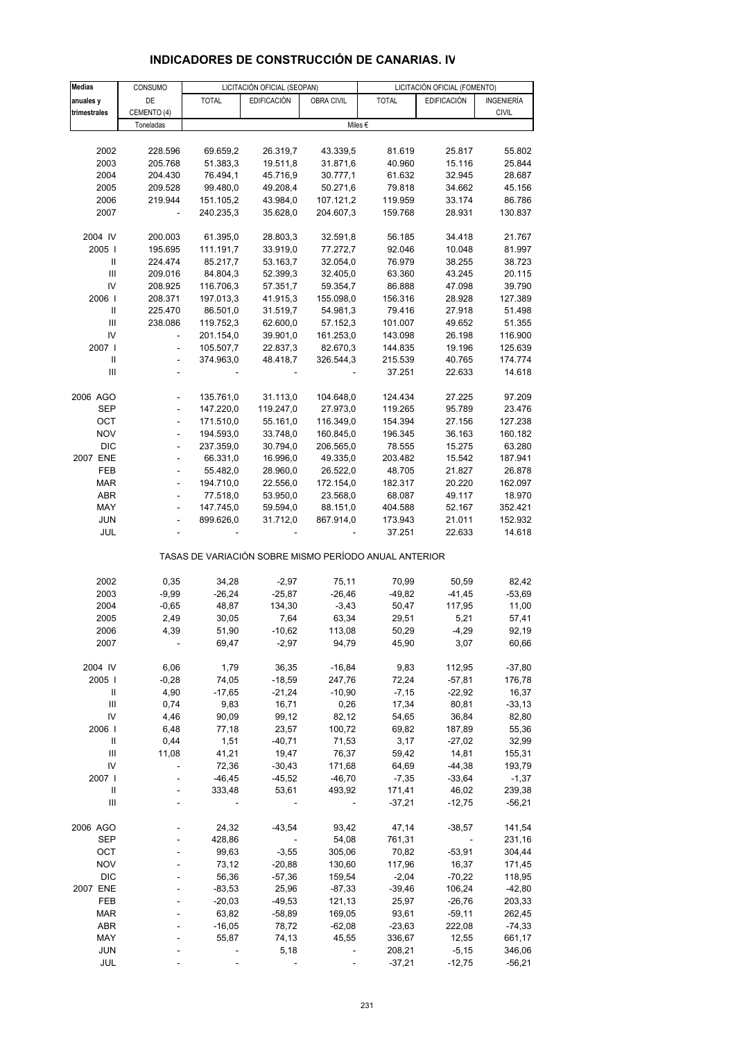| <b>Medias</b>                      | CONSUMO                      |                   | LICITACIÓN OFICIAL (SEOPAN) |                   |                                                       | LICITACIÓN OFICIAL (FOMENTO) |                  |
|------------------------------------|------------------------------|-------------------|-----------------------------|-------------------|-------------------------------------------------------|------------------------------|------------------|
| anuales y                          | DE                           | <b>TOTAL</b>      | <b>EDIFICACIÓN</b>          | <b>OBRA CIVIL</b> | <b>TOTAL</b>                                          | <b>EDIFICACIÓN</b>           | INGENIERÍA       |
| trimestrales                       | CEMENTO (4)                  |                   |                             |                   |                                                       |                              | <b>CIVIL</b>     |
|                                    | Toneladas                    |                   |                             |                   | Miles €                                               |                              |                  |
|                                    |                              |                   |                             |                   |                                                       |                              |                  |
| 2002                               | 228.596                      | 69.659,2          | 26.319,7                    | 43.339,5          | 81.619                                                | 25.817                       | 55.802           |
| 2003                               | 205.768                      | 51.383,3          | 19.511,8                    | 31.871,6          | 40.960                                                | 15.116                       | 25.844           |
| 2004                               | 204.430                      | 76.494,1          | 45.716,9                    | 30.777,1          | 61.632                                                | 32.945                       | 28.687           |
| 2005                               | 209.528                      | 99.480,0          | 49.208,4                    | 50.271,6          | 79.818                                                | 34.662                       | 45.156           |
| 2006                               | 219.944                      | 151.105,2         | 43.984,0                    | 107.121,2         | 119.959                                               | 33.174                       | 86.786           |
| 2007                               |                              | 240.235,3         | 35.628,0                    | 204.607,3         | 159.768                                               | 28.931                       | 130.837          |
|                                    |                              |                   |                             |                   |                                                       |                              |                  |
| 2004 IV                            | 200.003                      | 61.395,0          | 28.803,3                    | 32.591,8          | 56.185                                                | 34.418                       | 21.767           |
| 2005                               | 195.695                      | 111.191,7         | 33.919,0                    | 77.272,7          | 92.046                                                | 10.048                       | 81.997           |
| Ш                                  | 224.474                      | 85.217,7          | 53.163,7                    | 32.054,0          | 76.979                                                | 38.255                       | 38.723           |
| III                                | 209.016                      | 84.804,3          | 52.399,3                    | 32.405,0          | 63.360                                                | 43.245                       | 20.115           |
| IV                                 | 208.925                      | 116.706,3         | 57.351,7                    | 59.354,7          | 86.888                                                | 47.098                       | 39.790           |
| 2006                               | 208.371                      | 197.013,3         | 41.915,3                    | 155.098,0         | 156.316                                               | 28.928                       | 127.389          |
| $\, \parallel$                     | 225.470                      | 86.501,0          | 31.519,7                    | 54.981,3          | 79.416                                                | 27.918                       | 51.498           |
| III                                | 238.086                      | 119.752,3         | 62.600,0                    | 57.152,3          | 101.007                                               | 49.652                       | 51.355           |
| IV                                 | ä,                           | 201.154,0         | 39.901,0                    | 161.253,0         | 143.098                                               | 26.198                       | 116.900          |
| 2007                               | L,                           | 105.507,7         | 22.837,3                    | 82.670,3          | 144.835                                               | 19.196                       | 125.639          |
| $\sf II$                           | $\overline{a}$               | 374.963,0         | 48.418,7                    | 326.544,3         | 215.539                                               | 40.765                       | 174.774          |
| III                                |                              |                   |                             |                   | 37.251                                                | 22.633                       | 14.618           |
|                                    |                              |                   |                             |                   |                                                       |                              |                  |
| 2006 AGO                           |                              | 135.761,0         | 31.113,0                    | 104.648,0         | 124.434                                               | 27.225                       | 97.209           |
| <b>SEP</b>                         | ÷,                           | 147.220,0         | 119.247,0                   | 27.973,0          | 119.265                                               | 95.789                       | 23.476           |
| OCT                                | $\overline{\phantom{a}}$     | 171.510,0         | 55.161,0                    | 116.349,0         | 154.394                                               | 27.156                       | 127.238          |
| <b>NOV</b>                         | $\overline{a}$               | 194.593,0         | 33.748,0                    | 160.845,0         | 196.345                                               | 36.163                       | 160.182          |
| <b>DIC</b>                         | ÷,                           | 237.359,0         | 30.794,0                    | 206.565,0         | 78.555                                                | 15.275                       | 63.280           |
| 2007 ENE                           | ÷,                           | 66.331,0          | 16.996,0                    | 49.335,0          | 203.482                                               | 15.542                       | 187.941          |
| FEB                                | $\qquad \qquad \blacksquare$ | 55.482,0          | 28.960,0                    | 26.522,0          | 48.705                                                | 21.827                       | 26.878           |
| <b>MAR</b>                         | ÷,                           | 194.710,0         | 22.556,0                    | 172.154,0         | 182.317                                               | 20.220                       | 162.097          |
| <b>ABR</b>                         | ä,                           | 77.518,0          | 53.950,0                    | 23.568,0          | 68.087                                                | 49.117                       | 18.970           |
| MAY                                | ÷,                           | 147.745,0         | 59.594,0                    | 88.151,0          | 404.588                                               | 52.167                       | 352.421          |
| <b>JUN</b>                         |                              | 899.626,0         | 31.712,0                    | 867.914,0         | 173.943                                               | 21.011                       | 152.932          |
| JUL                                | ÷,                           |                   |                             |                   | 37.251                                                | 22.633                       | 14.618           |
|                                    |                              |                   |                             |                   | TASAS DE VARIACIÓN SOBRE MISMO PERÍODO ANUAL ANTERIOR |                              |                  |
| 2002                               | 0,35                         | 34,28             | $-2,97$                     | 75,11             | 70,99                                                 | 50,59                        | 82,42            |
| 2003                               | $-9,99$                      | $-26,24$          | $-25,87$                    | $-26,46$          | $-49,82$                                              | $-41,45$                     | $-53,69$         |
| 2004                               | $-0,65$                      | 48,87             | 134,30                      | $-3,43$           | 50,47                                                 | 117,95                       | 11,00            |
| 2005                               | 2,49                         | 30,05             | 7,64                        | 63,34             | 29,51                                                 | 5,21                         | 57,41            |
| 2006                               | 4,39                         | 51,90             | $-10,62$                    | 113,08            | 50,29                                                 | $-4,29$                      | 92,19            |
| 2007                               |                              | 69,47             | $-2,97$                     | 94,79             | 45,90                                                 | 3,07                         | 60,66            |
|                                    |                              |                   |                             |                   |                                                       |                              |                  |
| 2004 IV                            | 6,06                         | 1,79              | 36,35                       | $-16,84$          | 9,83                                                  | 112,95                       | $-37,80$         |
| 2005                               | $-0,28$                      | 74,05             | $-18,59$                    | 247,76            | 72,24                                                 | $-57,81$                     | 176,78           |
| Ш                                  | 4,90                         | $-17,65$          | $-21,24$                    | $-10,90$          | $-7,15$                                               | $-22,92$                     | 16,37            |
| Ш                                  | 0,74                         | 9,83              | 16,71                       | 0,26              | 17,34                                                 | 80,81                        | $-33,13$         |
| IV                                 | 4,46                         | 90,09             | 99,12                       | 82,12             | 54,65                                                 | 36,84                        | 82,80            |
| 2006                               | 6,48                         | 77,18             | 23,57                       | 100,72            | 69,82                                                 | 187,89                       | 55,36            |
| Ш                                  | 0,44                         | 1,51              | $-40,71$                    | 71,53             | 3,17                                                  | $-27,02$                     | 32,99            |
| III<br>IV                          | 11,08                        | 41,21             | 19,47                       | 76,37<br>171,68   | 59,42                                                 | 14,81                        | 155,31<br>193,79 |
| 2007 l                             |                              | 72,36<br>$-46,45$ | $-30,43$<br>$-45,52$        | $-46,70$          | 64,69<br>$-7,35$                                      | $-44,38$<br>$-33,64$         | $-1,37$          |
| Ш                                  |                              | 333,48            | 53,61                       | 493,92            | 171,41                                                | 46,02                        | 239,38           |
| $\ensuremath{\mathsf{III}}\xspace$ |                              |                   |                             |                   | $-37,21$                                              | $-12,75$                     | $-56,21$         |
|                                    |                              |                   |                             |                   |                                                       |                              |                  |
| 2006 AGO                           |                              | 24,32             | $-43,54$                    | 93,42             | 47,14                                                 | $-38,57$                     | 141,54           |
| <b>SEP</b>                         |                              | 428,86            | $\blacksquare$              | 54,08             | 761,31                                                | $\overline{\phantom{a}}$     | 231,16           |
| OCT                                |                              | 99,63             | $-3,55$                     | 305,06            | 70,82                                                 | $-53,91$                     | 304,44           |
| <b>NOV</b>                         |                              | 73,12             | $-20,88$                    | 130,60            | 117,96                                                | 16,37                        | 171,45           |
| <b>DIC</b>                         |                              | 56,36             | $-57,36$                    | 159,54            | $-2,04$                                               | $-70,22$                     | 118,95           |
| 2007 ENE                           |                              | $-83,53$          | 25,96                       | $-87,33$          | $-39,46$                                              | 106,24                       | $-42,80$         |
| FEB                                |                              | $-20,03$          | $-49,53$                    | 121,13            | 25,97                                                 | $-26,76$                     | 203,33           |
| <b>MAR</b>                         |                              | 63,82             | $-58,89$                    | 169,05            | 93,61                                                 | $-59,11$                     | 262,45           |
| <b>ABR</b>                         |                              | $-16,05$          | 78,72                       | $-62,08$          | $-23,63$                                              | 222,08                       | $-74,33$         |
| MAY                                |                              | 55,87             | 74,13                       | 45,55             | 336,67                                                | 12,55                        | 661,17           |
| <b>JUN</b>                         |                              |                   | 5,18                        |                   | 208,21                                                | $-5,15$                      | 346,06           |
| JUL                                |                              |                   |                             |                   | $-37,21$                                              | $-12,75$                     | $-56,21$         |

## **INDICADORES DE CONSTRUCCIÓN DE CANARIAS. IV**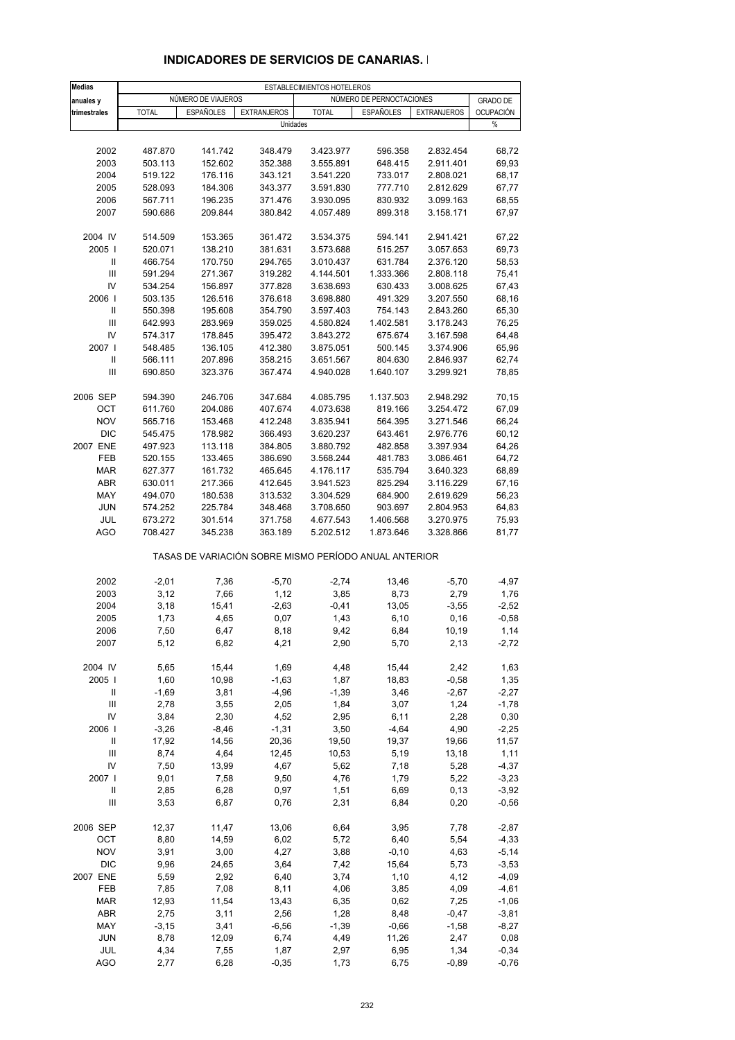| <b>Medias</b>                      |              |                    |                    | ESTABLECIMIENTOS HOTELEROS                            |                          |                    |                  |
|------------------------------------|--------------|--------------------|--------------------|-------------------------------------------------------|--------------------------|--------------------|------------------|
| anuales y                          |              | NÚMERO DE VIAJEROS |                    |                                                       | NÚMERO DE PERNOCTACIONES |                    | <b>GRADO DE</b>  |
| trimestrales                       | <b>TOTAL</b> | <b>ESPAÑOLES</b>   | <b>EXTRANJEROS</b> | <b>TOTAL</b>                                          | <b>ESPAÑOLES</b>         | <b>EXTRANJEROS</b> | <b>OCUPACIÓN</b> |
|                                    |              |                    | Unidades           |                                                       |                          |                    | %                |
|                                    |              |                    |                    |                                                       |                          |                    |                  |
|                                    |              |                    |                    |                                                       |                          |                    |                  |
| 2002                               | 487.870      | 141.742            | 348.479            | 3.423.977                                             | 596.358                  | 2.832.454          | 68,72            |
| 2003                               | 503.113      | 152.602            | 352.388            | 3.555.891                                             | 648.415                  | 2.911.401          | 69,93            |
| 2004                               | 519.122      | 176.116            | 343.121            | 3.541.220                                             | 733.017                  | 2.808.021          | 68,17            |
| 2005                               | 528.093      | 184.306            | 343.377            | 3.591.830                                             | 777.710                  | 2.812.629          | 67,77            |
| 2006                               | 567.711      | 196.235            | 371.476            | 3.930.095                                             | 830.932                  | 3.099.163          | 68,55            |
| 2007                               | 590.686      | 209.844            | 380.842            | 4.057.489                                             | 899.318                  | 3.158.171          | 67,97            |
|                                    |              |                    |                    |                                                       |                          |                    |                  |
| 2004 IV                            | 514.509      | 153.365            | 361.472            | 3.534.375                                             | 594.141                  | 2.941.421          | 67,22            |
| 2005                               | 520.071      | 138.210            | 381.631            | 3.573.688                                             | 515.257                  | 3.057.653          | 69,73            |
| Ш                                  | 466.754      | 170.750            | 294.765            | 3.010.437                                             | 631.784                  | 2.376.120          | 58,53            |
| Ш                                  | 591.294      | 271.367            | 319.282            | 4.144.501                                             | 1.333.366                | 2.808.118          | 75,41            |
| IV                                 | 534.254      | 156.897            | 377.828            | 3.638.693                                             | 630.433                  | 3.008.625          | 67,43            |
| 2006                               | 503.135      | 126.516            | 376.618            | 3.698.880                                             | 491.329                  | 3.207.550          | 68,16            |
| Ш                                  | 550.398      | 195.608            | 354.790            | 3.597.403                                             | 754.143                  | 2.843.260          | 65,30            |
| Ш                                  | 642.993      | 283.969            | 359.025            | 4.580.824                                             | 1.402.581                | 3.178.243          | 76,25            |
| IV                                 | 574.317      | 178.845            | 395.472            | 3.843.272                                             | 675.674                  | 3.167.598          | 64,48            |
| 2007 l                             | 548.485      | 136.105            | 412.380            | 3.875.051                                             | 500.145                  | 3.374.906          | 65,96            |
| Ш                                  | 566.111      | 207.896            | 358.215            | 3.651.567                                             | 804.630                  | 2.846.937          | 62,74            |
| $\ensuremath{\mathsf{III}}\xspace$ | 690.850      | 323.376            | 367.474            | 4.940.028                                             | 1.640.107                | 3.299.921          | 78,85            |
|                                    |              |                    |                    |                                                       |                          |                    |                  |
| 2006 SEP                           | 594.390      | 246.706            | 347.684            | 4.085.795                                             | 1.137.503                | 2.948.292          | 70,15            |
| OCT                                | 611.760      | 204.086            | 407.674            | 4.073.638                                             | 819.166                  | 3.254.472          | 67,09            |
| <b>NOV</b>                         |              |                    | 412.248            |                                                       |                          |                    |                  |
|                                    | 565.716      | 153.468            |                    | 3.835.941                                             | 564.395                  | 3.271.546          | 66,24            |
| <b>DIC</b>                         | 545.475      | 178.982            | 366.493            | 3.620.237                                             | 643.461                  | 2.976.776          | 60,12            |
| 2007 ENE                           | 497.923      | 113.118            | 384.805            | 3.880.792                                             | 482.858                  | 3.397.934          | 64,26            |
| FEB                                | 520.155      | 133.465            | 386.690            | 3.568.244                                             | 481.783                  | 3.086.461          | 64,72            |
| <b>MAR</b>                         | 627.377      | 161.732            | 465.645            | 4.176.117                                             | 535.794                  | 3.640.323          | 68,89            |
| <b>ABR</b>                         | 630.011      | 217.366            | 412.645            | 3.941.523                                             | 825.294                  | 3.116.229          | 67,16            |
| MAY                                | 494.070      | 180.538            | 313.532            | 3.304.529                                             | 684.900                  | 2.619.629          | 56,23            |
| <b>JUN</b>                         | 574.252      | 225.784            | 348.468            | 3.708.650                                             | 903.697                  | 2.804.953          | 64,83            |
| JUL                                | 673.272      | 301.514            | 371.758            | 4.677.543                                             | 1.406.568                | 3.270.975          | 75,93            |
| AGO                                | 708.427      | 345.238            | 363.189            | 5.202.512                                             | 1.873.646                | 3.328.866          | 81,77            |
|                                    |              |                    |                    | TASAS DE VARIACIÓN SOBRE MISMO PERÍODO ANUAL ANTERIOR |                          |                    |                  |
| 2002                               | $-2,01$      | 7,36               | $-5,70$            | $-2,74$                                               | 13,46                    | $-5,70$            | -4,97            |
| 2003                               | 3,12         | 7,66               | 1,12               | 3,85                                                  | 8,73                     | 2,79               | 1,76             |
| 2004                               | 3,18         | 15,41              | $-2,63$            | $-0,41$                                               | 13,05                    | $-3,55$            | $-2,52$          |
| 2005                               | 1,73         | 4,65               | 0,07               | 1,43                                                  | 6, 10                    | 0,16               | $-0,58$          |
| 2006                               | 7,50         | 6,47               | 8,18               | 9,42                                                  | 6,84                     | 10,19              | 1,14             |
| 2007                               | 5,12         | 6,82               | 4,21               | 2,90                                                  | 5,70                     | 2,13               | $-2,72$          |
|                                    |              |                    |                    |                                                       |                          |                    |                  |
| 2004 IV                            | 5,65         | 15,44              | 1,69               | 4,48                                                  | 15,44                    | 2,42               | 1,63             |
| 2005                               | 1,60         | 10,98              | $-1,63$            | 1,87                                                  | 18,83                    | $-0,58$            | 1,35             |
| Ш                                  | $-1,69$      | 3,81               | $-4,96$            | $-1,39$                                               | 3,46                     | $-2,67$            | $-2,27$          |
| Ш                                  | 2,78         | 3,55               | 2,05               | 1,84                                                  | 3,07                     | 1,24               | $-1,78$          |
| IV                                 |              | 2,30               |                    |                                                       |                          |                    |                  |
| 2006                               | 3,84         |                    | 4,52               | 2,95                                                  | 6,11                     | 2,28               | 0,30             |
|                                    | $-3,26$      | $-8,46$            | $-1,31$            | 3,50                                                  | $-4,64$                  | 4,90               | $-2,25$          |
| Ш                                  | 17,92        | 14,56              | 20,36              | 19,50                                                 | 19,37                    | 19,66              | 11,57            |
| $\ensuremath{\mathsf{III}}\xspace$ | 8,74         | 4,64               | 12,45              | 10,53                                                 | 5,19                     | 13,18              | 1,11             |
| IV                                 | 7,50         | 13,99              | 4,67               | 5,62                                                  | 7,18                     | 5,28               | $-4,37$          |
| 2007 I                             | 9,01         | 7,58               | 9,50               | 4,76                                                  | 1,79                     | 5,22               | $-3,23$          |
| Ш                                  | 2,85         | 6,28               | 0,97               | 1,51                                                  | 6,69                     | 0, 13              | $-3,92$          |
| Ш                                  | 3,53         | 6,87               | 0,76               | 2,31                                                  | 6,84                     | 0,20               | $-0,56$          |
| 2006 SEP                           | 12,37        | 11,47              | 13,06              | 6,64                                                  | 3,95                     | 7,78               | $-2,87$          |
| OCT                                | 8,80         | 14,59              | 6,02               | 5,72                                                  | 6,40                     | 5,54               | $-4,33$          |
| <b>NOV</b>                         | 3,91         | 3,00               | 4,27               | 3,88                                                  | $-0, 10$                 | 4,63               | $-5,14$          |
| <b>DIC</b>                         | 9,96         | 24,65              | 3,64               | 7,42                                                  | 15,64                    | 5,73               | $-3,53$          |
| 2007 ENE                           | 5,59         | 2,92               | 6,40               | 3,74                                                  | 1,10                     | 4,12               | $-4,09$          |
| FEB                                | 7,85         | 7,08               | 8,11               | 4,06                                                  | 3,85                     | 4,09               | $-4,61$          |
| <b>MAR</b>                         | 12,93        | 11,54              | 13,43              | 6,35                                                  | 0,62                     | 7,25               | $-1,06$          |
| ABR                                | 2,75         | 3,11               | 2,56               | 1,28                                                  | 8,48                     | $-0,47$            | $-3,81$          |
| MAY                                | $-3,15$      | 3,41               | $-6,56$            | $-1,39$                                               | $-0,66$                  | $-1,58$            | $-8,27$          |
| <b>JUN</b>                         | 8,78         | 12,09              | 6,74               | 4,49                                                  | 11,26                    | 2,47               | 0,08             |
| JUL                                | 4,34         | 7,55               | 1,87               | 2,97                                                  | 6,95                     | 1,34               | $-0,34$          |
| <b>AGO</b>                         | 2,77         | 6,28               | $-0,35$            | 1,73                                                  | 6,75                     | $-0,89$            | $-0,76$          |
|                                    |              |                    |                    |                                                       |                          |                    |                  |

#### **INDICADORES DE SERVICIOS DE CANARIAS. I**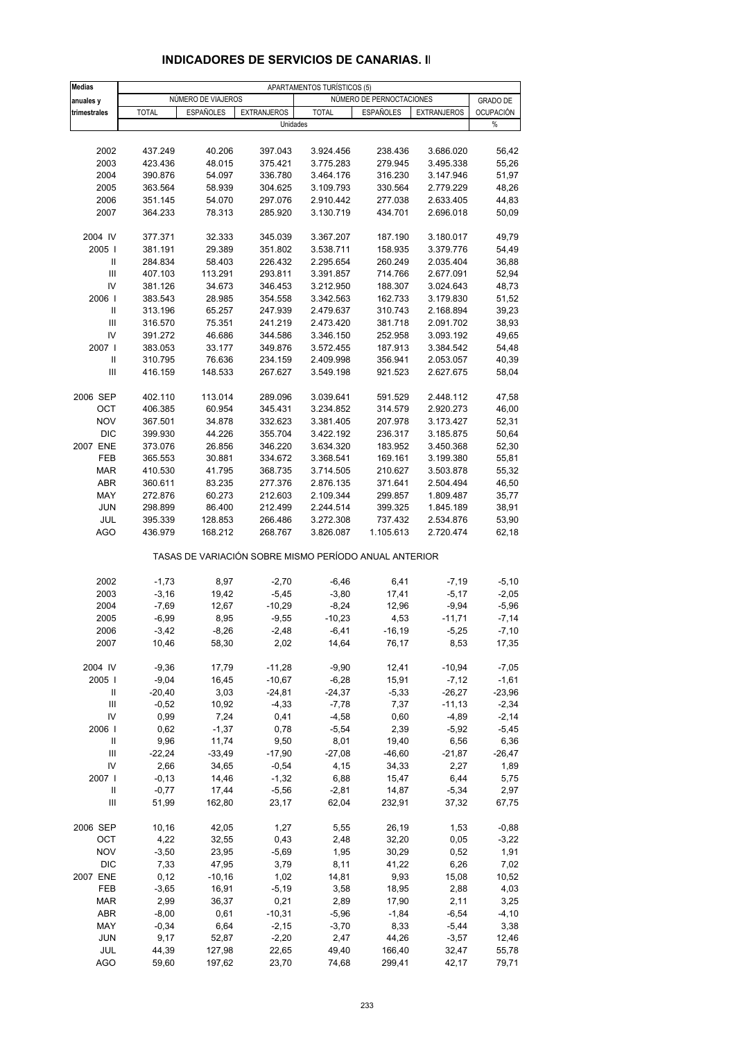| <b>Medias</b>                      | APARTAMENTOS TURÍSTICOS (5) |                    |                      |                                                       |                          |                     |                    |  |
|------------------------------------|-----------------------------|--------------------|----------------------|-------------------------------------------------------|--------------------------|---------------------|--------------------|--|
| anuales y                          |                             | NÚMERO DE VIAJEROS |                      |                                                       | NÚMERO DE PERNOCTACIONES |                     | <b>GRADO DE</b>    |  |
| trimestrales                       | <b>TOTAL</b>                | <b>ESPAÑOLES</b>   | <b>EXTRANJEROS</b>   | <b>TOTAL</b>                                          | <b>ESPAÑOLES</b>         | <b>EXTRANJEROS</b>  | <b>OCUPACIÓN</b>   |  |
|                                    |                             |                    |                      | Unidades                                              |                          |                     | %                  |  |
|                                    |                             |                    |                      |                                                       |                          |                     |                    |  |
| 2002                               | 437.249                     | 40.206             | 397.043              | 3.924.456                                             | 238.436                  | 3.686.020           | 56,42              |  |
| 2003                               | 423.436                     | 48.015             | 375.421              | 3.775.283                                             | 279.945                  | 3.495.338           | 55,26              |  |
| 2004                               | 390.876                     | 54.097             | 336.780              | 3.464.176                                             | 316.230                  | 3.147.946           | 51,97              |  |
| 2005                               | 363.564                     | 58.939             | 304.625              | 3.109.793                                             | 330.564                  | 2.779.229           | 48,26              |  |
| 2006                               | 351.145                     | 54.070             | 297.076              | 2.910.442                                             | 277.038                  | 2.633.405           | 44,83              |  |
| 2007                               | 364.233                     | 78.313             | 285.920              | 3.130.719                                             | 434.701                  | 2.696.018           | 50,09              |  |
|                                    |                             |                    |                      |                                                       |                          |                     |                    |  |
| 2004 IV                            | 377.371                     | 32.333             | 345.039              | 3.367.207                                             | 187.190                  | 3.180.017           | 49,79              |  |
| 2005                               | 381.191                     | 29.389             | 351.802              | 3.538.711                                             | 158.935                  | 3.379.776           | 54,49              |  |
| Ш                                  | 284.834                     | 58.403             | 226.432              | 2.295.654                                             | 260.249                  | 2.035.404           | 36,88              |  |
| $\ensuremath{\mathsf{III}}\xspace$ | 407.103                     | 113.291            | 293.811              | 3.391.857                                             | 714.766                  | 2.677.091           | 52,94              |  |
| IV                                 | 381.126                     | 34.673             | 346.453              | 3.212.950                                             | 188.307                  | 3.024.643           | 48,73              |  |
| 2006                               | 383.543                     | 28.985             | 354.558              | 3.342.563                                             | 162.733                  | 3.179.830           | 51,52              |  |
| Ш                                  | 313.196                     | 65.257             | 247.939              | 2.479.637                                             | 310.743                  | 2.168.894           | 39,23              |  |
| Ш                                  | 316.570                     | 75.351             | 241.219              | 2.473.420                                             | 381.718                  | 2.091.702           | 38,93              |  |
| IV                                 | 391.272                     | 46.686             | 344.586              | 3.346.150                                             | 252.958                  | 3.093.192           | 49,65              |  |
| 2007 l                             | 383.053                     | 33.177             | 349.876              | 3.572.455                                             | 187.913                  | 3.384.542           | 54,48              |  |
| Ш                                  | 310.795                     | 76.636             | 234.159              | 2.409.998                                             | 356.941                  | 2.053.057           | 40,39              |  |
| $\ensuremath{\mathsf{III}}\xspace$ | 416.159                     | 148.533            | 267.627              | 3.549.198                                             | 921.523                  | 2.627.675           | 58,04              |  |
|                                    |                             |                    |                      |                                                       |                          |                     |                    |  |
| 2006 SEP                           | 402.110                     | 113.014            | 289.096              | 3.039.641                                             | 591.529                  | 2.448.112           | 47,58              |  |
| OCT                                | 406.385                     | 60.954             | 345.431              | 3.234.852                                             | 314.579                  | 2.920.273           | 46,00              |  |
| <b>NOV</b>                         | 367.501                     | 34.878             | 332.623              | 3.381.405                                             | 207.978                  | 3.173.427           | 52,31              |  |
| <b>DIC</b>                         | 399.930                     | 44.226             | 355.704              | 3.422.192                                             | 236.317                  | 3.185.875           | 50,64              |  |
| 2007 ENE                           | 373.076                     | 26.856             | 346.220              | 3.634.320                                             | 183.952                  | 3.450.368           | 52,30              |  |
| FEB                                | 365.553                     | 30.881             | 334.672              | 3.368.541                                             | 169.161                  | 3.199.380           | 55,81              |  |
| <b>MAR</b>                         | 410.530                     | 41.795             | 368.735              | 3.714.505                                             | 210.627                  | 3.503.878           | 55,32              |  |
| ABR                                | 360.611                     | 83.235             | 277.376              | 2.876.135                                             | 371.641                  | 2.504.494           | 46,50              |  |
| MAY                                | 272.876                     | 60.273             | 212.603              | 2.109.344                                             | 299.857                  | 1.809.487           | 35,77              |  |
| <b>JUN</b>                         | 298.899                     | 86.400             | 212.499              | 2.244.514                                             | 399.325                  | 1.845.189           | 38,91              |  |
| JUL                                | 395.339                     | 128.853            | 266.486              | 3.272.308                                             | 737.432                  | 2.534.876           | 53,90              |  |
| <b>AGO</b>                         | 436.979                     | 168.212            | 268.767              | 3.826.087                                             | 1.105.613                | 2.720.474           | 62,18              |  |
|                                    |                             |                    |                      | TASAS DE VARIACIÓN SOBRE MISMO PERÍODO ANUAL ANTERIOR |                          |                     |                    |  |
| 2002                               | $-1,73$                     | 8,97               | $-2,70$              | $-6,46$                                               | 6,41                     | $-7,19$             | $-5,10$            |  |
| 2003                               | $-3,16$                     | 19,42              | $-5,45$              | $-3,80$                                               | 17,41                    | $-5,17$             | $-2,05$            |  |
| 2004                               | $-7,69$                     | 12,67              | $-10,29$             | $-8,24$                                               | 12,96                    | $-9,94$             | $-5,96$            |  |
| 2005                               | $-6,99$                     | 8,95               | $-9,55$              | $-10,23$                                              | 4,53                     | $-11,71$            | $-7,14$            |  |
| 2006                               | $-3,42$                     | $-8,26$            | $-2,48$              | $-6,41$                                               | $-16,19$                 | $-5,25$             | $-7,10$            |  |
| 2007                               | 10,46                       | 58,30              | 2,02                 | 14,64                                                 | 76,17                    | 8,53                | 17,35              |  |
|                                    |                             |                    |                      |                                                       |                          |                     |                    |  |
| 2004 IV<br>2005                    | $-9,36$<br>$-9,04$          | 17,79<br>16,45     | $-11,28$<br>$-10,67$ | $-9,90$<br>$-6,28$                                    | 12,41<br>15,91           | $-10,94$<br>$-7,12$ | $-7,05$<br>$-1,61$ |  |
| Ш                                  | $-20,40$                    | 3,03               | $-24,81$             | $-24,37$                                              | $-5,33$                  | $-26,27$            | $-23,96$           |  |
| Ш                                  | $-0.52$                     | 10,92              | $-4,33$              | $-7,78$                                               | 7,37                     | $-11,13$            | $-2,34$            |  |
| IV                                 | 0,99                        | 7,24               | 0,41                 | $-4,58$                                               | 0,60                     | $-4,89$             | $-2,14$            |  |
| 2006                               | 0,62                        | $-1,37$            | 0,78                 | $-5,54$                                               | 2,39                     | $-5,92$             | $-5,45$            |  |
| Ш                                  | 9,96                        | 11,74              | 9,50                 | 8,01                                                  | 19,40                    | 6,56                | 6,36               |  |
| III                                | $-22,24$                    | $-33,49$           | $-17,90$             | $-27,08$                                              | $-46,60$                 | $-21,87$            | $-26,47$           |  |
| ${\sf IV}$                         | 2,66                        | 34,65              | $-0,54$              | 4,15                                                  | 34,33                    | 2,27                | 1,89               |  |
| 2007                               | $-0,13$                     | 14,46              | $-1,32$              | 6,88                                                  | 15,47                    | 6,44                | 5,75               |  |
| Ш                                  | $-0,77$                     | 17,44              | $-5,56$              | $-2,81$                                               | 14,87                    | $-5,34$             | 2,97               |  |
| Ш                                  | 51,99                       | 162,80             | 23,17                | 62,04                                                 | 232,91                   | 37,32               | 67,75              |  |
|                                    |                             |                    |                      |                                                       |                          |                     |                    |  |
| 2006 SEP                           | 10,16                       | 42,05              | 1,27                 | 5,55                                                  | 26,19                    | 1,53                | $-0,88$            |  |
| <b>OCT</b>                         | 4,22                        | 32,55              | 0,43                 | 2,48                                                  | 32,20                    | 0,05                | $-3,22$            |  |
| <b>NOV</b>                         | $-3,50$                     | 23,95              | $-5,69$              | 1,95                                                  | 30,29                    | 0,52                | 1,91               |  |
| DIC                                | 7,33                        | 47,95              | 3,79                 | 8,11                                                  | 41,22                    | 6,26                | 7,02               |  |
| 2007 ENE                           | 0,12                        | $-10,16$           | 1,02                 | 14,81                                                 | 9,93                     | 15,08               | 10,52              |  |
| FEB                                | $-3,65$                     | 16,91              | $-5,19$              | 3,58                                                  | 18,95                    | 2,88                | 4,03               |  |
| <b>MAR</b>                         | 2,99                        | 36,37              | 0,21                 | 2,89                                                  | 17,90                    | 2,11                | 3,25               |  |
| ABR                                | $-8,00$                     | 0,61               | $-10,31$             | $-5,96$                                               | $-1,84$                  | $-6,54$             | $-4, 10$           |  |
| MAY                                | $-0,34$                     | 6,64               | $-2,15$              | $-3,70$                                               | 8,33                     | $-5,44$             | 3,38               |  |
| <b>JUN</b>                         | 9,17                        | 52,87              | $-2,20$              | 2,47                                                  | 44,26                    | $-3,57$             | 12,46              |  |
| JUL                                | 44,39                       | 127,98             | 22,65                | 49,40                                                 | 166,40                   | 32,47               | 55,78              |  |
| <b>AGO</b>                         | 59,60                       | 197,62             | 23,70                | 74,68                                                 | 299,41                   | 42,17               | 79,71              |  |

#### **INDICADORES DE SERVICIOS DE CANARIAS. II**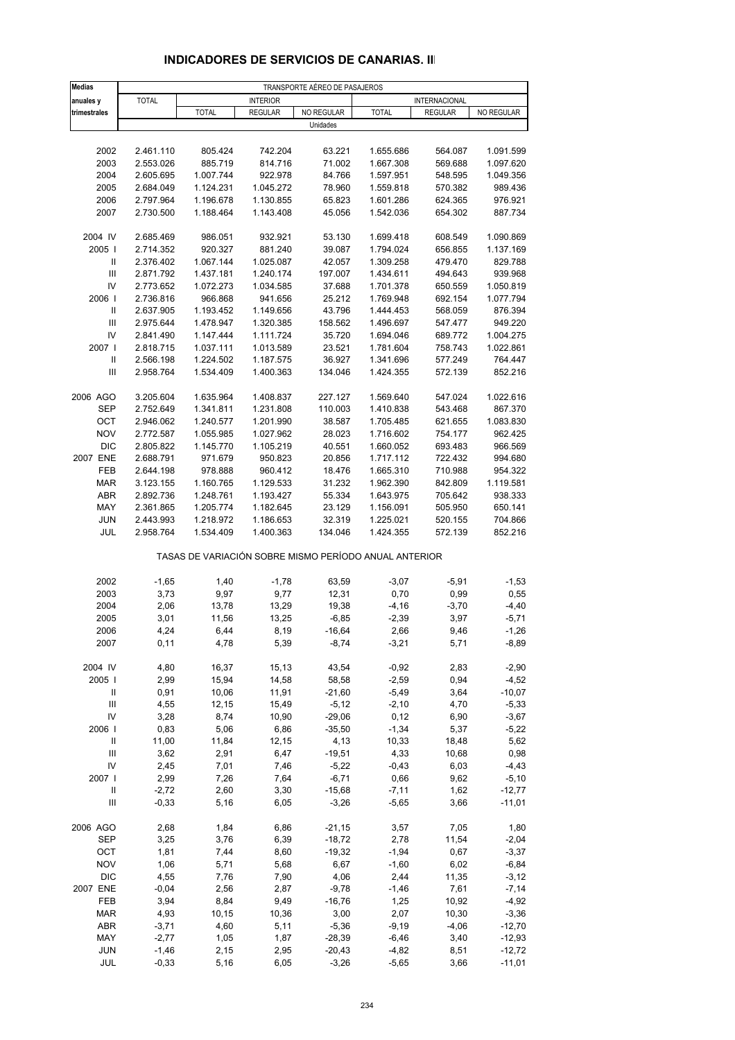| <b>Medias</b>                      |                        |                                                       |                        | TRANSPORTE AÉREO DE PASAJEROS |                        |                    |                      |
|------------------------------------|------------------------|-------------------------------------------------------|------------------------|-------------------------------|------------------------|--------------------|----------------------|
| anuales y                          | <b>TOTAL</b>           |                                                       | <b>INTERIOR</b>        |                               |                        | INTERNACIONAL      |                      |
| trimestrales                       |                        | <b>TOTAL</b>                                          | <b>REGULAR</b>         | NO REGULAR                    | <b>TOTAL</b>           | <b>REGULAR</b>     | NO REGULAR           |
|                                    |                        |                                                       |                        | Unidades                      |                        |                    |                      |
|                                    |                        |                                                       |                        |                               |                        |                    |                      |
| 2002                               | 2.461.110              | 805.424                                               | 742.204                | 63.221                        | 1.655.686              | 564.087            | 1.091.599            |
| 2003                               | 2.553.026              | 885.719                                               | 814.716                | 71.002                        | 1.667.308              | 569.688            | 1.097.620            |
| 2004                               | 2.605.695              | 1.007.744                                             | 922.978                | 84.766                        | 1.597.951              | 548.595            | 1.049.356            |
| 2005                               | 2.684.049              | 1.124.231                                             | 1.045.272              | 78.960                        | 1.559.818              | 570.382            | 989.436              |
| 2006<br>2007                       | 2.797.964              | 1.196.678                                             | 1.130.855              | 65.823                        | 1.601.286              | 624.365            | 976.921<br>887.734   |
|                                    | 2.730.500              | 1.188.464                                             | 1.143.408              | 45.056                        | 1.542.036              | 654.302            |                      |
| 2004 IV                            | 2.685.469              | 986.051                                               | 932.921                | 53.130                        | 1.699.418              | 608.549            | 1.090.869            |
| 2005                               | 2.714.352              | 920.327                                               | 881.240                | 39.087                        | 1.794.024              | 656.855            | 1.137.169            |
| Ш                                  | 2.376.402              | 1.067.144                                             | 1.025.087              | 42.057                        | 1.309.258              | 479.470            | 829.788              |
| $\ensuremath{\mathsf{III}}\xspace$ | 2.871.792              | 1.437.181                                             | 1.240.174              | 197.007                       | 1.434.611              | 494.643            | 939.968              |
| IV                                 | 2.773.652              | 1.072.273                                             | 1.034.585              | 37.688                        | 1.701.378              | 650.559            | 1.050.819            |
| 2006                               | 2.736.816              | 966.868                                               | 941.656                | 25.212                        | 1.769.948              | 692.154            | 1.077.794            |
| $\mathsf{I}$                       | 2.637.905              | 1.193.452                                             | 1.149.656              | 43.796                        | 1.444.453              | 568.059            | 876.394              |
| Ш                                  | 2.975.644              | 1.478.947                                             | 1.320.385              | 158.562                       | 1.496.697              | 547.477            | 949.220              |
| IV                                 | 2.841.490              | 1.147.444                                             | 1.111.724              | 35.720                        | 1.694.046              | 689.772            | 1.004.275            |
| 2007 l                             | 2.818.715              | 1.037.111                                             | 1.013.589              | 23.521                        | 1.781.604              | 758.743            | 1.022.861            |
| Ш                                  | 2.566.198              | 1.224.502                                             | 1.187.575              | 36.927                        | 1.341.696              | 577.249            | 764.447              |
| III                                | 2.958.764              | 1.534.409                                             | 1.400.363              | 134.046                       | 1.424.355              | 572.139            | 852.216              |
|                                    |                        |                                                       |                        |                               |                        |                    |                      |
| 2006 AGO<br><b>SEP</b>             | 3.205.604              | 1.635.964                                             | 1.408.837              | 227.127                       | 1.569.640<br>1.410.838 | 547.024<br>543.468 | 1.022.616            |
| OCT                                | 2.752.649<br>2.946.062 | 1.341.811<br>1.240.577                                | 1.231.808<br>1.201.990 | 110.003<br>38.587             | 1.705.485              | 621.655            | 867.370<br>1.083.830 |
| <b>NOV</b>                         | 2.772.587              | 1.055.985                                             | 1.027.962              | 28.023                        | 1.716.602              | 754.177            | 962.425              |
| <b>DIC</b>                         | 2.805.822              | 1.145.770                                             | 1.105.219              | 40.551                        | 1.660.052              | 693.483            | 966.569              |
| 2007 ENE                           | 2.688.791              | 971.679                                               | 950.823                | 20.856                        | 1.717.112              | 722.432            | 994.680              |
| FEB                                | 2.644.198              | 978.888                                               | 960.412                | 18.476                        | 1.665.310              | 710.988            | 954.322              |
| <b>MAR</b>                         | 3.123.155              | 1.160.765                                             | 1.129.533              | 31.232                        | 1.962.390              | 842.809            | 1.119.581            |
| ABR                                | 2.892.736              | 1.248.761                                             | 1.193.427              | 55.334                        | 1.643.975              | 705.642            | 938.333              |
| MAY                                | 2.361.865              | 1.205.774                                             | 1.182.645              | 23.129                        | 1.156.091              | 505.950            | 650.141              |
| <b>JUN</b>                         | 2.443.993              | 1.218.972                                             | 1.186.653              | 32.319                        | 1.225.021              | 520.155            | 704.866              |
| JUL                                | 2.958.764              | 1.534.409                                             | 1.400.363              | 134.046                       | 1.424.355              | 572.139            | 852.216              |
|                                    |                        | TASAS DE VARIACIÓN SOBRE MISMO PERÍODO ANUAL ANTERIOR |                        |                               |                        |                    |                      |
|                                    |                        |                                                       |                        |                               |                        |                    |                      |
| 2002                               | $-1,65$                | 1,40                                                  | $-1,78$                | 63,59                         | $-3,07$                | $-5,91$            | $-1,53$              |
| 2003                               | 3,73                   | 9,97                                                  | 9,77                   | 12,31                         | 0,70                   | 0,99               | 0,55                 |
| 2004                               | 2,06                   | 13,78                                                 | 13,29                  | 19,38                         | $-4, 16$               | $-3,70$            | $-4,40$              |
| 2005                               | 3,01                   | 11,56                                                 | 13,25                  | $-6,85$                       | $-2,39$                | 3,97               | $-5,71$              |
| 2006<br>2007                       | 4,24<br>0,11           | 6,44<br>4,78                                          | 8,19<br>5,39           | $-16,64$<br>$-8,74$           | 2,66<br>$-3,21$        | 9,46<br>5,71       | -1,26<br>$-8,89$     |
|                                    |                        |                                                       |                        |                               |                        |                    |                      |
| 2004 IV                            | 4,80                   | 16,37                                                 | 15,13                  | 43,54                         | $-0,92$                | 2,83               | $-2,90$              |
| 2005                               | 2,99                   | 15,94                                                 | 14,58                  | 58,58                         | $-2,59$                | 0,94               | $-4,52$              |
| Ш                                  | 0,91                   | 10,06                                                 | 11,91                  | $-21,60$                      | $-5,49$                | 3,64               | $-10,07$             |
| $\ensuremath{\mathsf{III}}\xspace$ | 4,55                   | 12,15                                                 | 15,49                  | $-5,12$                       | $-2,10$                | 4,70               | $-5,33$              |
| IV                                 | 3,28                   | 8,74                                                  | 10,90                  | $-29,06$                      | 0,12                   | 6,90               | $-3,67$              |
| 2006                               | 0,83                   | 5,06                                                  | 6,86                   | $-35,50$                      | $-1,34$                | 5,37               | $-5,22$              |
| Ш                                  | 11,00                  | 11,84                                                 | 12,15                  | 4,13                          | 10,33                  | 18,48              | 5,62                 |
| Ш                                  | 3,62                   | 2,91                                                  | 6,47                   | $-19,51$                      | 4,33                   | 10,68              | 0,98                 |
| IV                                 | 2,45                   | 7,01                                                  | 7,46                   | $-5,22$                       | $-0,43$                | 6,03               | $-4,43$              |
| 2007 l                             | 2,99                   | 7,26                                                  | 7,64                   | $-6,71$                       | 0,66                   | 9,62               | $-5,10$              |
| Ш                                  | $-2,72$                | 2,60                                                  | 3,30                   | $-15,68$                      | $-7,11$                | 1,62               | $-12,77$             |
| $\ensuremath{\mathsf{III}}\xspace$ | $-0,33$                | 5,16                                                  | 6,05                   | $-3,26$                       | $-5,65$                | 3,66               | $-11,01$             |
| 2006 AGO                           | 2,68                   | 1,84                                                  | 6,86                   | $-21,15$                      | 3,57                   | 7,05               | 1,80                 |
| SEP                                | 3,25                   | 3,76                                                  | 6,39                   | $-18,72$                      | 2,78                   | 11,54              | $-2,04$              |
| OCT                                | 1,81                   | 7,44                                                  | 8,60                   | $-19,32$                      | $-1,94$                | 0,67               | $-3,37$              |
| <b>NOV</b><br><b>DIC</b>           | 1,06                   | 5,71                                                  | 5,68                   | 6,67                          | $-1,60$                | 6,02               | $-6,84$              |
| 2007 ENE                           | 4,55<br>$-0,04$        | 7,76<br>2,56                                          | 7,90<br>2,87           | 4,06<br>$-9,78$               | 2,44<br>$-1,46$        | 11,35<br>7,61      | $-3,12$<br>$-7,14$   |
|                                    |                        |                                                       |                        |                               |                        |                    |                      |

#### **INDICADORES DE SERVICIOS DE CANARIAS. III**

 FEB 3,94 8,84 9,49 -16,76 1,25 10,92 -4,92 MAR 4,93 10,15 10,36 3,00 2,07 10,30 -3,36 ABR -3,71 4,60 5,11 -5,36 -9,19 -4,06 -12,70 MAY -2,77 1,05 1,87 -28,39 -6,46 3,40 -12,93 JUN -1,46 2,15 2,95 -20,43 -4,82 8,51 -12,72 JUL -0,33 5,16 6,05 -3,26 -5,65 3,66 -11,01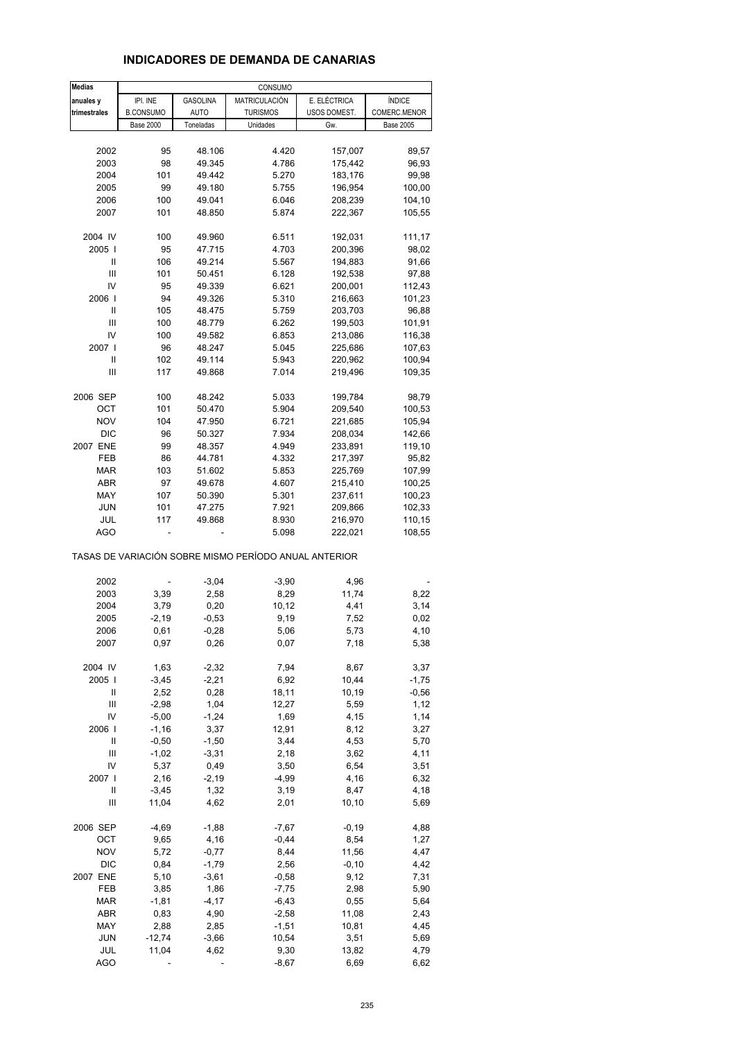### **INDICADORES DE DEMANDA DE CANARIAS**

| <b>Medias</b> |                  |             | CONSUMO                                               |              |                  |
|---------------|------------------|-------------|-------------------------------------------------------|--------------|------------------|
| anuales y     | IPI. INE         | GASOLINA    | MATRICULACIÓN                                         | E. ELÉCTRICA | ÍNDICE           |
| trimestrales  | <b>B.CONSUMO</b> | <b>AUTO</b> | <b>TURISMOS</b>                                       | USOS DOMEST. | COMERC.MENOR     |
|               | <b>Base 2000</b> | Toneladas   | Unidades                                              | Gw.          | <b>Base 2005</b> |
|               |                  |             |                                                       |              |                  |
|               |                  | 48.106      |                                                       | 157,007      |                  |
| 2002          | 95               |             | 4.420                                                 |              | 89,57            |
| 2003          | 98               | 49.345      | 4.786                                                 | 175,442      | 96,93            |
| 2004          | 101              | 49.442      | 5.270                                                 | 183,176      | 99,98            |
| 2005          | 99               | 49.180      | 5.755                                                 | 196,954      | 100,00           |
| 2006          | 100              | 49.041      | 6.046                                                 | 208,239      | 104,10           |
| 2007          | 101              | 48.850      | 5.874                                                 | 222,367      | 105,55           |
|               |                  |             |                                                       |              |                  |
| 2004 IV       | 100              | 49.960      | 6.511                                                 | 192,031      | 111,17           |
| 2005          | 95               | 47.715      | 4.703                                                 | 200,396      | 98,02            |
| Ш             | 106              | 49.214      | 5.567                                                 | 194,883      | 91,66            |
| Ш             | 101              | 50.451      | 6.128                                                 | 192,538      | 97,88            |
| IV            | 95               | 49.339      | 6.621                                                 | 200,001      | 112,43           |
| 2006          | 94               | 49.326      | 5.310                                                 | 216,663      | 101,23           |
| Ш             | 105              | 48.475      | 5.759                                                 | 203,703      | 96,88            |
| Ш             | 100              | 48.779      | 6.262                                                 | 199,503      | 101,91           |
| IV            | 100              | 49.582      | 6.853                                                 | 213,086      | 116,38           |
| 2007          | 96               | 48.247      | 5.045                                                 | 225,686      | 107,63           |
| Ш             | 102              | 49.114      | 5.943                                                 | 220,962      | 100,94           |
| Ш             | 117              | 49.868      | 7.014                                                 | 219,496      | 109,35           |
|               |                  |             |                                                       |              |                  |
| 2006 SEP      | 100              | 48.242      | 5.033                                                 | 199,784      | 98,79            |
| OCT           | 101              |             | 5.904                                                 |              |                  |
|               | 104              | 50.470      |                                                       | 209,540      | 100,53           |
| <b>NOV</b>    |                  | 47.950      | 6.721                                                 | 221,685      | 105,94           |
| DIC           | 96               | 50.327      | 7.934                                                 | 208,034      | 142,66           |
| 2007 ENE      | 99               | 48.357      | 4.949                                                 | 233,891      | 119,10           |
| FEB           | 86               | 44.781      | 4.332                                                 | 217,397      | 95,82            |
| <b>MAR</b>    | 103              | 51.602      | 5.853                                                 | 225,769      | 107,99           |
| ABR           | 97               | 49.678      | 4.607                                                 | 215,410      | 100,25           |
| MAY           | 107              | 50.390      | 5.301                                                 | 237,611      | 100,23           |
| JUN           | 101              | 47.275      | 7.921                                                 | 209,866      | 102,33           |
| JUL           | 117              | 49.868      | 8.930                                                 | 216,970      | 110,15           |
| AGO           |                  |             | 5.098                                                 | 222,021      | 108,55           |
|               |                  |             | TASAS DE VARIACIÓN SOBRE MISMO PERÍODO ANUAL ANTERIOR |              |                  |
| 2002          |                  | $-3,04$     | $-3,90$                                               | 4,96         |                  |
| 2003          | 3,39             | 2,58        | 8,29                                                  | 11,74        | 8,22             |
| 2004          | 3,79             | 0,20        | 10,12                                                 | 4,41         | 3,14             |
| 2005          | $-2,19$          | $-0,53$     | 9,19                                                  | 7,52         | 0,02             |
| 2006          | 0,61             | $-0,28$     | 5,06                                                  | 5,73         | 4,10             |
| 2007          | 0,97             | 0,26        | 0,07                                                  | 7,18         | 5,38             |
|               |                  |             |                                                       |              |                  |
| 2004 IV       | 1,63             | $-2,32$     | 7,94                                                  | 8,67         | 3,37             |
| 2005          | $-3,45$          | $-2,21$     | 6,92                                                  | 10,44        | $-1,75$          |
| Ш             | 2,52             | 0,28        | 18,11                                                 | 10,19        | $-0,56$          |
| Ш             | $-2,98$          | 1,04        | 12,27                                                 | 5,59         | 1,12             |
| IV            | $-5,00$          | $-1,24$     | 1,69                                                  | 4,15         | 1,14             |
| 2006          | $-1,16$          | 3,37        | 12,91                                                 | 8,12         | 3,27             |
|               |                  |             |                                                       |              |                  |
| Ш             | $-0,50$          | $-1,50$     | 3,44                                                  | 4,53         | 5,70             |
| Ш             | $-1,02$          | $-3,31$     | 2,18                                                  | 3,62         | 4,11             |
| IV            | 5,37             | 0,49        | 3,50                                                  | 6,54         | 3,51             |
| 2007          | 2,16             | $-2,19$     | $-4,99$                                               | 4,16         | 6,32             |
| Ш             | $-3,45$          | 1,32        | 3,19                                                  | 8,47         | 4,18             |
| Ш             | 11,04            | 4,62        | 2,01                                                  | 10, 10       | 5,69             |
|               |                  |             |                                                       |              |                  |
| 2006 SEP      | $-4,69$          | $-1,88$     | $-7,67$                                               | $-0,19$      | 4,88             |
| ОСТ           | 9,65             | 4,16        | $-0,44$                                               | 8,54         | 1,27             |
| <b>NOV</b>    | 5,72             | $-0,77$     | 8,44                                                  | 11,56        | 4,47             |
| DIC           | 0,84             | $-1,79$     | 2,56                                                  | $-0, 10$     | 4,42             |
| 2007 ENE      | 5,10             | $-3,61$     | $-0,58$                                               | 9,12         | 7,31             |
| FEB           | 3,85             | 1,86        | $-7,75$                                               | 2,98         | 5,90             |
| <b>MAR</b>    | $-1,81$          | $-4, 17$    | $-6,43$                                               | 0,55         | 5,64             |
| ABR           | 0,83             | 4,90        | $-2,58$                                               | 11,08        | 2,43             |
| MAY           | 2,88             | 2,85        | $-1,51$                                               | 10,81        | 4,45             |
| <b>JUN</b>    | $-12,74$         | $-3,66$     | 10,54                                                 | 3,51         | 5,69             |
| JUL           | 11,04            | 4,62        | 9,30                                                  | 13,82        | 4,79             |
| <b>AGO</b>    |                  |             | $-8,67$                                               | 6,69         | 6,62             |
|               |                  |             |                                                       |              |                  |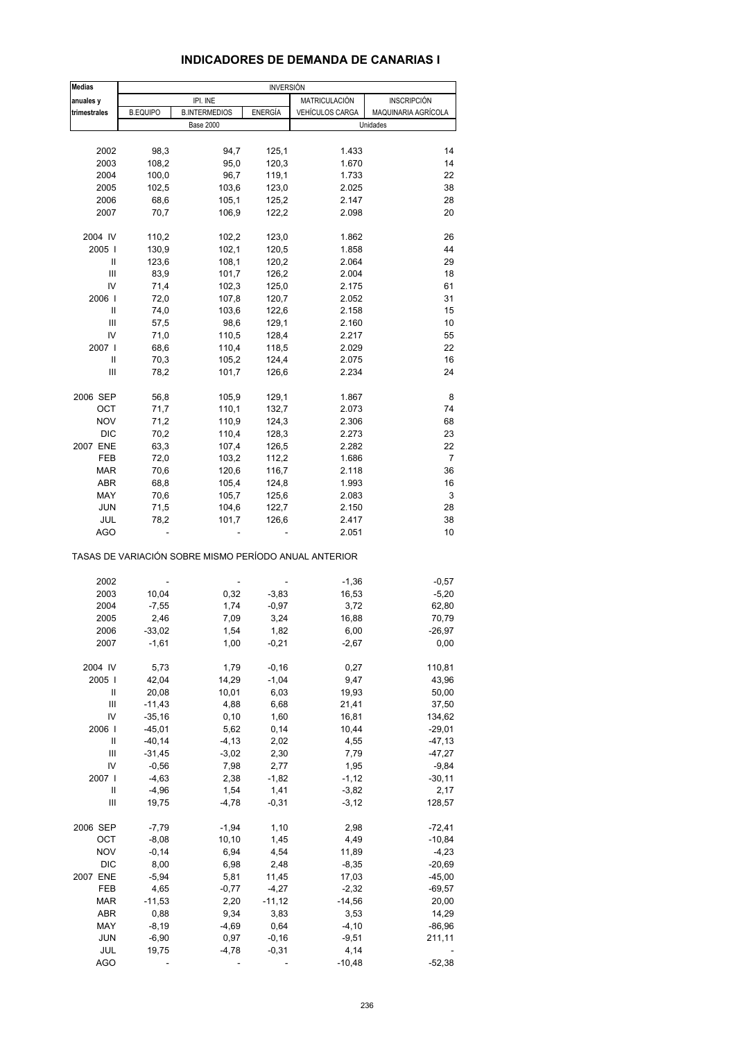### **INDICADORES DE DEMANDA DE CANARIAS I**

| <b>Medias</b> | <b>INVERSIÓN</b> |                                                       |                |                 |                     |  |
|---------------|------------------|-------------------------------------------------------|----------------|-----------------|---------------------|--|
| anuales y     |                  | IPI. INE                                              |                | MATRICULACIÓN   | <b>INSCRIPCIÓN</b>  |  |
| trimestrales  | <b>B.EQUIPO</b>  | <b>B.INTERMEDIOS</b>                                  | <b>ENERGÍA</b> | VEHÍCULOS CARGA | MAQUINARIA AGRÍCOLA |  |
|               |                  | <b>Base 2000</b>                                      |                |                 | Unidades            |  |
|               |                  |                                                       |                |                 |                     |  |
| 2002          | 98,3             | 94,7                                                  | 125,1          | 1.433           | 14                  |  |
| 2003          | 108,2            | 95,0                                                  | 120,3          | 1.670           | 14                  |  |
| 2004          | 100,0            | 96,7                                                  | 119,1          | 1.733           | 22                  |  |
| 2005          | 102,5            | 103,6                                                 | 123,0          | 2.025           | 38                  |  |
| 2006          | 68,6             | 105,1                                                 | 125,2          | 2.147           | 28                  |  |
| 2007          | 70,7             | 106,9                                                 | 122,2          | 2.098           | 20                  |  |
| 2004 IV       | 110,2            | 102,2                                                 | 123,0          | 1.862           | 26                  |  |
| 2005          | 130,9            | 102,1                                                 | 120,5          | 1.858           | 44                  |  |
| Ш             | 123,6            | 108,1                                                 | 120,2          | 2.064           | 29                  |  |
| Ш             | 83,9             | 101,7                                                 | 126,2          | 2.004           | 18                  |  |
| IV            | 71,4             | 102,3                                                 | 125,0          | 2.175           | 61                  |  |
| 2006          | 72,0             | 107,8                                                 | 120,7          | 2.052           | 31                  |  |
| Ш             | 74,0             | 103,6                                                 | 122,6          | 2.158           | 15                  |  |
| Ш             | 57,5             | 98,6                                                  | 129,1          | 2.160           | 10                  |  |
| IV            | 71,0             | 110,5                                                 | 128,4          | 2.217           | 55                  |  |
| 2007 l        | 68,6             | 110,4                                                 | 118,5          | 2.029           | 22                  |  |
| Ш             | 70,3             | 105,2                                                 | 124,4          | 2.075           | 16                  |  |
| Ш             | 78,2             | 101,7                                                 | 126,6          | 2.234           | 24                  |  |
| 2006 SEP      | 56,8             | 105,9                                                 | 129,1          | 1.867           | 8                   |  |
| OCT           | 71,7             | 110,1                                                 | 132,7          | 2.073           | 74                  |  |
| <b>NOV</b>    | 71,2             | 110,9                                                 | 124,3          | 2.306           | 68                  |  |
| <b>DIC</b>    | 70,2             | 110,4                                                 | 128,3          | 2.273           | 23                  |  |
| 2007 ENE      | 63,3             | 107,4                                                 | 126,5          | 2.282           | 22                  |  |
| FEB           | 72,0             | 103,2                                                 | 112,2          | 1.686           | $\overline{7}$      |  |
| <b>MAR</b>    | 70,6             | 120,6                                                 | 116,7          | 2.118           | 36                  |  |
| <b>ABR</b>    | 68,8             | 105,4                                                 | 124,8          | 1.993           | 16                  |  |
| MAY           | 70,6             | 105,7                                                 | 125,6          | 2.083           | 3                   |  |
| JUN           | 71,5             | 104,6                                                 | 122,7          | 2.150           | 28                  |  |
| JUL           | 78,2             | 101,7                                                 | 126,6          | 2.417           | 38                  |  |
| <b>AGO</b>    |                  |                                                       |                | 2.051           | 10                  |  |
|               |                  | TASAS DE VARIACIÓN SOBRE MISMO PERÍODO ANUAL ANTERIOR |                |                 |                     |  |
| 2002          |                  |                                                       |                | $-1,36$         | $-0,57$             |  |
| 2003          | 10,04            | 0,32                                                  | $-3,83$        | 16,53           | $-5,20$             |  |
| 2004          | $-7,55$          | 1,74                                                  | $-0,97$        | 3,72            | 62,80               |  |
| 2005          | 2,46             | 7,09                                                  | 3,24           | 16,88           | 70,79               |  |
| 2006          | $-33,02$         | 1,54                                                  | 1,82           | 6,00            | -26,97              |  |
| 2007          | $-1,61$          | 1,00                                                  | $-0,21$        | $-2,67$         | 0,00                |  |
| 2004 IV       | 5,73             | 1,79                                                  | $-0, 16$       | 0,27            | 110,81              |  |
| 2005          | 42,04            | 14,29                                                 | $-1,04$        | 9,47            | 43,96               |  |
| Ш             | 20,08            | 10,01                                                 | 6,03           | 19,93           | 50,00               |  |
| Ш             | $-11,43$         | 4,88                                                  | 6,68           | 21,41           | 37,50               |  |
| IV            | $-35,16$         | 0, 10                                                 | 1,60           | 16,81           | 134,62              |  |
| 2006          | $-45,01$         | 5,62                                                  | 0,14           | 10,44           | $-29,01$            |  |
| Ш             | $-40,14$         | $-4, 13$                                              | 2,02           | 4,55            | $-47,13$            |  |
| Ш             | $-31,45$         | $-3,02$                                               | 2,30           | 7,79            | $-47,27$            |  |
| IV            | $-0,56$          | 7,98                                                  | 2,77           | 1,95            | $-9,84$             |  |
| 2007          | $-4,63$          | 2,38                                                  | $-1,82$        | $-1, 12$        | $-30,11$            |  |
| Ш             | $-4,96$          | 1,54                                                  | 1,41           | $-3,82$         | 2,17                |  |
| Ш             | 19,75            | $-4,78$                                               | $-0,31$        | $-3, 12$        | 128,57              |  |
| 2006 SEP      | $-7,79$          | $-1,94$                                               | 1,10           | 2,98            | $-72,41$            |  |
| OCT           | $-8,08$          | 10,10                                                 | 1,45           | 4,49            | $-10,84$            |  |
| <b>NOV</b>    | $-0,14$          |                                                       | 4,54           |                 |                     |  |
| <b>DIC</b>    | 8,00             | 6,94<br>6,98                                          |                | 11,89           | $-4,23$<br>$-20,69$ |  |
|               |                  |                                                       | 2,48           | $-8,35$         |                     |  |
| 2007 ENE      | $-5,94$          | 5,81                                                  | 11,45          | 17,03           | $-45,00$            |  |
| FEB           | 4,65             | $-0,77$                                               | $-4,27$        | $-2,32$         | $-69,57$            |  |
| <b>MAR</b>    | $-11,53$         | 2,20                                                  | $-11,12$       | $-14,56$        | 20,00               |  |
| ABR           | 0,88             | 9,34                                                  | 3,83           | 3,53            | 14,29               |  |
| MAY           | $-8,19$          | $-4,69$                                               | 0,64           | $-4, 10$        | $-86,96$            |  |
| <b>JUN</b>    | $-6,90$          | 0,97                                                  | $-0,16$        | $-9,51$         | 211,11              |  |
| JUL           | 19,75            | $-4,78$                                               | $-0,31$        | 4,14            |                     |  |
| AGO           |                  |                                                       |                | $-10,48$        | $-52,38$            |  |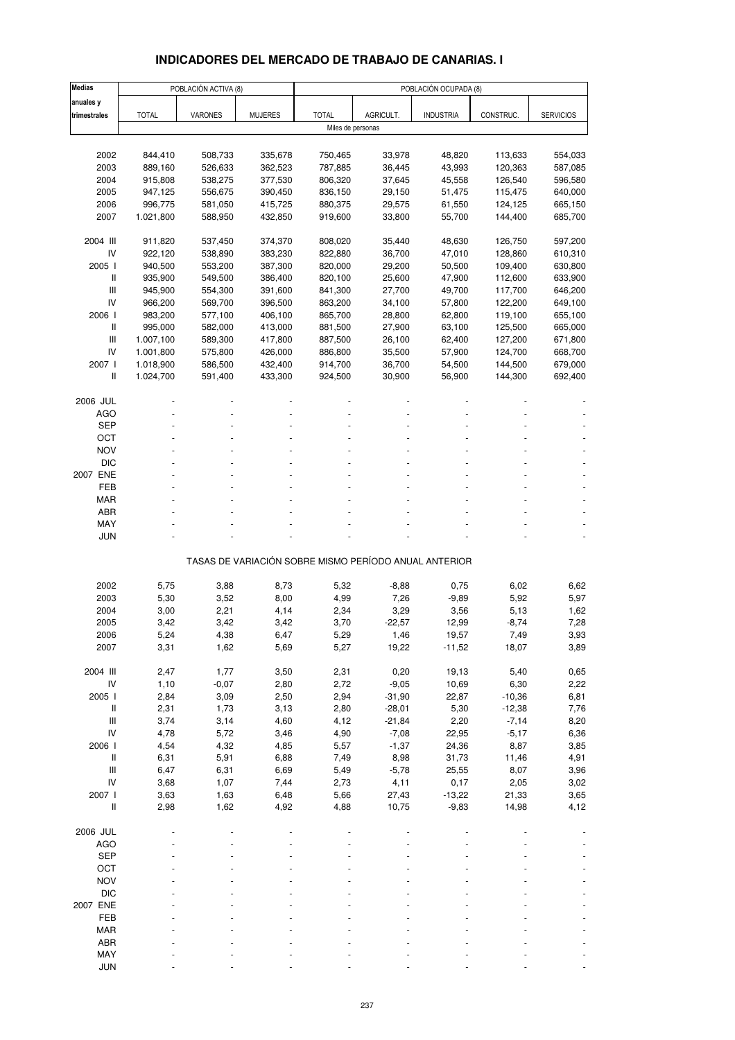# **INDICADORES DEL MERCADO DE TRABAJO DE CANARIAS. I**

| <b>Medias</b>                                                             | POBLACIÓN ACTIVA (8)   |                    |                    | POBLACIÓN OCUPADA (8) |                  |                                                       |                    |                    |  |
|---------------------------------------------------------------------------|------------------------|--------------------|--------------------|-----------------------|------------------|-------------------------------------------------------|--------------------|--------------------|--|
| anuales y                                                                 |                        |                    |                    |                       |                  |                                                       |                    |                    |  |
| trimestrales                                                              | <b>TOTAL</b>           | VARONES            | <b>MUJERES</b>     | <b>TOTAL</b>          | AGRICULT.        | <b>INDUSTRIA</b>                                      | CONSTRUC.          | <b>SERVICIOS</b>   |  |
|                                                                           |                        |                    |                    | Miles de personas     |                  |                                                       |                    |                    |  |
|                                                                           |                        |                    |                    |                       |                  |                                                       |                    |                    |  |
| 2002                                                                      | 844,410                | 508,733            | 335,678            | 750,465               | 33,978           | 48,820                                                | 113,633            | 554,033            |  |
| 2003                                                                      | 889,160                | 526,633            | 362,523            | 787,885               | 36,445           | 43,993                                                | 120,363            | 587,085            |  |
| 2004                                                                      | 915,808                | 538,275            | 377,530            | 806,320               | 37,645           | 45,558                                                | 126,540            | 596,580            |  |
| 2005                                                                      | 947,125                | 556,675            | 390,450            | 836,150               | 29,150           | 51,475                                                | 115,475            | 640,000            |  |
| 2006                                                                      | 996,775                | 581,050            | 415,725            | 880,375               | 29,575           | 61,550                                                | 124,125            | 665,150            |  |
| 2007                                                                      | 1.021,800              | 588,950            | 432,850            | 919,600               | 33,800           | 55,700                                                | 144,400            | 685,700            |  |
|                                                                           |                        |                    |                    |                       |                  |                                                       |                    |                    |  |
| 2004 III                                                                  | 911,820                | 537,450            | 374,370            | 808,020               | 35,440           | 48,630                                                | 126,750            | 597,200            |  |
| IV                                                                        | 922,120                | 538,890            | 383,230            | 822,880               | 36,700           | 47,010                                                | 128,860            | 610,310            |  |
| 2005 l                                                                    | 940,500                | 553,200            | 387,300            | 820,000               | 29,200           | 50,500                                                | 109,400            | 630,800            |  |
| Ш                                                                         | 935,900                | 549,500            | 386,400            | 820,100               | 25,600           | 47,900                                                | 112,600            | 633,900            |  |
| $\mathsf{III}$                                                            | 945,900                | 554,300            | 391,600            | 841,300               | 27,700           | 49,700                                                | 117,700            | 646,200            |  |
| IV                                                                        | 966,200                | 569,700            | 396,500            | 863,200               | 34,100           | 57,800                                                | 122,200            | 649,100            |  |
| 2006 l                                                                    | 983,200                | 577,100            | 406,100            | 865,700               | 28,800           | 62,800                                                | 119,100            | 655,100            |  |
| $\label{eq:1} \prod_{i=1}^n \left\{ \prod_{i=1}^n \frac{1}{n_i} \right\}$ | 995,000                | 582,000            | 413,000            | 881,500               | 27,900           | 63,100                                                | 125,500            | 665,000            |  |
| Ш<br>IV                                                                   | 1.007,100              | 589,300            | 417,800            | 887,500<br>886,800    | 26,100           | 62,400<br>57,900                                      | 127,200            | 671,800<br>668,700 |  |
| 2007 l                                                                    | 1.001,800<br>1.018,900 | 575,800<br>586,500 | 426,000<br>432,400 | 914,700               | 35,500<br>36,700 | 54,500                                                | 124,700<br>144,500 | 679,000            |  |
| Ш                                                                         | 1.024,700              | 591,400            | 433,300            | 924,500               | 30,900           | 56,900                                                | 144,300            | 692,400            |  |
|                                                                           |                        |                    |                    |                       |                  |                                                       |                    |                    |  |
| 2006 JUL                                                                  |                        |                    |                    |                       |                  |                                                       |                    |                    |  |
| <b>AGO</b>                                                                |                        |                    |                    |                       |                  |                                                       |                    |                    |  |
| <b>SEP</b>                                                                |                        |                    |                    |                       |                  |                                                       |                    |                    |  |
| OCT                                                                       |                        |                    |                    |                       |                  |                                                       |                    |                    |  |
| <b>NOV</b>                                                                |                        |                    |                    |                       |                  |                                                       |                    |                    |  |
| <b>DIC</b>                                                                |                        |                    |                    |                       |                  |                                                       |                    |                    |  |
| 2007 ENE                                                                  |                        |                    |                    |                       |                  |                                                       |                    |                    |  |
| FEB                                                                       |                        |                    |                    |                       |                  |                                                       |                    |                    |  |
| <b>MAR</b>                                                                |                        |                    |                    |                       |                  |                                                       |                    |                    |  |
| <b>ABR</b>                                                                |                        |                    |                    |                       |                  |                                                       |                    |                    |  |
| MAY                                                                       |                        |                    |                    |                       |                  |                                                       |                    |                    |  |
| <b>JUN</b>                                                                |                        |                    |                    |                       |                  |                                                       |                    |                    |  |
|                                                                           |                        |                    |                    |                       |                  | TASAS DE VARIACIÓN SOBRE MISMO PERÍODO ANUAL ANTERIOR |                    |                    |  |
|                                                                           |                        |                    |                    |                       |                  |                                                       |                    |                    |  |
| 2002                                                                      | 5,75                   | 3,88               | 8,73               | 5,32                  | $-8,88$          | 0,75                                                  | 6,02               | 6,62               |  |
| 2003                                                                      | 5,30                   | 3,52               | 8,00               | 4,99                  | 7,26             | $-9,89$                                               | 5,92               | 5,97               |  |
| 2004                                                                      | 3,00                   | 2,21               | 4,14               | 2,34                  | 3,29             | 3,56                                                  | 5,13               | 1,62               |  |
| 2005                                                                      | 3,42                   | 3,42               | 3,42               | 3,70                  | $-22,57$         | 12,99                                                 | $-8,74$            | 7,28               |  |
| 2006<br>2007                                                              | 5,24<br>3,31           | 4,38<br>1,62       | 6,47<br>5,69       | 5,29<br>5,27          | 1,46<br>19,22    | 19,57<br>$-11,52$                                     | 7,49<br>18,07      | 3,93<br>3,89       |  |
|                                                                           |                        |                    |                    |                       |                  |                                                       |                    |                    |  |
| 2004 III                                                                  | 2,47                   | 1,77               | 3,50               | 2,31                  | 0,20             | 19,13                                                 | 5,40               | 0,65               |  |
| IV                                                                        | 1,10                   | $-0,07$            | 2,80               | 2,72                  | $-9,05$          | 10,69                                                 | 6,30               | 2,22               |  |
| 2005 l                                                                    | 2,84                   | 3,09               | 2,50               | 2,94                  | $-31,90$         | 22,87                                                 | $-10,36$           | 6,81               |  |
| $\, \parallel$                                                            | 2,31                   | 1,73               | 3,13               | 2,80                  | $-28,01$         | 5,30                                                  | $-12,38$           | 7,76               |  |
| $\mathsf{III}$                                                            | 3,74                   | 3,14               | 4,60               | 4,12                  | $-21,84$         | 2,20                                                  | $-7,14$            | 8,20               |  |
| IV                                                                        | 4,78                   | 5,72               | 3,46               | 4,90                  | $-7,08$          | 22,95                                                 | $-5,17$            | 6,36               |  |
| 2006 l                                                                    | 4,54                   | 4,32               | 4,85               | 5,57                  | $-1,37$          | 24,36                                                 | 8,87               | 3,85               |  |
| $\, \parallel$                                                            | 6,31                   | 5,91               | 6,88               | 7,49                  | 8,98             | 31,73                                                 | 11,46              | 4,91               |  |
| $\ensuremath{\mathsf{III}}\xspace$                                        | 6,47                   | 6,31               | 6,69               | 5,49                  | $-5,78$          | 25,55                                                 | 8,07               | 3,96               |  |
| IV                                                                        | 3,68                   | 1,07               | 7,44               | 2,73                  | 4,11             | 0,17                                                  | 2,05               | 3,02               |  |
| 2007 l                                                                    | 3,63                   | 1,63               | 6,48               | 5,66                  | 27,43            | $-13,22$                                              | 21,33              | 3,65               |  |
| Ш                                                                         | 2,98                   | 1,62               | 4,92               | 4,88                  | 10,75            | $-9,83$                                               | 14,98              | 4,12               |  |
|                                                                           |                        |                    |                    |                       |                  |                                                       |                    |                    |  |
| 2006 JUL                                                                  |                        |                    |                    |                       |                  |                                                       |                    |                    |  |
| <b>AGO</b>                                                                |                        |                    |                    |                       |                  |                                                       |                    |                    |  |
| <b>SEP</b><br>OCT                                                         |                        |                    |                    |                       |                  |                                                       |                    |                    |  |
| <b>NOV</b>                                                                |                        |                    |                    |                       |                  |                                                       |                    |                    |  |
| <b>DIC</b>                                                                |                        |                    |                    |                       |                  |                                                       |                    |                    |  |
| 2007 ENE                                                                  |                        |                    |                    |                       |                  |                                                       |                    |                    |  |
| FEB                                                                       |                        |                    |                    |                       |                  |                                                       |                    |                    |  |
| <b>MAR</b>                                                                |                        |                    |                    |                       |                  |                                                       |                    |                    |  |
| ABR                                                                       |                        |                    |                    |                       |                  |                                                       |                    |                    |  |
| MAY                                                                       |                        |                    |                    |                       |                  |                                                       |                    |                    |  |
| <b>JUN</b>                                                                |                        |                    |                    |                       |                  |                                                       |                    |                    |  |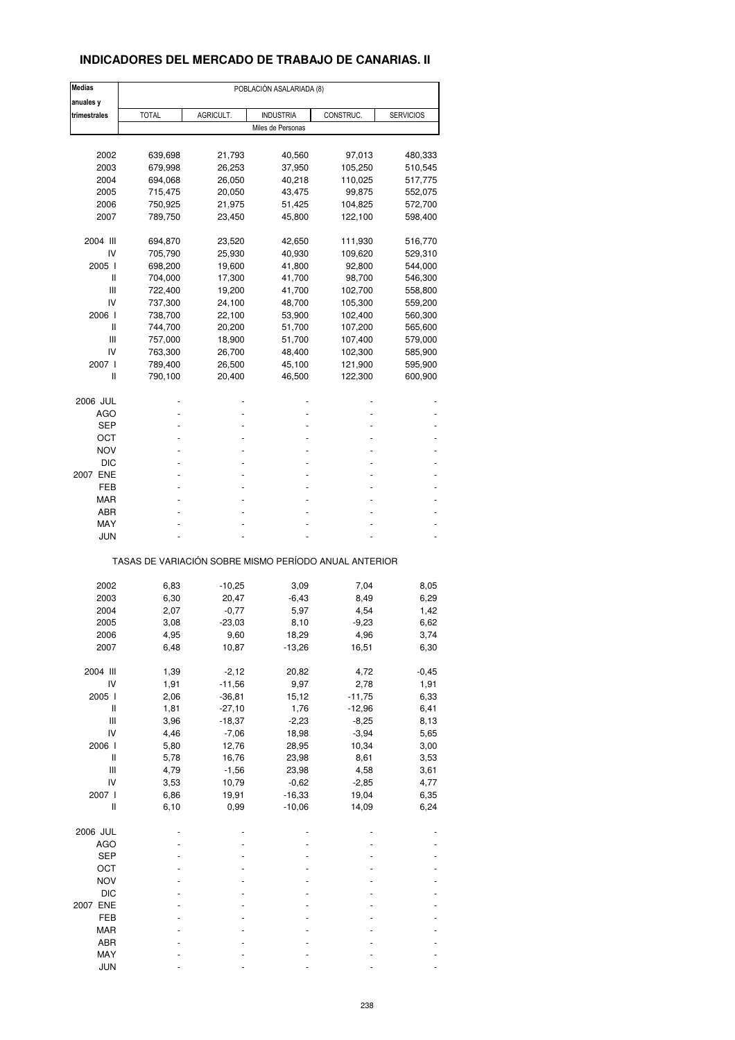## **INDICADORES DEL MERCADO DE TRABAJO DE CANARIAS. II**

| <b>Medias</b>                      | POBLACIÓN ASALARIADA (8)                              |           |                   |           |                  |  |  |  |
|------------------------------------|-------------------------------------------------------|-----------|-------------------|-----------|------------------|--|--|--|
| anuales y                          |                                                       |           |                   |           |                  |  |  |  |
| trimestrales                       | <b>TOTAL</b>                                          | AGRICULT. | <b>INDUSTRIA</b>  | CONSTRUC. | <b>SERVICIOS</b> |  |  |  |
|                                    |                                                       |           | Miles de Personas |           |                  |  |  |  |
|                                    |                                                       |           |                   |           |                  |  |  |  |
| 2002                               | 639,698                                               | 21,793    | 40,560            | 97,013    | 480,333          |  |  |  |
| 2003                               | 679,998                                               | 26,253    | 37,950            | 105,250   | 510,545          |  |  |  |
| 2004                               | 694,068                                               | 26,050    | 40,218            | 110,025   | 517,775          |  |  |  |
| 2005                               | 715,475                                               | 20,050    | 43,475            | 99,875    | 552,075          |  |  |  |
| 2006                               | 750,925                                               | 21,975    | 51,425            | 104,825   | 572,700          |  |  |  |
| 2007                               | 789,750                                               | 23,450    | 45,800            | 122,100   | 598,400          |  |  |  |
| 2004 III                           | 694,870                                               | 23,520    | 42,650            | 111,930   | 516,770          |  |  |  |
| IV                                 | 705,790                                               | 25,930    | 40,930            | 109,620   | 529,310          |  |  |  |
| 2005 l                             | 698,200                                               | 19,600    | 41,800            | 92,800    | 544,000          |  |  |  |
| Ш                                  | 704,000                                               | 17,300    | 41,700            | 98,700    | 546,300          |  |  |  |
| Ш                                  | 722,400                                               | 19,200    | 41,700            | 102,700   | 558,800          |  |  |  |
| IV                                 | 737,300                                               | 24,100    | 48,700            | 105,300   | 559,200          |  |  |  |
| 2006 l                             | 738,700                                               | 22,100    | 53,900            | 102,400   | 560,300          |  |  |  |
| Ш                                  | 744,700                                               | 20,200    | 51,700            | 107,200   | 565,600          |  |  |  |
| Ш                                  | 757,000                                               | 18,900    | 51,700            | 107,400   | 579,000          |  |  |  |
| IV                                 | 763,300                                               | 26,700    | 48,400            | 102,300   | 585,900          |  |  |  |
| 2007 l                             | 789,400                                               | 26,500    | 45,100            | 121,900   | 595,900          |  |  |  |
| Ш                                  | 790,100                                               | 20,400    | 46,500            | 122,300   | 600,900          |  |  |  |
| 2006 JUL                           |                                                       |           |                   |           |                  |  |  |  |
| AGO                                |                                                       |           |                   |           |                  |  |  |  |
| SEP                                |                                                       |           |                   |           |                  |  |  |  |
| ост                                |                                                       |           |                   |           |                  |  |  |  |
| NOV                                |                                                       |           |                   |           |                  |  |  |  |
| <b>DIC</b>                         |                                                       |           |                   |           |                  |  |  |  |
| 2007 ENE                           |                                                       |           |                   |           |                  |  |  |  |
| FEB                                |                                                       |           |                   |           |                  |  |  |  |
| MAR                                |                                                       |           |                   |           |                  |  |  |  |
| ABR                                |                                                       |           |                   |           |                  |  |  |  |
| MAY                                |                                                       |           |                   |           |                  |  |  |  |
| JUN                                |                                                       |           |                   |           |                  |  |  |  |
|                                    | TASAS DE VARIACIÓN SOBRE MISMO PERÍODO ANUAL ANTERIOR |           |                   |           |                  |  |  |  |
| 2002                               | 6,83                                                  | $-10,25$  | 3,09              | 7,04      | 8,05             |  |  |  |
| 2003                               | 6,30                                                  | 20,47     | $-6,43$           | 8,49      | 6,29             |  |  |  |
| 2004                               | 2,07                                                  | $-0,77$   | 5,97              | 4,54      | 1,42             |  |  |  |
| 2005                               | 3,08                                                  | $-23,03$  | 8,10              | $-9,23$   | 6,62             |  |  |  |
| 2006                               | 4,95                                                  | 9,60      | 18,29             | 4,96      | 3,74             |  |  |  |
| 2007                               | 6,48                                                  | 10,87     | $-13,26$          | 16,51     | 6,30             |  |  |  |
|                                    |                                                       |           |                   |           |                  |  |  |  |
| 2004 III                           | 1,39                                                  | $-2,12$   | 20,82             | 4,72      | $-0,45$          |  |  |  |
| IV                                 | 1,91                                                  | $-11,56$  | 9,97              | 2,78      | 1,91             |  |  |  |
| 2005 l                             | 2,06                                                  | $-36,81$  | 15,12             | $-11,75$  | 6,33             |  |  |  |
| Ш                                  | 1,81                                                  | $-27,10$  | 1,76              | $-12,96$  | 6,41             |  |  |  |
| Ш                                  | 3,96                                                  | $-18,37$  | $-2,23$           | $-8,25$   | 8,13             |  |  |  |
| IV                                 | 4,46                                                  | $-7,06$   | 18,98             | $-3,94$   | 5,65             |  |  |  |
| 2006 l                             | 5,80                                                  | 12,76     | 28,95             | 10,34     | 3,00             |  |  |  |
| Ш                                  | 5,78                                                  | 16,76     | 23,98             | 8,61      | 3,53             |  |  |  |
| $\ensuremath{\mathsf{III}}\xspace$ | 4,79                                                  | $-1,56$   | 23,98             | 4,58      | 3,61             |  |  |  |
| IV                                 | 3,53                                                  | 10,79     | $-0,62$           | $-2,85$   | 4,77             |  |  |  |
| 2007 l                             | 6,86                                                  | 19,91     | $-16,33$          | 19,04     | 6,35             |  |  |  |
| Ш                                  | 6, 10                                                 | 0,99      | $-10,06$          | 14,09     | 6,24             |  |  |  |
| 2006 JUL                           |                                                       |           |                   |           |                  |  |  |  |
| <b>AGO</b>                         |                                                       |           |                   |           |                  |  |  |  |
| SEP                                |                                                       |           |                   |           |                  |  |  |  |
| OCT                                |                                                       |           |                   |           |                  |  |  |  |
| <b>NOV</b>                         |                                                       |           |                   |           |                  |  |  |  |
| <b>DIC</b>                         |                                                       |           |                   |           |                  |  |  |  |
| 2007 ENE                           |                                                       |           |                   |           |                  |  |  |  |
| FEB                                |                                                       |           |                   |           |                  |  |  |  |
| MAR                                |                                                       |           |                   |           |                  |  |  |  |
| ABR                                |                                                       |           |                   |           |                  |  |  |  |
| MAY                                |                                                       |           |                   |           |                  |  |  |  |
| <b>JUN</b>                         |                                                       |           |                   |           |                  |  |  |  |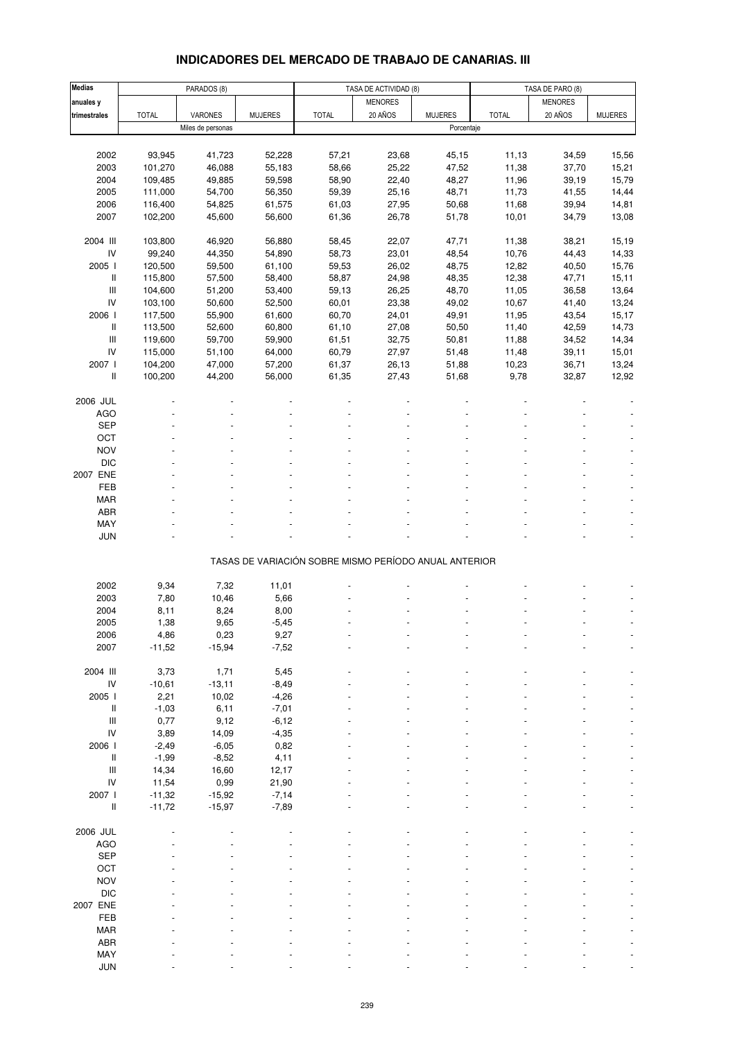# **INDICADORES DEL MERCADO DE TRABAJO DE CANARIAS. III**

| <b>Medias</b>                      |              | PARADOS (8)       |                |                                                       | TASA DE ACTIVIDAD (8) |                | TASA DE PARO (8) |                |                |
|------------------------------------|--------------|-------------------|----------------|-------------------------------------------------------|-----------------------|----------------|------------------|----------------|----------------|
| anuales y                          |              |                   |                |                                                       | <b>MENORES</b>        |                |                  | <b>MENORES</b> |                |
| trimestrales                       | <b>TOTAL</b> | <b>VARONES</b>    | <b>MUJERES</b> | <b>TOTAL</b>                                          | 20 AÑOS               | <b>MUJERES</b> | <b>TOTAL</b>     | 20 AÑOS        | <b>MUJERES</b> |
|                                    |              | Miles de personas |                |                                                       |                       | Porcentaje     |                  |                |                |
|                                    |              |                   |                |                                                       |                       |                |                  |                |                |
|                                    |              |                   | 52,228         |                                                       | 23,68                 |                |                  |                |                |
| 2002                               | 93,945       | 41,723            |                | 57,21                                                 |                       | 45,15          | 11,13            | 34,59          | 15,56          |
| 2003                               | 101,270      | 46,088            | 55,183         | 58,66                                                 | 25,22                 | 47,52          | 11,38            | 37,70          | 15,21          |
| 2004                               | 109,485      | 49,885            | 59,598         | 58,90                                                 | 22,40                 | 48,27          | 11,96            | 39,19          | 15,79          |
| 2005                               | 111,000      | 54,700            | 56,350         | 59,39                                                 | 25,16                 | 48,71          | 11,73            | 41,55          | 14,44          |
| 2006                               | 116,400      | 54,825            | 61,575         | 61,03                                                 | 27,95                 | 50,68          | 11,68            | 39,94          | 14,81          |
| 2007                               | 102,200      | 45,600            | 56,600         | 61,36                                                 | 26,78                 | 51,78          | 10,01            | 34,79          | 13,08          |
|                                    |              |                   |                |                                                       |                       |                |                  |                |                |
| 2004 III                           | 103,800      | 46,920            | 56,880         | 58,45                                                 | 22,07                 | 47,71          | 11,38            | 38,21          | 15,19          |
| IV                                 | 99,240       | 44,350            | 54,890         | 58,73                                                 | 23,01                 | 48,54          | 10,76            | 44,43          | 14,33          |
| 2005 l                             | 120,500      | 59,500            | 61,100         | 59,53                                                 | 26,02                 | 48,75          | 12,82            | 40,50          | 15,76          |
| Ш                                  | 115,800      | 57,500            | 58,400         | 58,87                                                 | 24,98                 | 48,35          | 12,38            | 47,71          | 15,11          |
| $\mathbf{III}$                     | 104,600      | 51,200            | 53,400         | 59,13                                                 | 26,25                 | 48,70          | 11,05            | 36,58          | 13,64          |
| IV                                 | 103,100      | 50,600            | 52,500         | 60,01                                                 | 23,38                 | 49,02          | 10,67            | 41,40          | 13,24          |
| 2006                               | 117,500      | 55,900            | 61,600         | 60,70                                                 | 24,01                 | 49,91          | 11,95            | 43,54          | 15,17          |
| $\mathsf{I}$                       | 113,500      | 52,600            | 60,800         | 61,10                                                 | 27,08                 | 50,50          | 11,40            | 42,59          | 14,73          |
| $\mathbf{III}$                     | 119,600      | 59,700            |                |                                                       | 32,75                 |                |                  |                |                |
| IV                                 |              |                   | 59,900         | 61,51                                                 |                       | 50,81          | 11,88            | 34,52          | 14,34          |
|                                    | 115,000      | 51,100            | 64,000         | 60,79                                                 | 27,97                 | 51,48          | 11,48            | 39,11          | 15,01          |
| 2007 l                             | 104,200      | 47,000            | 57,200         | 61,37                                                 | 26,13                 | 51,88          | 10,23            | 36,71          | 13,24          |
| $\mathsf{I}$                       | 100,200      | 44,200            | 56,000         | 61,35                                                 | 27,43                 | 51,68          | 9,78             | 32,87          | 12,92          |
|                                    |              |                   |                |                                                       |                       |                |                  |                |                |
| 2006 JUL                           |              |                   |                |                                                       |                       |                |                  |                |                |
| <b>AGO</b>                         |              |                   |                |                                                       |                       |                |                  |                |                |
| <b>SEP</b>                         |              |                   |                |                                                       |                       |                |                  |                |                |
| OCT                                |              |                   |                |                                                       |                       |                |                  |                |                |
| <b>NOV</b>                         |              |                   |                |                                                       |                       |                |                  |                |                |
| <b>DIC</b>                         |              |                   |                |                                                       |                       |                |                  |                |                |
| 2007 ENE                           |              |                   |                |                                                       |                       |                |                  |                |                |
| <b>FEB</b>                         |              |                   |                |                                                       |                       |                |                  |                |                |
| <b>MAR</b>                         |              |                   |                |                                                       |                       |                |                  |                |                |
| ABR                                |              |                   |                |                                                       |                       |                |                  |                |                |
| MAY                                |              |                   |                |                                                       |                       |                |                  |                |                |
| <b>JUN</b>                         |              |                   |                |                                                       |                       |                |                  |                |                |
|                                    |              |                   |                |                                                       |                       |                |                  |                |                |
|                                    |              |                   |                | TASAS DE VARIACIÓN SOBRE MISMO PERÍODO ANUAL ANTERIOR |                       |                |                  |                |                |
|                                    |              |                   |                |                                                       |                       |                |                  |                |                |
| 2002                               | 9,34         | 7,32              | 11,01          |                                                       |                       |                |                  |                |                |
|                                    |              | 10,46             | 5,66           |                                                       |                       |                |                  |                |                |
| 2003                               | 7,80         |                   |                |                                                       |                       |                |                  |                |                |
| 2004                               | 8,11         | 8,24              | 8,00           |                                                       |                       |                |                  |                |                |
| 2005                               | 1,38         | 9,65              | $-5,45$        |                                                       |                       |                |                  |                |                |
| 2006                               | 4,86         | 0,23              | 9,27           |                                                       |                       |                |                  |                |                |
| 2007                               | $-11,52$     | $-15,94$          | $-7,52$        |                                                       |                       |                |                  |                |                |
|                                    |              |                   |                |                                                       |                       |                |                  |                |                |
| 2004 III                           | 3,73         | 1,71              | 5,45           |                                                       |                       |                |                  |                |                |
| ${\sf IV}$                         | $-10,61$     | $-13,11$          | $-8,49$        |                                                       |                       |                |                  |                |                |
| 2005 l                             | 2,21         | 10,02             | $-4,26$        |                                                       |                       |                |                  |                |                |
| Ш                                  | $-1,03$      | 6,11              | $-7,01$        |                                                       |                       |                |                  |                |                |
| $\ensuremath{\mathsf{III}}\xspace$ | 0,77         | 9,12              | $-6, 12$       |                                                       |                       |                |                  |                |                |
| IV                                 | 3,89         | 14,09             | $-4,35$        |                                                       |                       |                |                  |                |                |
| 2006 l                             | $-2,49$      | $-6,05$           | 0,82           |                                                       |                       |                |                  |                |                |
| $\,$ $\,$ $\,$ $\,$                | $-1,99$      | $-8,52$           | 4,11           |                                                       |                       |                |                  |                |                |
| $\ensuremath{\mathsf{III}}\xspace$ | 14,34        | 16,60             | 12,17          |                                                       |                       |                |                  |                |                |
| ${\sf IV}$                         | 11,54        | 0,99              | 21,90          |                                                       |                       |                |                  |                |                |
| 2007 l                             | $-11,32$     | $-15,92$          | $-7,14$        |                                                       |                       |                |                  |                |                |
| $\,$ $\,$ $\,$ $\,$                | $-11,72$     | $-15,97$          | $-7,89$        |                                                       |                       |                |                  |                |                |
|                                    |              |                   |                |                                                       |                       |                |                  |                |                |
| 2006 JUL                           |              |                   |                |                                                       |                       |                |                  |                |                |
|                                    |              |                   |                |                                                       |                       |                |                  |                |                |
| <b>AGO</b>                         |              |                   |                |                                                       |                       |                |                  |                |                |
| <b>SEP</b>                         |              |                   |                |                                                       |                       |                |                  |                |                |
| OCT                                |              |                   |                |                                                       |                       |                |                  |                |                |
| <b>NOV</b>                         |              |                   |                |                                                       |                       |                |                  |                |                |
| <b>DIC</b>                         |              |                   |                |                                                       |                       |                |                  |                |                |
| 2007 ENE                           |              |                   |                |                                                       |                       |                |                  |                |                |
| FEB                                |              |                   |                |                                                       |                       |                |                  |                |                |
| <b>MAR</b>                         |              |                   |                |                                                       |                       |                |                  |                |                |
| ABR                                |              |                   |                |                                                       |                       |                |                  |                |                |
| MAY                                |              |                   |                |                                                       |                       |                |                  |                |                |
| <b>JUN</b>                         |              |                   |                |                                                       |                       |                |                  |                |                |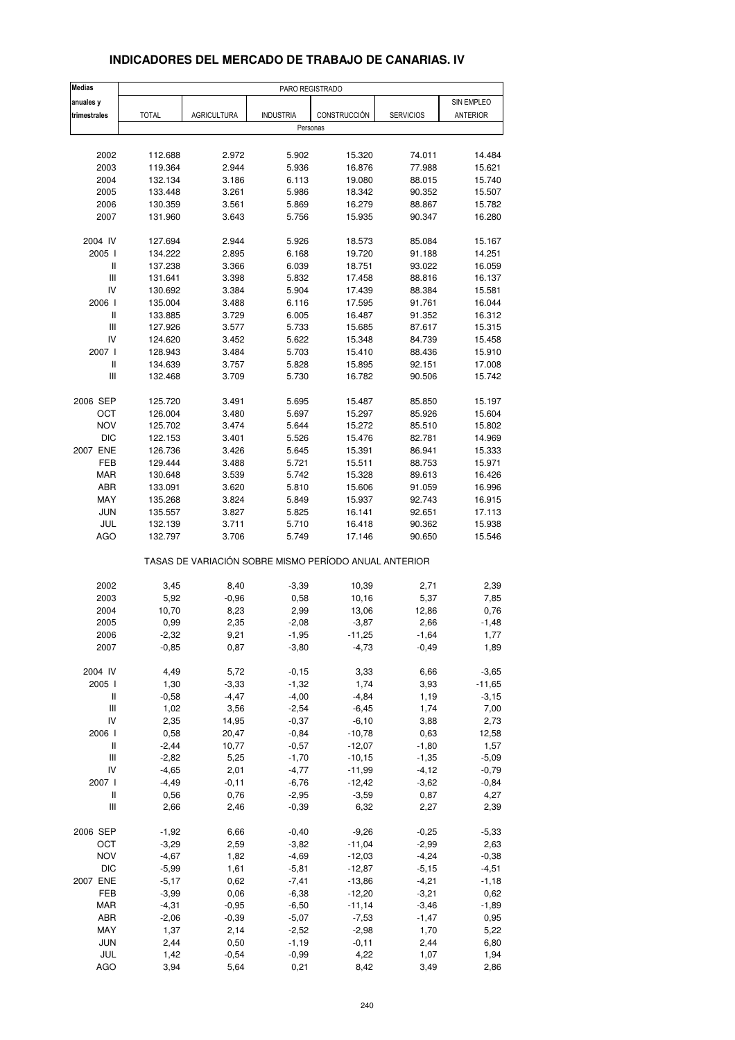| <b>Medias</b>                             | PARO REGISTRADO |                    |                  |                                                       |                  |                 |
|-------------------------------------------|-----------------|--------------------|------------------|-------------------------------------------------------|------------------|-----------------|
| anuales y                                 |                 |                    |                  |                                                       |                  | SIN EMPLEO      |
| trimestrales                              | <b>TOTAL</b>    | <b>AGRICULTURA</b> | <b>INDUSTRIA</b> | CONSTRUCCIÓN                                          | <b>SERVICIOS</b> | <b>ANTERIOR</b> |
|                                           |                 |                    | Personas         |                                                       |                  |                 |
|                                           |                 |                    |                  |                                                       |                  |                 |
| 2002                                      | 112.688         | 2.972              | 5.902            | 15.320                                                | 74.011           | 14.484          |
| 2003                                      | 119.364         | 2.944              | 5.936            | 16.876                                                | 77.988           | 15.621          |
| 2004                                      | 132.134         | 3.186              | 6.113            | 19.080                                                | 88.015           | 15.740          |
| 2005                                      | 133.448         | 3.261              | 5.986            | 18.342                                                | 90.352           | 15.507          |
| 2006                                      | 130.359         | 3.561              | 5.869            | 16.279                                                | 88.867           | 15.782          |
| 2007                                      | 131.960         | 3.643              | 5.756            | 15.935                                                | 90.347           | 16.280          |
| 2004 IV                                   | 127.694         | 2.944              | 5.926            | 18.573                                                | 85.084           | 15.167          |
| 2005 l                                    | 134.222         | 2.895              | 6.168            | 19.720                                                | 91.188           | 14.251          |
| Ш                                         | 137.238         | 3.366              | 6.039            | 18.751                                                | 93.022           | 16.059          |
| $\ensuremath{\mathsf{III}}\xspace$        | 131.641         | 3.398              | 5.832            | 17.458                                                | 88.816           | 16.137          |
| IV                                        | 130.692         | 3.384              | 5.904            | 17.439                                                | 88.384           | 15.581          |
| 2006                                      | 135.004         | 3.488              | 6.116            | 17.595                                                | 91.761           | 16.044          |
| $\,$ $\,$ $\,$ $\,$                       | 133.885         | 3.729              | 6.005            | 16.487                                                | 91.352           | 16.312          |
| Ш                                         | 127.926         | 3.577              | 5.733            | 15.685                                                | 87.617           | 15.315          |
| IV                                        | 124.620         | 3.452              | 5.622            | 15.348                                                | 84.739           | 15.458          |
| 2007 l                                    | 128.943         | 3.484              | 5.703            | 15.410                                                | 88.436           | 15.910          |
| $\sf II$                                  | 134.639         | 3.757              | 5.828            | 15.895                                                | 92.151           | 17.008          |
| Ш                                         | 132.468         | 3.709              | 5.730            | 16.782                                                | 90.506           | 15.742          |
| 2006 SEP                                  | 125.720         | 3.491              | 5.695            | 15.487                                                | 85.850           | 15.197          |
| OCT                                       | 126.004         | 3.480              | 5.697            | 15.297                                                | 85.926           | 15.604          |
| <b>NOV</b>                                | 125.702         | 3.474              | 5.644            | 15.272                                                | 85.510           | 15.802          |
| <b>DIC</b>                                | 122.153         | 3.401              | 5.526            | 15.476                                                | 82.781           | 14.969          |
| 2007 ENE                                  | 126.736         | 3.426              | 5.645            | 15.391                                                | 86.941           | 15.333          |
| FEB                                       | 129.444         | 3.488              | 5.721            | 15.511                                                | 88.753           | 15.971          |
| MAR                                       | 130.648         | 3.539              | 5.742            | 15.328                                                | 89.613           | 16.426          |
| ABR                                       | 133.091         | 3.620              | 5.810            | 15.606                                                | 91.059           | 16.996          |
| MAY                                       | 135.268         | 3.824              | 5.849            | 15.937                                                | 92.743           | 16.915          |
| <b>JUN</b>                                | 135.557         | 3.827              | 5.825            | 16.141                                                | 92.651           | 17.113          |
| JUL                                       | 132.139         | 3.711              | 5.710            | 16.418                                                | 90.362           | 15.938          |
| AGO                                       | 132.797         | 3.706              | 5.749            | 17.146                                                | 90.650           | 15.546          |
|                                           |                 |                    |                  | TASAS DE VARIACIÓN SOBRE MISMO PERÍODO ANUAL ANTERIOR |                  |                 |
| 2002                                      | 3,45            | 8,40               | $-3,39$          | 10,39                                                 | 2,71             | 2,39            |
| 2003                                      | 5,92            | $-0,96$            | 0,58             | 10,16                                                 | 5,37             | 7,85            |
| 2004                                      | 10,70           | 8,23               | 2,99             | 13,06                                                 | 12,86            | 0,76            |
| 2005                                      | 0,99            | 2,35               | $-2,08$          | $-3,87$                                               | 2,66             | $-1,48$         |
| 2006                                      | -2,32           | 9,21               | -1,95            | -11,25                                                | -1,64            | 1,77            |
| 2007                                      | $-0,85$         | 0,87               | $-3,80$          | $-4,73$                                               | $-0,49$          | 1,89            |
| 2004 IV                                   | 4,49            | 5,72               | $-0,15$          | 3,33                                                  | 6,66             | $-3,65$         |
| 2005 l                                    | 1,30            | $-3,33$            | $-1,32$          | 1,74                                                  | 3,93             | $-11,65$        |
| Ш                                         | $-0,58$         | $-4,47$            | $-4,00$          | $-4,84$                                               | 1,19             | $-3,15$         |
| $\ensuremath{\mathsf{III}}\xspace$        | 1,02            | 3,56               | $-2,54$          | $-6,45$                                               | 1,74             | 7,00            |
| IV                                        | 2,35            | 14,95              | $-0,37$          | $-6,10$                                               | 3,88             | 2,73            |
| 2006                                      | 0,58            | 20,47              | $-0,84$          | $-10,78$                                              | 0,63             | 12,58           |
| $\label{eq:1} \prod_{i=1}^n \mathbb{I}_i$ | $-2,44$         | 10,77              | $-0,57$          | $-12,07$                                              | $-1,80$          | 1,57            |
| Ш                                         | $-2,82$         | 5,25               | $-1,70$          | $-10, 15$                                             | $-1,35$          | $-5,09$         |
| IV                                        | $-4,65$         | 2,01               | $-4,77$          | $-11,99$                                              | $-4, 12$         | $-0,79$         |
| 2007                                      | $-4,49$         | $-0,11$            | $-6,76$          | $-12,42$                                              | $-3,62$          | $-0,84$         |
| Ш                                         | 0,56            | 0,76               | $-2,95$          | $-3,59$                                               | 0,87             | 4,27            |
| Ш                                         | 2,66            | 2,46               | $-0,39$          | 6,32                                                  | 2,27             | 2,39            |
|                                           |                 |                    |                  |                                                       |                  |                 |
| 2006 SEP                                  | $-1,92$         | 6,66               | $-0,40$          | $-9,26$                                               | $-0,25$          | $-5,33$         |
| OCT                                       | $-3,29$         | 2,59               | $-3,82$          | $-11,04$                                              | $-2,99$          | 2,63            |
| <b>NOV</b>                                | $-4,67$         | 1,82               | $-4,69$          | $-12,03$                                              | $-4,24$          | $-0,38$         |
| <b>DIC</b>                                | $-5,99$         | 1,61               | $-5,81$          | $-12,87$                                              | $-5, 15$         | $-4,51$         |
| 2007 ENE                                  | $-5,17$         | 0,62               | $-7,41$          | $-13,86$                                              | $-4,21$          | $-1,18$         |
| FEB                                       | $-3,99$         | 0,06               | $-6,38$          | $-12,20$                                              | $-3,21$          | 0,62            |
| MAR                                       | $-4,31$         | $-0,95$            | $-6,50$          | $-11,14$                                              | $-3,46$          | $-1,89$         |
| ABR                                       | $-2,06$         | $-0,39$            | $-5,07$          | $-7,53$                                               | $-1,47$          | 0,95            |
| MAY                                       | 1,37            | 2,14               | $-2,52$          | $-2,98$                                               | 1,70             | 5,22            |
| JUN                                       | 2,44            | 0,50               | $-1,19$          | $-0,11$                                               | 2,44             | 6,80            |
| JUL                                       | 1,42            | $-0,54$            | $-0,99$          | 4,22                                                  | 1,07             | 1,94            |
| AGO                                       | 3,94            | 5,64               | 0,21             | 8,42                                                  | 3,49             | 2,86            |

## **INDICADORES DEL MERCADO DE TRABAJO DE CANARIAS. IV**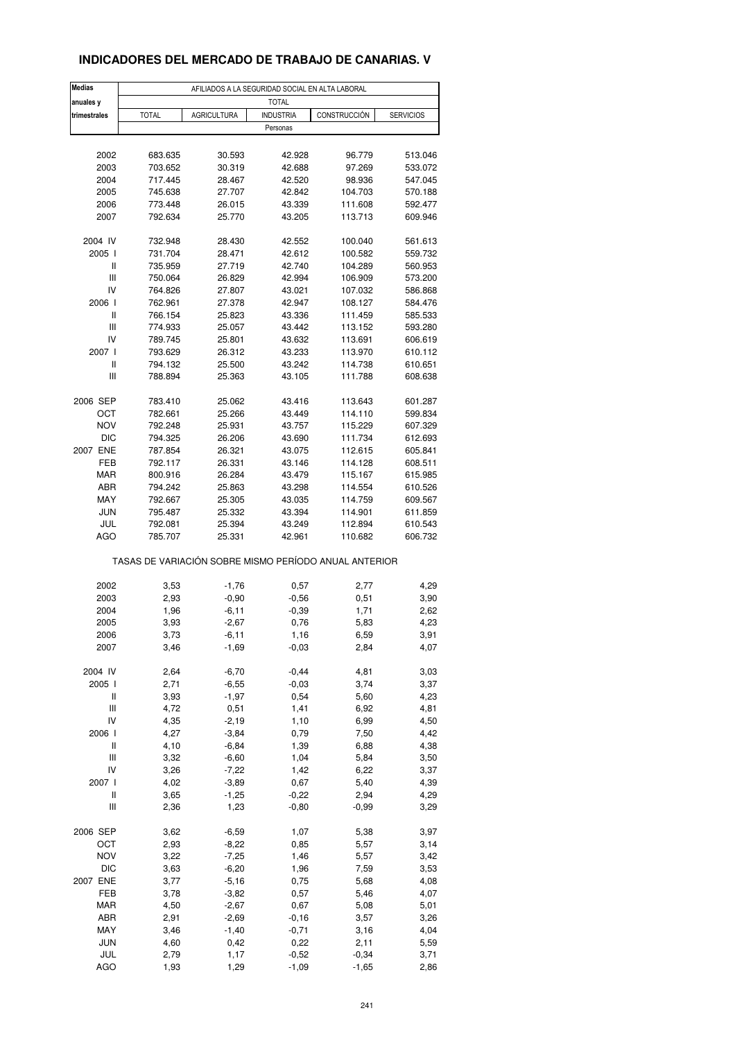## **INDICADORES DEL MERCADO DE TRABAJO DE CANARIAS. V**

| <b>Medias</b>                      |              | AFILIADOS A LA SEGURIDAD SOCIAL EN ALTA LABORAL |                              |                                                       |                  |
|------------------------------------|--------------|-------------------------------------------------|------------------------------|-------------------------------------------------------|------------------|
| anuales y                          |              | <b>AGRICULTURA</b>                              | <b>TOTAL</b>                 | CONSTRUCCIÓN                                          |                  |
| trimestrales                       | <b>TOTAL</b> |                                                 | <b>INDUSTRIA</b><br>Personas |                                                       | <b>SERVICIOS</b> |
|                                    |              |                                                 |                              |                                                       |                  |
| 2002                               | 683.635      | 30.593                                          | 42.928                       | 96.779                                                | 513.046          |
| 2003                               | 703.652      | 30.319                                          | 42.688                       | 97.269                                                | 533.072          |
| 2004                               | 717.445      | 28.467                                          | 42.520                       | 98.936                                                | 547.045          |
| 2005                               | 745.638      | 27.707                                          | 42.842                       | 104.703                                               | 570.188          |
| 2006                               | 773.448      | 26.015                                          | 43.339                       | 111.608                                               | 592.477          |
| 2007                               | 792.634      | 25.770                                          | 43.205                       | 113.713                                               | 609.946          |
| 2004 IV                            | 732.948      | 28.430                                          | 42.552                       | 100.040                                               | 561.613          |
| 2005                               | 731.704      | 28.471                                          | 42.612                       | 100.582                                               | 559.732          |
| Ш                                  | 735.959      | 27.719                                          | 42.740                       | 104.289                                               | 560.953          |
| Ш                                  | 750.064      | 26.829                                          | 42.994                       | 106.909                                               | 573.200          |
| IV                                 | 764.826      | 27.807                                          | 43.021                       | 107.032                                               | 586.868          |
| 2006                               | 762.961      | 27.378                                          | 42.947                       | 108.127                                               | 584.476          |
| Ш                                  | 766.154      | 25.823                                          | 43.336                       | 111.459                                               | 585.533          |
| Ш                                  | 774.933      | 25.057                                          | 43.442                       | 113.152                                               | 593.280          |
| IV                                 | 789.745      | 25.801                                          | 43.632                       | 113.691                                               | 606.619          |
| 2007 l                             | 793.629      | 26.312                                          | 43.233                       | 113.970                                               | 610.112          |
| Ш                                  | 794.132      | 25.500                                          | 43.242                       | 114.738                                               | 610.651          |
| Ш                                  | 788.894      | 25.363                                          | 43.105                       | 111.788                                               | 608.638          |
| 2006 SEP                           | 783.410      | 25.062                                          | 43.416                       | 113.643                                               | 601.287          |
| ост                                | 782.661      | 25.266                                          | 43.449                       | 114.110                                               | 599.834          |
| <b>NOV</b>                         | 792.248      | 25.931                                          | 43.757                       | 115.229                                               | 607.329          |
| <b>DIC</b>                         | 794.325      | 26.206                                          | 43.690                       | 111.734                                               | 612.693          |
| 2007 ENE                           | 787.854      | 26.321                                          | 43.075                       | 112.615                                               | 605.841          |
| FEB                                | 792.117      | 26.331                                          | 43.146                       | 114.128                                               | 608.511          |
| <b>MAR</b>                         | 800.916      | 26.284                                          | 43.479                       | 115.167                                               | 615.985          |
| ABR                                | 794.242      | 25.863                                          | 43.298                       | 114.554                                               | 610.526          |
| MAY                                | 792.667      | 25.305                                          | 43.035                       | 114.759                                               | 609.567          |
| <b>JUN</b>                         | 795.487      | 25.332                                          | 43.394                       | 114.901                                               | 611.859          |
| JUL                                | 792.081      | 25.394                                          | 43.249                       | 112.894                                               | 610.543          |
| <b>AGO</b>                         | 785.707      | 25.331                                          | 42.961                       | 110.682                                               | 606.732          |
|                                    |              |                                                 |                              | TASAS DE VARIACIÓN SOBRE MISMO PERÍODO ANUAL ANTERIOR |                  |
| 2002                               | 3,53         | $-1,76$                                         | 0,57                         | 2,77                                                  | 4,29             |
| 2003                               | 2,93         | $-0,90$                                         | $-0,56$                      | 0,51                                                  | 3,90             |
| 2004                               | 1,96         | $-6,11$                                         | $-0,39$                      | 1,71                                                  | 2,62             |
| 2005                               | 3,93         | $-2,67$                                         | 0,76                         | 5,83                                                  | 4,23             |
| 2006                               | 3,73         | $-6,11$                                         | 1,16                         | 6,59                                                  | 3,91             |
| 2007                               | 3,46         | $-1,69$                                         | $-0,03$                      | 2,84                                                  | 4,07             |
|                                    |              |                                                 |                              |                                                       |                  |
| 2004 IV                            | 2,64         | $-6,70$                                         | $-0,44$                      | 4,81                                                  | 3,03             |
| 2005 l                             | 2,71         | $-6,55$                                         | $-0,03$                      | 3,74                                                  | 3,37             |
| Ш                                  | 3,93         | $-1,97$                                         | 0,54                         | 5,60                                                  | 4,23             |
| Ш<br>IV                            | 4,72         | 0,51                                            | 1,41                         | 6,92                                                  | 4,81             |
|                                    | 4,35         | $-2,19$                                         | 1,10                         | 6,99                                                  | 4,50             |
| 2006                               | 4,27         | $-3,84$                                         | 0,79                         | 7,50                                                  | 4,42             |
| $\sf II$                           | 4,10         | $-6,84$                                         | 1,39                         | 6,88                                                  | 4,38             |
| $\ensuremath{\mathsf{III}}\xspace$ | 3,32         | $-6,60$                                         | 1,04                         | 5,84                                                  | 3,50             |
| IV                                 | 3,26         | $-7,22$                                         | 1,42                         | 6,22                                                  | 3,37             |
| 2007 l                             | 4,02         | $-3,89$                                         | 0,67                         | 5,40                                                  | 4,39             |
| $\sf II$<br>Ш                      | 3,65<br>2,36 | $-1,25$<br>1,23                                 | $-0,22$<br>$-0,80$           | 2,94<br>$-0,99$                                       | 4,29<br>3,29     |
|                                    |              |                                                 |                              |                                                       |                  |
| 2006 SEP                           | 3,62         | $-6,59$                                         | 1,07                         | 5,38                                                  | 3,97             |
| OCT                                | 2,93         | $-8,22$                                         | 0,85                         | 5,57                                                  | 3,14             |
| <b>NOV</b>                         | 3,22         | $-7,25$                                         | 1,46                         | 5,57                                                  | 3,42             |
| DIC                                | 3,63         | $-6,20$                                         | 1,96                         | 7,59                                                  | 3,53             |
| 2007 ENE                           | 3,77         | $-5,16$                                         | 0,75                         | 5,68                                                  | 4,08             |
| FEB                                | 3,78         | $-3,82$                                         | 0,57                         | 5,46                                                  | 4,07             |
| MAR                                | 4,50         | $-2,67$                                         | 0,67                         | 5,08                                                  | 5,01             |
| ABR                                | 2,91         | $-2,69$                                         | $-0,16$                      | 3,57                                                  | 3,26             |
| MAY                                | 3,46         | $-1,40$                                         | $-0,71$                      | 3,16                                                  | 4,04             |
| JUN                                | 4,60         | 0,42                                            | 0,22                         | 2,11                                                  | 5,59             |
| JUL                                | 2,79         | 1,17                                            | $-0,52$                      | $-0,34$                                               | 3,71             |
| <b>AGO</b>                         | 1,93         | 1,29                                            | $-1,09$                      | $-1,65$                                               | 2,86             |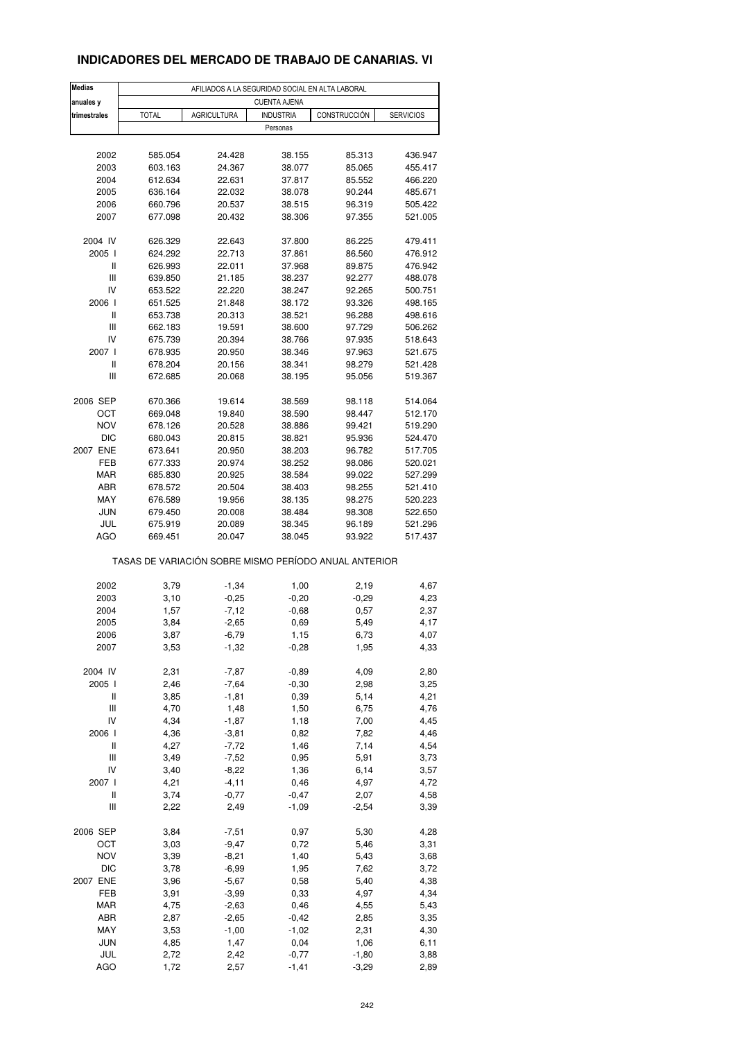## **INDICADORES DEL MERCADO DE TRABAJO DE CANARIAS. VI**

| <b>Medias</b><br>anuales y         | AFILIADOS A LA SEGURIDAD SOCIAL EN ALTA LABORAL<br><b>CUENTA AJENA</b> |                    |                  |                                                       |                  |  |  |
|------------------------------------|------------------------------------------------------------------------|--------------------|------------------|-------------------------------------------------------|------------------|--|--|
| trimestrales                       | <b>TOTAL</b>                                                           | <b>AGRICULTURA</b> | <b>INDUSTRIA</b> | CONSTRUCCIÓN                                          | <b>SERVICIOS</b> |  |  |
|                                    |                                                                        |                    | Personas         |                                                       |                  |  |  |
|                                    |                                                                        |                    |                  |                                                       |                  |  |  |
| 2002                               | 585.054                                                                | 24.428             | 38.155           | 85.313                                                | 436.947          |  |  |
| 2003                               | 603.163                                                                | 24.367             | 38.077           | 85.065                                                | 455.417          |  |  |
| 2004                               | 612.634                                                                | 22.631             | 37.817           | 85.552                                                | 466.220          |  |  |
| 2005                               | 636.164                                                                | 22.032             | 38.078           | 90.244                                                | 485.671          |  |  |
| 2006                               | 660.796                                                                | 20.537             | 38.515           | 96.319                                                | 505.422          |  |  |
| 2007                               | 677.098                                                                | 20.432             | 38.306           | 97.355                                                | 521.005          |  |  |
| 2004 IV                            | 626.329                                                                | 22.643             | 37.800           | 86.225                                                | 479.411          |  |  |
| 2005 l                             | 624.292                                                                | 22.713             | 37.861           | 86.560                                                | 476.912          |  |  |
| Ш                                  | 626.993                                                                | 22.011             | 37.968           | 89.875                                                | 476.942          |  |  |
| Ш                                  | 639.850                                                                | 21.185             | 38.237           | 92.277                                                | 488.078          |  |  |
| IV                                 | 653.522                                                                | 22.220             | 38.247           | 92.265                                                | 500.751          |  |  |
| 2006                               | 651.525                                                                | 21.848             | 38.172           | 93.326                                                | 498.165          |  |  |
| Ш                                  | 653.738                                                                | 20.313             | 38.521           | 96.288                                                | 498.616          |  |  |
| Ш                                  | 662.183                                                                | 19.591             | 38.600           | 97.729                                                | 506.262          |  |  |
| IV                                 | 675.739                                                                | 20.394             | 38.766           |                                                       |                  |  |  |
|                                    |                                                                        |                    |                  | 97.935                                                | 518.643          |  |  |
| 2007 l                             | 678.935                                                                | 20.950             | 38.346           | 97.963                                                | 521.675          |  |  |
| Ш                                  | 678.204                                                                | 20.156             | 38.341           | 98.279                                                | 521.428          |  |  |
| Ш                                  | 672.685                                                                | 20.068             | 38.195           | 95.056                                                | 519.367          |  |  |
| 2006 SEP                           | 670.366                                                                | 19.614             | 38.569           | 98.118                                                | 514.064          |  |  |
| ост                                | 669.048                                                                | 19.840             | 38.590           | 98.447                                                | 512.170          |  |  |
| <b>NOV</b>                         | 678.126                                                                | 20.528             | 38.886           | 99.421                                                | 519.290          |  |  |
| <b>DIC</b>                         | 680.043                                                                | 20.815             | 38.821           | 95.936                                                | 524.470          |  |  |
| 2007 ENE                           | 673.641                                                                | 20.950             | 38.203           | 96.782                                                | 517.705          |  |  |
| FEB                                | 677.333                                                                | 20.974             | 38.252           | 98.086                                                | 520.021          |  |  |
| <b>MAR</b>                         | 685.830                                                                | 20.925             | 38.584           | 99.022                                                | 527.299          |  |  |
| ABR                                | 678.572                                                                | 20.504             | 38.403           | 98.255                                                | 521.410          |  |  |
| MAY                                | 676.589                                                                | 19.956             | 38.135           | 98.275                                                | 520.223          |  |  |
| <b>JUN</b>                         | 679.450                                                                | 20.008             | 38.484           | 98.308                                                | 522.650          |  |  |
| JUL                                | 675.919                                                                | 20.089             | 38.345           | 96.189                                                | 521.296          |  |  |
| <b>AGO</b>                         | 669.451                                                                | 20.047             | 38.045           | 93.922                                                | 517.437          |  |  |
|                                    |                                                                        |                    |                  | TASAS DE VARIACIÓN SOBRE MISMO PERÍODO ANUAL ANTERIOR |                  |  |  |
| 2002                               | 3,79                                                                   | $-1,34$            | 1,00             | 2,19                                                  | 4,67             |  |  |
| 2003                               | 3,10                                                                   | $-0,25$            | $-0,20$          | $-0.29$                                               | 4,23             |  |  |
| 2004                               | 1,57                                                                   | $-7,12$            | $-0,68$          | 0,57                                                  | 2,37             |  |  |
| 2005                               | 3,84                                                                   | $-2,65$            | 0,69             | 5,49                                                  | 4,17             |  |  |
| 2006                               | 3,87                                                                   | $-6,79$            | 1,15             | 6,73                                                  | 4,07             |  |  |
| 2007                               | 3,53                                                                   | $-1,32$            | $-0,28$          | 1,95                                                  | 4,33             |  |  |
|                                    |                                                                        |                    |                  |                                                       |                  |  |  |
| 2004 IV                            | 2,31                                                                   | $-7,87$            | $-0,89$          | 4,09                                                  | 2,80             |  |  |
| 2005 l                             | 2,46                                                                   | $-7,64$            | $-0,30$          | 2,98                                                  | 3,25             |  |  |
| Ш                                  | 3,85                                                                   | $-1,81$            | 0,39             | 5,14                                                  | 4,21             |  |  |
| Ш<br>IV                            | 4,70<br>4,34                                                           | 1,48<br>$-1,87$    | 1,50             | 6,75<br>7,00                                          | 4,76             |  |  |
|                                    |                                                                        |                    | 1,18             |                                                       | 4,45             |  |  |
| 2006                               | 4,36                                                                   | $-3,81$            | 0,82             | 7,82                                                  | 4,46             |  |  |
| Ш                                  | 4,27                                                                   | $-7,72$            | 1,46             | 7,14                                                  | 4,54             |  |  |
| $\ensuremath{\mathsf{III}}\xspace$ | 3,49                                                                   | $-7,52$            | 0,95             | 5,91                                                  | 3,73             |  |  |
| IV                                 | 3,40                                                                   | $-8,22$            | 1,36             | 6,14                                                  | 3,57             |  |  |
| 2007 l                             | 4,21                                                                   | $-4, 11$           | 0,46             | 4,97                                                  | 4,72             |  |  |
| Ш                                  | 3,74                                                                   | $-0,77$            | $-0,47$          | 2,07                                                  | 4,58             |  |  |
| Ш                                  | 2,22                                                                   | 2,49               | $-1,09$          | $-2,54$                                               | 3,39             |  |  |
| 2006 SEP                           | 3,84                                                                   | $-7,51$            | 0,97             | 5,30                                                  | 4,28             |  |  |
| OCT                                | 3,03                                                                   | $-9,47$            | 0,72             | 5,46                                                  | 3,31             |  |  |
| <b>NOV</b>                         | 3,39                                                                   | $-8,21$            | 1,40             | 5,43                                                  | 3,68             |  |  |
| DIC                                | 3,78                                                                   | $-6,99$            | 1,95             | 7,62                                                  | 3,72             |  |  |
| 2007 ENE                           | 3,96                                                                   | $-5,67$            | 0,58             | 5,40                                                  | 4,38             |  |  |
| FEB                                | 3,91                                                                   | $-3,99$            | 0,33             | 4,97                                                  | 4,34             |  |  |
| MAR                                | 4,75                                                                   | $-2,63$            | 0,46             | 4,55                                                  | 5,43             |  |  |
| ABR                                | 2,87                                                                   | $-2,65$            | $-0,42$          | 2,85                                                  | 3,35             |  |  |
| MAY                                | 3,53                                                                   | $-1,00$            | $-1,02$          | 2,31                                                  | 4,30             |  |  |
| JUN                                | 4,85                                                                   | 1,47               | 0,04             | 1,06                                                  | 6,11             |  |  |
| JUL                                | 2,72                                                                   | 2,42               | $-0,77$          | $-1,80$                                               | 3,88             |  |  |
| AGO                                | 1,72                                                                   | 2,57               | $-1,41$          | $-3,29$                                               | 2,89             |  |  |
|                                    |                                                                        |                    |                  |                                                       |                  |  |  |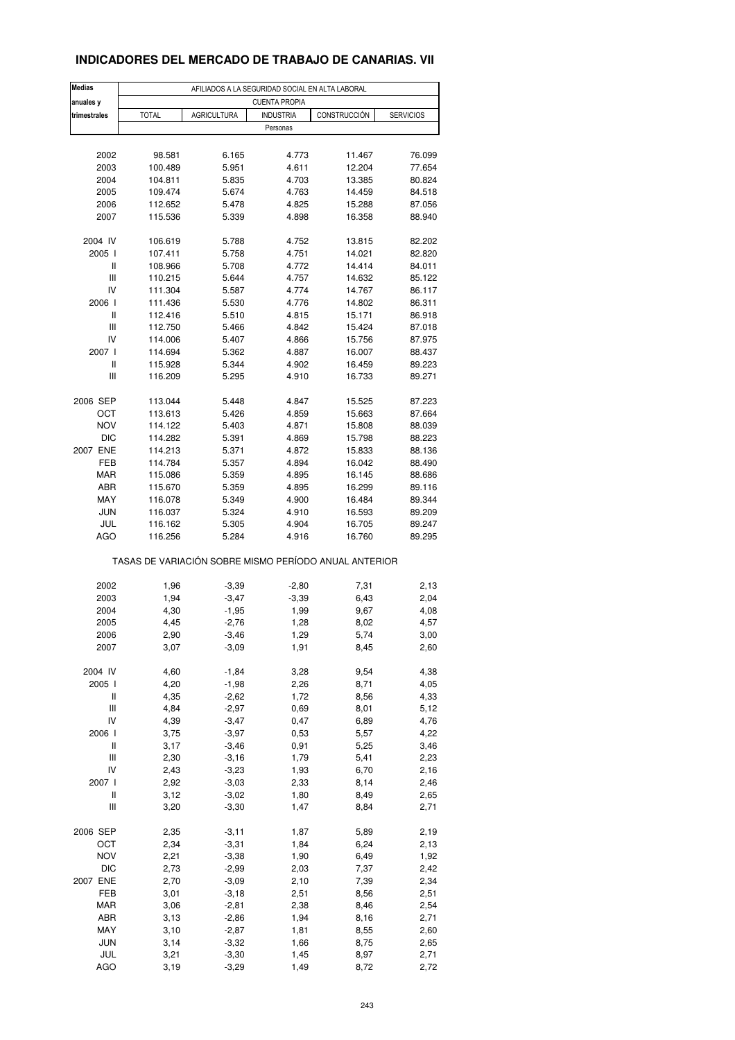## **INDICADORES DEL MERCADO DE TRABAJO DE CANARIAS. VII**

| <b>Medias</b>                      | AFILIADOS A LA SEGURIDAD SOCIAL EN ALTA LABORAL       |                    |                      |                  |                  |  |  |
|------------------------------------|-------------------------------------------------------|--------------------|----------------------|------------------|------------------|--|--|
| anuales y                          |                                                       |                    | <b>CUENTA PROPIA</b> |                  |                  |  |  |
| trimestrales                       | <b>TOTAL</b>                                          | <b>AGRICULTURA</b> | <b>INDUSTRIA</b>     | CONSTRUCCIÓN     | <b>SERVICIOS</b> |  |  |
|                                    |                                                       |                    | Personas             |                  |                  |  |  |
|                                    |                                                       |                    |                      |                  |                  |  |  |
| 2002<br>2003                       | 98.581<br>100.489                                     | 6.165<br>5.951     | 4.773<br>4.611       | 11.467<br>12.204 | 76.099<br>77.654 |  |  |
| 2004                               | 104.811                                               | 5.835              | 4.703                | 13.385           | 80.824           |  |  |
| 2005                               | 109.474                                               | 5.674              | 4.763                | 14.459           | 84.518           |  |  |
| 2006                               | 112.652                                               | 5.478              | 4.825                | 15.288           | 87.056           |  |  |
| 2007                               | 115.536                                               | 5.339              | 4.898                | 16.358           | 88.940           |  |  |
|                                    |                                                       |                    |                      |                  |                  |  |  |
| 2004 IV                            | 106.619                                               | 5.788              | 4.752                | 13.815           | 82.202           |  |  |
| 2005 l                             | 107.411                                               | 5.758              | 4.751                | 14.021           | 82.820           |  |  |
| Ш                                  | 108.966                                               | 5.708              | 4.772                | 14.414           | 84.011           |  |  |
| $\ensuremath{\mathsf{III}}\xspace$ | 110.215                                               | 5.644              | 4.757                | 14.632           | 85.122           |  |  |
| IV                                 | 111.304                                               | 5.587              | 4.774                | 14.767           | 86.117           |  |  |
| 2006                               | 111.436                                               | 5.530              | 4.776                | 14.802           | 86.311           |  |  |
| Ш<br>Ш                             | 112.416<br>112.750                                    | 5.510<br>5.466     | 4.815<br>4.842       | 15.171<br>15.424 | 86.918<br>87.018 |  |  |
| IV                                 | 114.006                                               | 5.407              | 4.866                | 15.756           | 87.975           |  |  |
| 2007 l                             | 114.694                                               | 5.362              | 4.887                | 16.007           | 88.437           |  |  |
| Ш                                  | 115.928                                               | 5.344              | 4.902                | 16.459           | 89.223           |  |  |
| Ш                                  | 116.209                                               | 5.295              | 4.910                | 16.733           | 89.271           |  |  |
|                                    |                                                       |                    |                      |                  |                  |  |  |
| 2006 SEP                           | 113.044                                               | 5.448              | 4.847                | 15.525           | 87.223           |  |  |
| ОСТ                                | 113.613                                               | 5.426              | 4.859                | 15.663           | 87.664           |  |  |
| <b>NOV</b>                         | 114.122                                               | 5.403              | 4.871                | 15.808           | 88.039           |  |  |
| <b>DIC</b>                         | 114.282                                               | 5.391              | 4.869                | 15.798           | 88.223           |  |  |
| 2007 ENE                           | 114.213                                               | 5.371              | 4.872                | 15.833           | 88.136           |  |  |
| FEB                                | 114.784                                               | 5.357              | 4.894                | 16.042           | 88.490           |  |  |
| MAR                                | 115.086                                               | 5.359              | 4.895                | 16.145           | 88.686           |  |  |
| ABR<br>MAY                         | 115.670                                               | 5.359              | 4.895                | 16.299           | 89.116           |  |  |
| <b>JUN</b>                         | 116.078<br>116.037                                    | 5.349<br>5.324     | 4.900<br>4.910       | 16.484<br>16.593 | 89.344<br>89.209 |  |  |
| JUL                                | 116.162                                               | 5.305              | 4.904                | 16.705           | 89.247           |  |  |
| AGO                                | 116.256                                               | 5.284              | 4.916                | 16.760           | 89.295           |  |  |
|                                    |                                                       |                    |                      |                  |                  |  |  |
|                                    | TASAS DE VARIACIÓN SOBRE MISMO PERÍODO ANUAL ANTERIOR |                    |                      |                  |                  |  |  |
|                                    |                                                       |                    |                      |                  |                  |  |  |
| 2002                               | 1,96                                                  | $-3,39$            | $-2,80$              | 7,31             | 2,13             |  |  |
| 2003                               | 1,94                                                  | $-3,47$            | $-3,39$              | 6,43             | 2,04             |  |  |
| 2004                               | 4,30                                                  | $-1,95$            | 1,99                 | 9,67             | 4,08             |  |  |
| 2005                               | 4,45                                                  | $-2,76$            | 1,28                 | 8,02             | 4,57             |  |  |
| 2006<br>2007                       | 2,90<br>3,07                                          | -3,46<br>$-3,09$   | 1,29<br>1,91         | 5,74<br>8,45     | 3,00<br>2,60     |  |  |
|                                    |                                                       |                    |                      |                  |                  |  |  |
| 2004 IV                            | 4,60                                                  | $-1,84$            | 3,28                 | 9,54             | 4,38             |  |  |
| 2005 l                             | 4,20                                                  | $-1,98$            | 2,26                 | 8,71             | 4,05             |  |  |
| Ш                                  | 4,35                                                  | $-2,62$            | 1,72                 | 8,56             | 4,33             |  |  |
| $\ensuremath{\mathsf{III}}\xspace$ | 4,84                                                  | $-2,97$            | 0,69                 | 8,01             | 5,12             |  |  |
| IV                                 | 4,39                                                  | $-3,47$            | 0,47                 | 6,89             | 4,76             |  |  |
| 2006                               | 3,75                                                  | $-3,97$            | 0,53                 | 5,57             | 4,22             |  |  |
| $\sf II$                           | 3,17                                                  | $-3,46$            | 0,91                 | 5,25             | 3,46             |  |  |
| Ш                                  | 2,30                                                  | $-3,16$            | 1,79                 | 5,41             | 2,23             |  |  |
| IV                                 | 2,43                                                  | $-3,23$            | 1,93                 | 6,70             | 2,16             |  |  |
| 2007 l                             | 2,92                                                  | $-3,03$            | 2,33                 | 8,14             | 2,46             |  |  |
| Ш                                  | 3,12                                                  | $-3,02$            | 1,80                 | 8,49             | 2,65             |  |  |
| $\ensuremath{\mathsf{III}}\xspace$ | 3,20                                                  | $-3,30$            | 1,47                 | 8,84             | 2,71             |  |  |
| 2006 SEP                           | 2,35                                                  | $-3,11$            | 1,87                 | 5,89             | 2,19             |  |  |
| OCT                                | 2,34                                                  | $-3,31$            | 1,84                 | 6,24             | 2,13             |  |  |
| <b>NOV</b>                         | 2,21                                                  | $-3,38$            | 1,90                 | 6,49             | 1,92             |  |  |
| <b>DIC</b>                         | 2,73                                                  | $-2,99$            | 2,03                 | 7,37             | 2,42             |  |  |
| 2007 ENE                           | 2,70                                                  | $-3,09$            | 2,10                 | 7,39             | 2,34             |  |  |
| FEB                                | 3,01                                                  | $-3,18$            | 2,51                 | 8,56             | 2,51             |  |  |
| MAR                                | 3,06                                                  | $-2,81$            | 2,38                 | 8,46             | 2,54             |  |  |
| ABR                                | 3,13                                                  | $-2,86$            | 1,94                 | 8,16             | 2,71             |  |  |
| MAY                                | 3,10                                                  | $-2,87$            | 1,81                 | 8,55             | 2,60             |  |  |
| <b>JUN</b>                         | 3,14                                                  | $-3,32$            | 1,66                 | 8,75             | 2,65             |  |  |
| JUL                                | 3,21                                                  | $-3,30$            | 1,45                 | 8,97             | 2,71             |  |  |
| AGO                                | 3,19                                                  | $-3,29$            | 1,49                 | 8,72             | 2,72             |  |  |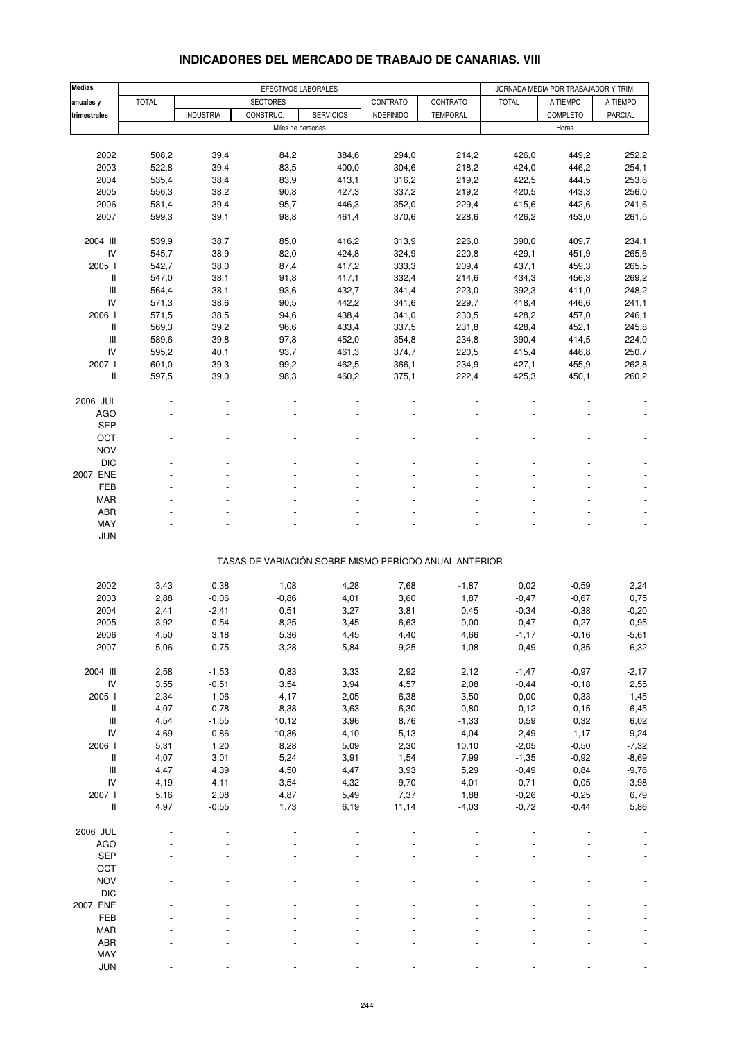| <b>Medias</b>                      |                | EFECTIVOS LABORALES |                                                       |                  |                   |                 |                 | JORNADA MEDIA POR TRABAJADOR Y TRIM. |                |
|------------------------------------|----------------|---------------------|-------------------------------------------------------|------------------|-------------------|-----------------|-----------------|--------------------------------------|----------------|
| anuales y                          | <b>TOTAL</b>   |                     | <b>SECTORES</b>                                       |                  | CONTRATO          | CONTRATO        | <b>TOTAL</b>    | A TIEMPO                             | A TIEMPO       |
| trimestrales                       |                | <b>INDUSTRIA</b>    | CONSTRUC.                                             | <b>SERVICIOS</b> | <b>INDEFINIDO</b> | <b>TEMPORAL</b> |                 | COMPLETO                             | PARCIAL        |
|                                    |                |                     | Miles de personas                                     |                  |                   |                 |                 | Horas                                |                |
|                                    |                |                     |                                                       |                  |                   |                 |                 |                                      |                |
| 2002                               | 508,2          | 39,4                | 84,2                                                  | 384,6            | 294,0             | 214,2           | 426,0           | 449,2                                | 252,2          |
| 2003                               | 522,8          | 39,4                | 83,5                                                  | 400,0            | 304,6             | 218,2           | 424,0           | 446,2                                | 254,1          |
| 2004                               | 535,4          | 38,4                | 83,9                                                  | 413,1            | 316,2             | 219,2           | 422,5           | 444,5                                | 253,6          |
| 2005                               | 556,3          | 38,2                | 90,8                                                  | 427,3            | 337,2             | 219,2           | 420,5           | 443,3                                | 256,0          |
| 2006                               | 581,4          | 39,4                | 95,7                                                  | 446,3            | 352,0             | 229,4           | 415,6           | 442,6                                | 241,6          |
| 2007                               | 599,3          | 39,1                | 98,8                                                  | 461,4            | 370,6             | 228,6           | 426,2           | 453,0                                | 261,5          |
| 2004 III                           | 539,9          | 38,7                | 85,0                                                  | 416,2            | 313,9             | 226,0           | 390,0           | 409,7                                | 234,1          |
| IV                                 | 545,7          | 38,9                | 82,0                                                  | 424,8            | 324,9             | 220,8           | 429,1           | 451,9                                | 265,6          |
| 2005 l                             | 542,7          | 38,0                | 87,4                                                  | 417,2            | 333,3             | 209,4           | 437,1           | 459,3                                | 265,5          |
| Ш                                  | 547,0          | 38,1                | 91,8                                                  | 417,1            | 332,4             | 214,6           | 434,3           | 456,3                                | 269,2          |
| $\ensuremath{\mathsf{III}}\xspace$ | 564,4          | 38,1                | 93,6                                                  | 432,7            | 341,4             | 223,0           | 392,3           | 411,0                                | 248,2          |
| IV                                 | 571,3          | 38,6                | 90,5                                                  | 442,2            | 341,6             | 229,7           | 418,4           | 446,6                                | 241,1          |
| 2006                               | 571,5          | 38,5                | 94,6                                                  | 438,4            | 341,0             | 230,5           | 428,2           | 457,0                                | 246,1          |
| Ш                                  | 569,3          | 39,2                | 96,6                                                  | 433,4            | 337,5             | 231,8           | 428,4           | 452,1                                | 245,8          |
| Ш                                  | 589,6          | 39,8                | 97,8                                                  | 452,0            | 354,8             | 234,8           | 390,4           | 414,5                                | 224,0          |
| IV                                 | 595,2          | 40,1                | 93,7                                                  | 461,3            | 374,7             | 220,5           | 415,4           | 446,8                                | 250,7          |
| 2007 l<br>Ш                        | 601,0<br>597,5 | 39,3<br>39,0        | 99,2<br>98,3                                          | 462,5<br>460,2   | 366,1<br>375,1    | 234,9<br>222,4  | 427,1<br>425,3  | 455,9<br>450,1                       | 262,8<br>260,2 |
|                                    |                |                     |                                                       |                  |                   |                 |                 |                                      |                |
| 2006 JUL                           |                |                     |                                                       |                  |                   |                 |                 |                                      |                |
| <b>AGO</b>                         |                |                     |                                                       |                  |                   |                 |                 |                                      |                |
| <b>SEP</b>                         |                |                     |                                                       |                  |                   |                 |                 |                                      |                |
| OCT                                |                |                     |                                                       |                  |                   |                 |                 |                                      |                |
| <b>NOV</b>                         |                |                     |                                                       |                  |                   |                 |                 |                                      |                |
| <b>DIC</b>                         |                |                     |                                                       |                  |                   |                 |                 |                                      |                |
| 2007 ENE                           |                |                     |                                                       |                  |                   |                 |                 |                                      |                |
| FEB<br><b>MAR</b>                  |                |                     |                                                       |                  |                   |                 |                 |                                      |                |
| <b>ABR</b>                         |                |                     |                                                       |                  |                   |                 |                 |                                      |                |
| MAY                                |                |                     |                                                       |                  |                   |                 |                 |                                      |                |
| <b>JUN</b>                         |                |                     |                                                       |                  |                   |                 |                 |                                      |                |
|                                    |                |                     |                                                       |                  |                   |                 |                 |                                      |                |
|                                    |                |                     | TASAS DE VARIACIÓN SOBRE MISMO PERÍODO ANUAL ANTERIOR |                  |                   |                 |                 |                                      |                |
| 2002                               | 3,43           | 0,38                | 1,08                                                  | 4,28             | 7,68              | $-1,87$         | 0,02            | $-0,59$                              | 2,24           |
| 2003                               | 2,88           | $-0,06$             | $-0,86$                                               | 4,01             | 3,60              | 1,87            | $-0,47$         | $-0,67$                              | 0,75           |
| 2004                               | 2,41           | $-2,41$             | 0,51                                                  | 3,27             | 3,81              | 0,45            | $-0,34$         | $-0,38$                              | $-0,20$        |
| 2005                               | 3,92           | $-0,54$             | 8,25                                                  | 3,45             | 6,63              | 0,00            | $-0,47$         | $-0,27$                              | 0,95           |
| 2006                               | 4,50           | 3,18                | 5,36                                                  | 4,45             | 4,40              | 4,66            | $-1,17$         | $-0,16$                              | -5,61          |
| 2007                               | 5,06           | 0,75                | 3,28                                                  | 5,84             | 9,25              | $-1,08$         | $-0,49$         | $-0,35$                              | 6,32           |
|                                    |                |                     |                                                       |                  |                   |                 |                 |                                      |                |
| 2004 III                           | 2,58           | $-1,53$             | 0,83                                                  | 3,33             | 2,92              | 2,12            | $-1,47$         | $-0,97$                              | $-2,17$        |
| ${\sf IV}$<br>2005 l               | 3,55<br>2,34   | $-0,51$<br>1,06     | 3,54<br>4,17                                          | 3,94             | 4,57<br>6,38      | 2,08<br>$-3,50$ | $-0,44$<br>0,00 | $-0,18$<br>$-0,33$                   | 2,55           |
| $\mathop{  }$                      | 4,07           | $-0,78$             | 8,38                                                  | 2,05<br>3,63     | 6,30              | 0,80            | 0,12            | 0, 15                                | 1,45<br>6,45   |
| $\mathsf{III}$                     | 4,54           | $-1,55$             | 10,12                                                 | 3,96             | 8,76              | $-1,33$         | 0,59            | 0,32                                 | 6,02           |
| ${\sf IV}$                         | 4,69           | $-0,86$             | 10,36                                                 | 4,10             | 5,13              | 4,04            | $-2,49$         | $-1,17$                              | $-9,24$        |
| 2006 l                             | 5,31           | 1,20                | 8,28                                                  | 5,09             | 2,30              | 10, 10          | $-2,05$         | $-0,50$                              | $-7,32$        |
| Ш                                  | 4,07           | 3,01                | 5,24                                                  | 3,91             | 1,54              | 7,99            | $-1,35$         | $-0,92$                              | $-8,69$        |
| $\ensuremath{\mathsf{III}}\xspace$ | 4,47           | 4,39                | 4,50                                                  | 4,47             | 3,93              | 5,29            | $-0,49$         | 0,84                                 | $-9,76$        |
| ${\sf IV}$                         | 4,19           | 4,11                | 3,54                                                  | 4,32             | 9,70              | $-4,01$         | $-0,71$         | 0,05                                 | 3,98           |
| 2007 l                             | 5,16           | 2,08                | 4,87                                                  | 5,49             | 7,37              | 1,88            | $-0,26$         | $-0,25$                              | 6,79           |
| $\sf II$                           | 4,97           | $-0,55$             | 1,73                                                  | 6,19             | 11,14             | $-4,03$         | $-0,72$         | $-0,44$                              | 5,86           |
| 2006 JUL                           |                |                     |                                                       |                  |                   |                 |                 |                                      |                |
| <b>AGO</b>                         |                |                     |                                                       |                  |                   |                 |                 |                                      |                |
| <b>SEP</b>                         |                |                     |                                                       |                  |                   |                 |                 |                                      |                |
| OCT                                |                |                     |                                                       |                  |                   |                 |                 |                                      |                |
| <b>NOV</b>                         |                |                     |                                                       |                  |                   |                 |                 |                                      |                |
| $DIC$                              |                |                     |                                                       |                  |                   |                 |                 |                                      |                |
| 2007 ENE                           |                |                     |                                                       |                  |                   |                 |                 |                                      |                |
| FEB                                |                |                     |                                                       |                  |                   |                 |                 |                                      |                |
| <b>MAR</b>                         |                |                     |                                                       |                  |                   |                 |                 |                                      |                |
| ABR                                |                |                     |                                                       |                  |                   |                 |                 |                                      |                |
| MAY                                |                |                     |                                                       |                  |                   |                 |                 |                                      |                |

### **INDICADORES DEL MERCADO DE TRABAJO DE CANARIAS. VIII**

 $\textsf{JUN}$  and  $\textsf{JUN}$  are set of the set of the set of the set of the set of the set of the set of the set of the set of the set of the set of the set of the set of the set of the set of the set of the set of the set of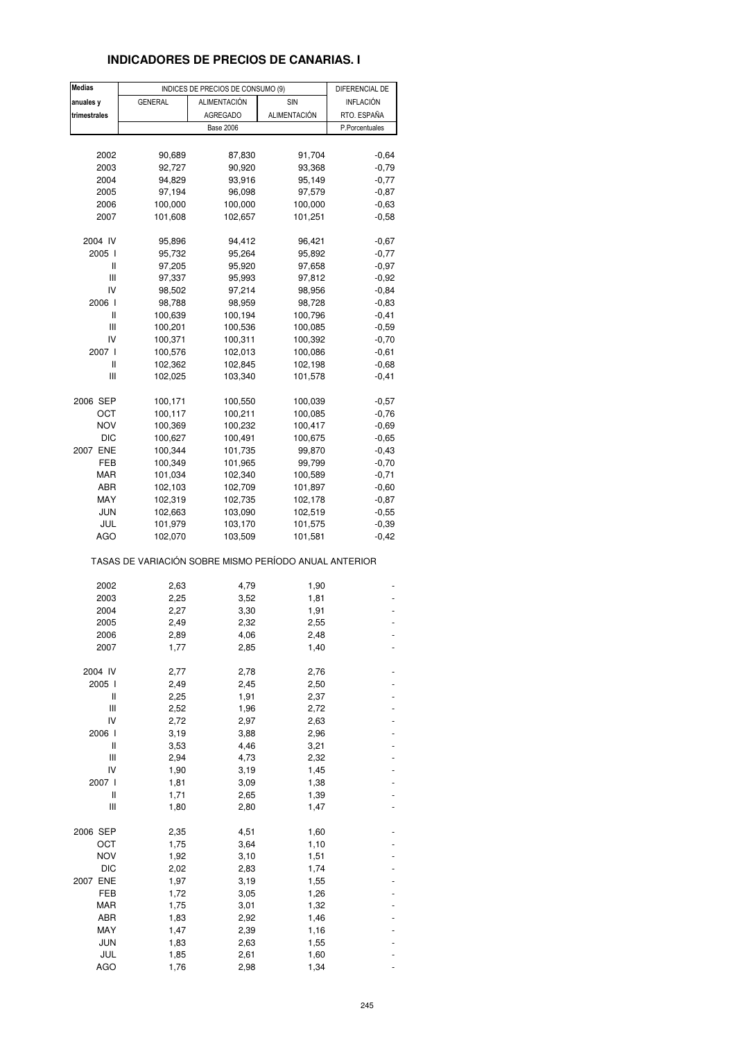## **INDICADORES DE PRECIOS DE CANARIAS. I**

| <b>Medias</b> |                                                       | INDICES DE PRECIOS DE CONSUMO (9) |              | DIFERENCIAL DE   |
|---------------|-------------------------------------------------------|-----------------------------------|--------------|------------------|
| anuales y     | <b>GENERAL</b>                                        | ALIMENTACIÓN                      | SIN          | <b>INFLACIÓN</b> |
| trimestrales  |                                                       | <b>AGREGADO</b>                   | ALIMENTACIÓN | RTO. ESPAÑA      |
|               |                                                       |                                   |              |                  |
|               |                                                       | <b>Base 2006</b>                  |              | P.Porcentuales   |
|               |                                                       |                                   |              |                  |
| 2002          | 90,689                                                | 87,830                            | 91,704       | $-0.64$          |
| 2003          | 92,727                                                | 90,920                            | 93,368       | $-0,79$          |
| 2004          | 94,829                                                | 93,916                            | 95,149       | $-0,77$          |
| 2005          | 97,194                                                | 96,098                            | 97,579       | $-0,87$          |
| 2006          | 100,000                                               | 100,000                           | 100,000      | $-0,63$          |
|               |                                                       |                                   |              |                  |
| 2007          | 101,608                                               | 102,657                           | 101,251      | $-0,58$          |
| 2004 IV       | 95,896                                                | 94,412                            | 96,421       | $-0,67$          |
| 2005 l        | 95,732                                                | 95,264                            | 95,892       | $-0,77$          |
| Ш             | 97,205                                                | 95,920                            | 97,658       | $-0,97$          |
| Ш             | 97,337                                                | 95,993                            | 97,812       | $-0,92$          |
| IV            |                                                       |                                   |              |                  |
|               | 98,502                                                | 97,214                            | 98,956       | $-0,84$          |
| 2006 l        | 98,788                                                | 98,959                            | 98,728       | $-0,83$          |
| Ш             | 100,639                                               | 100,194                           | 100,796      | $-0,41$          |
| Ш             | 100,201                                               | 100,536                           | 100,085      | $-0,59$          |
| IV            | 100,371                                               | 100,311                           | 100,392      | $-0,70$          |
| 2007 l        | 100,576                                               | 102,013                           | 100,086      | $-0,61$          |
|               |                                                       |                                   |              |                  |
| Ш             | 102,362                                               | 102,845                           | 102,198      | $-0,68$          |
| Ш             | 102,025                                               | 103,340                           | 101,578      | $-0,41$          |
| 2006 SEP      | 100,171                                               | 100,550                           | 100,039      | $-0,57$          |
| ост           | 100,117                                               | 100,211                           | 100,085      | $-0,76$          |
| <b>NOV</b>    | 100,369                                               | 100,232                           | 100,417      | $-0,69$          |
|               |                                                       |                                   |              |                  |
| <b>DIC</b>    | 100,627                                               | 100,491                           | 100,675      | $-0,65$          |
| 2007 ENE      | 100,344                                               | 101,735                           | 99,870       | $-0,43$          |
| FEB           | 100,349                                               | 101,965                           | 99,799       | $-0,70$          |
| MAR           | 101,034                                               | 102,340                           | 100,589      | $-0,71$          |
| ABR           | 102,103                                               | 102,709                           | 101,897      | $-0,60$          |
| MAY           | 102,319                                               | 102,735                           | 102,178      | $-0,87$          |
|               |                                                       |                                   |              |                  |
| JUN           | 102,663                                               | 103,090                           | 102,519      | $-0,55$          |
| JUL           | 101,979                                               | 103,170                           | 101,575      | $-0,39$          |
| AGO           | 102,070                                               | 103,509                           | 101,581      | $-0,42$          |
|               | TASAS DE VARIACIÓN SOBRE MISMO PERÍODO ANUAL ANTERIOR |                                   |              |                  |
| 2002          | 2,63                                                  | 4,79                              | 1,90         |                  |
|               | 2,25                                                  | 3,52                              |              |                  |
| 2003          |                                                       |                                   | 1,81         |                  |
| 2004          | 2,27                                                  | 3,30                              | 1,91         |                  |
| 2005          | 2,49                                                  | 2,32                              | 2,55         |                  |
| 2006          | 2,89                                                  | 4,06                              | 2,48         |                  |
| 2007          | 1,77                                                  | 2,85                              | 1,40         |                  |
|               |                                                       |                                   |              |                  |
| 2004 IV       | 2,77                                                  | 2,78                              | 2,76         |                  |
| 2005 l        | 2,49                                                  | 2,45                              | 2,50         |                  |
| Ш             | 2,25                                                  | 1,91                              | 2,37         |                  |
| Ш             | 2,52                                                  | 1,96                              | 2,72         |                  |
| IV            | 2,72                                                  | 2,97                              | 2,63         |                  |
| 2006 l        | 3,19                                                  | 3,88                              | 2,96         |                  |
| $\sf II$      | 3,53                                                  | 4,46                              | 3,21         |                  |
| Ш             | 2,94                                                  | 4,73                              | 2,32         |                  |
|               |                                                       |                                   |              |                  |
| IV            | 1,90                                                  | 3,19                              | 1,45         |                  |
| 2007 l        | 1,81                                                  | 3,09                              | 1,38         |                  |
| Ш             | 1,71                                                  | 2,65                              | 1,39         |                  |
| Ш             | 1,80                                                  | 2,80                              | 1,47         |                  |
|               |                                                       |                                   |              |                  |
| 2006 SEP      | 2,35                                                  | 4,51                              | 1,60         |                  |
| OCT           | 1,75                                                  | 3,64                              | 1,10         |                  |
| NOV           | 1,92                                                  | 3,10                              | 1,51         |                  |
| DIC           | 2,02                                                  | 2,83                              | 1,74         |                  |
| 2007 ENE      | 1,97                                                  | 3,19                              | 1,55         |                  |
| FEB           | 1,72                                                  | 3,05                              | 1,26         |                  |
| <b>MAR</b>    | 1,75                                                  |                                   | 1,32         |                  |
|               |                                                       | 3,01                              |              |                  |
| ABR           | 1,83                                                  | 2,92                              | 1,46         |                  |
| MAY           | 1,47                                                  | 2,39                              | 1,16         |                  |
| <b>JUN</b>    | 1,83                                                  | 2,63                              | 1,55         |                  |
| JUL           | 1,85                                                  | 2,61                              | 1,60         |                  |
| <b>AGO</b>    | 1,76                                                  | 2,98                              | 1,34         |                  |
|               |                                                       |                                   |              |                  |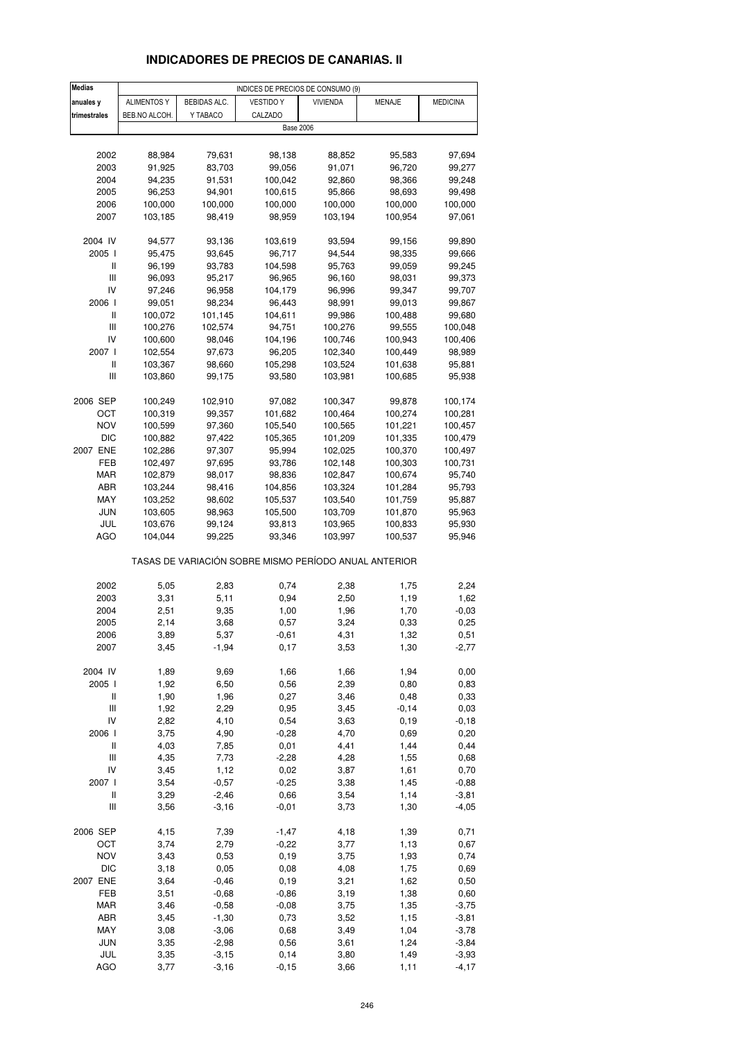# **INDICADORES DE PRECIOS DE CANARIAS. II**

| <b>Medias</b>                      | INDICES DE PRECIOS DE CONSUMO (9) |              |                                                       |                 |              |                   |  |
|------------------------------------|-----------------------------------|--------------|-------------------------------------------------------|-----------------|--------------|-------------------|--|
| anuales y                          | ALIMENTOS Y                       | BEBIDAS ALC. | <b>VESTIDO Y</b>                                      | <b>VIVIENDA</b> | MENAJE       | <b>MEDICINA</b>   |  |
| trimestrales                       | BEB.NO ALCOH.                     | Y TABACO     | CALZADO                                               |                 |              |                   |  |
|                                    |                                   |              | <b>Base 2006</b>                                      |                 |              |                   |  |
|                                    |                                   |              |                                                       |                 |              |                   |  |
| 2002                               | 88,984                            | 79,631       | 98,138                                                | 88,852          | 95,583       | 97,694            |  |
| 2003                               | 91,925                            | 83,703       | 99,056                                                | 91,071          | 96,720       | 99,277            |  |
| 2004                               | 94,235                            | 91,531       | 100,042                                               | 92,860          | 98,366       | 99,248            |  |
| 2005                               | 96,253                            | 94,901       | 100,615                                               | 95,866          | 98,693       |                   |  |
| 2006                               |                                   |              |                                                       |                 | 100,000      | 99,498<br>100,000 |  |
|                                    | 100,000                           | 100,000      | 100,000                                               | 100,000         |              |                   |  |
| 2007                               | 103,185                           | 98,419       | 98,959                                                | 103,194         | 100,954      | 97,061            |  |
| 2004 IV                            | 94,577                            | 93,136       | 103,619                                               | 93,594          | 99,156       | 99,890            |  |
| 2005 l                             | 95,475                            | 93,645       | 96,717                                                | 94,544          | 98,335       | 99,666            |  |
| Ш                                  | 96,199                            | 93,783       | 104,598                                               | 95,763          | 99,059       | 99,245            |  |
| Ш                                  | 96,093                            | 95,217       | 96,965                                                | 96,160          | 98,031       |                   |  |
| IV                                 | 97,246                            | 96,958       | 104,179                                               | 96,996          | 99,347       | 99,373<br>99,707  |  |
| 2006                               |                                   |              |                                                       |                 |              |                   |  |
| Ш                                  | 99,051                            | 98,234       | 96,443                                                | 98,991          | 99,013       | 99,867            |  |
| Ш                                  | 100,072                           | 101,145      | 104,611                                               | 99,986          | 100,488      | 99,680            |  |
|                                    | 100,276                           | 102,574      | 94,751                                                | 100,276         | 99,555       | 100,048           |  |
| IV                                 | 100,600                           | 98,046       | 104,196                                               | 100,746         | 100,943      | 100,406           |  |
| 2007 l                             | 102,554                           | 97,673       | 96,205                                                | 102,340         | 100,449      | 98,989            |  |
| $\sf II$                           | 103,367                           | 98,660       | 105,298                                               | 103,524         | 101,638      | 95,881            |  |
| Ш                                  | 103,860                           | 99,175       | 93,580                                                | 103,981         | 100,685      | 95,938            |  |
|                                    |                                   |              |                                                       |                 |              |                   |  |
| 2006 SEP                           | 100,249                           | 102,910      | 97,082                                                | 100,347         | 99,878       | 100,174           |  |
| OCT                                | 100,319                           | 99,357       | 101,682                                               | 100,464         | 100,274      | 100,281           |  |
| <b>NOV</b>                         | 100,599                           | 97,360       | 105,540                                               | 100,565         | 101,221      | 100,457           |  |
| <b>DIC</b>                         | 100,882                           | 97,422       | 105,365                                               | 101,209         | 101,335      | 100,479           |  |
| 2007 ENE                           | 102,286                           | 97,307       | 95,994                                                | 102,025         | 100,370      | 100,497           |  |
| FEB                                | 102,497                           | 97,695       | 93,786                                                | 102,148         | 100,303      | 100,731           |  |
| MAR                                | 102,879                           | 98,017       | 98,836                                                | 102,847         | 100,674      | 95,740            |  |
| ABR                                | 103,244                           | 98,416       | 104,856                                               | 103,324         | 101,284      | 95,793            |  |
| MAY                                | 103,252                           | 98,602       | 105,537                                               | 103,540         | 101,759      | 95,887            |  |
| JUN                                | 103,605                           | 98,963       | 105,500                                               | 103,709         | 101,870      | 95,963            |  |
| JUL                                | 103,676                           | 99,124       | 93,813                                                | 103,965         | 100,833      | 95,930            |  |
| <b>AGO</b>                         | 104,044                           | 99,225       | 93,346                                                | 103,997         | 100,537      | 95,946            |  |
|                                    |                                   |              | TASAS DE VARIACIÓN SOBRE MISMO PERÍODO ANUAL ANTERIOR |                 |              |                   |  |
|                                    |                                   |              |                                                       |                 |              |                   |  |
| 2002<br>2003                       | 5,05<br>3,31                      | 2,83<br>5,11 | 0,74<br>0,94                                          | 2,38<br>2,50    | 1,75         | 2,24<br>1,62      |  |
| 2004                               |                                   |              |                                                       |                 | 1,19         | $-0,03$           |  |
| 2005                               | 2,51<br>2,14                      | 9,35         | 1,00<br>0,57                                          | 1,96<br>3,24    | 1,70<br>0,33 | 0,25              |  |
|                                    |                                   | 3,68         |                                                       |                 |              |                   |  |
| 2006                               | 3,89                              | 5,37         | $-0,61$                                               | 4,31            | 1,32         | 0,51              |  |
| 2007                               | 3,45                              | $-1,94$      | 0,17                                                  | 3,53            | 1,30         | $-2,77$           |  |
| 2004 IV                            | 1,89                              | 9,69         | 1,66                                                  | 1,66            | 1,94         | 0,00              |  |
| 2005 l                             | 1,92                              | 6,50         | 0,56                                                  | 2,39            | 0,80         | 0,83              |  |
| Ш                                  | 1,90                              | 1,96         | 0,27                                                  | 3,46            | 0,48         | 0,33              |  |
| $\ensuremath{\mathsf{III}}\xspace$ | 1,92                              | 2,29         | 0,95                                                  | 3,45            | $-0,14$      | 0,03              |  |
| IV                                 | 2,82                              | 4,10         | 0,54                                                  | 3,63            | 0, 19        | $-0,18$           |  |
| 2006 l                             | 3,75                              | 4,90         | $-0,28$                                               | 4,70            | 0,69         | 0,20              |  |
| $\sf II$                           | 4,03                              | 7,85         | 0,01                                                  | 4,41            | 1,44         | 0,44              |  |
| $\ensuremath{\mathsf{III}}\xspace$ | 4,35                              | 7,73         | $-2,28$                                               | 4,28            | 1,55         | 0,68              |  |
| IV                                 | 3,45                              | 1,12         | 0,02                                                  | 3,87            | 1,61         | 0,70              |  |
| 2007 l                             | 3,54                              | $-0,57$      | $-0,25$                                               | 3,38            | 1,45         | $-0,88$           |  |
| $\sf II$                           | 3,29                              | $-2,46$      | 0,66                                                  | 3,54            | 1,14         | $-3,81$           |  |
| $\ensuremath{\mathsf{III}}\xspace$ | 3,56                              | $-3,16$      | $-0,01$                                               | 3,73            | 1,30         | $-4,05$           |  |
| 2006 SEP                           | 4,15                              | 7,39         | $-1,47$                                               | 4,18            | 1,39         | 0,71              |  |
| OCT                                | 3,74                              | 2,79         | $-0,22$                                               | 3,77            | 1,13         | 0,67              |  |
| <b>NOV</b>                         | 3,43                              | 0,53         | 0, 19                                                 | 3,75            | 1,93         | 0,74              |  |
| <b>DIC</b>                         | 3,18                              | 0,05         | 0,08                                                  | 4,08            | 1,75         | 0,69              |  |
| 2007 ENE                           | 3,64                              | $-0,46$      | 0, 19                                                 | 3,21            | 1,62         | 0,50              |  |
| FEB                                | 3,51                              | $-0,68$      | $-0,86$                                               | 3,19            | 1,38         | 0,60              |  |
| <b>MAR</b>                         | 3,46                              | $-0,58$      | $-0,08$                                               | 3,75            | 1,35         | $-3,75$           |  |
| ABR                                | 3,45                              | $-1,30$      | 0,73                                                  | 3,52            | 1,15         | $-3,81$           |  |
| MAY                                | 3,08                              | $-3,06$      | 0,68                                                  | 3,49            | 1,04         | $-3,78$           |  |
| <b>JUN</b>                         | 3,35                              | $-2,98$      | 0,56                                                  | 3,61            | 1,24         | $-3,84$           |  |
| JUL                                | 3,35                              | $-3,15$      | 0,14                                                  | 3,80            | 1,49         | $-3,93$           |  |
| <b>AGO</b>                         | 3,77                              | $-3,16$      | $-0, 15$                                              | 3,66            | 1,11         | $-4, 17$          |  |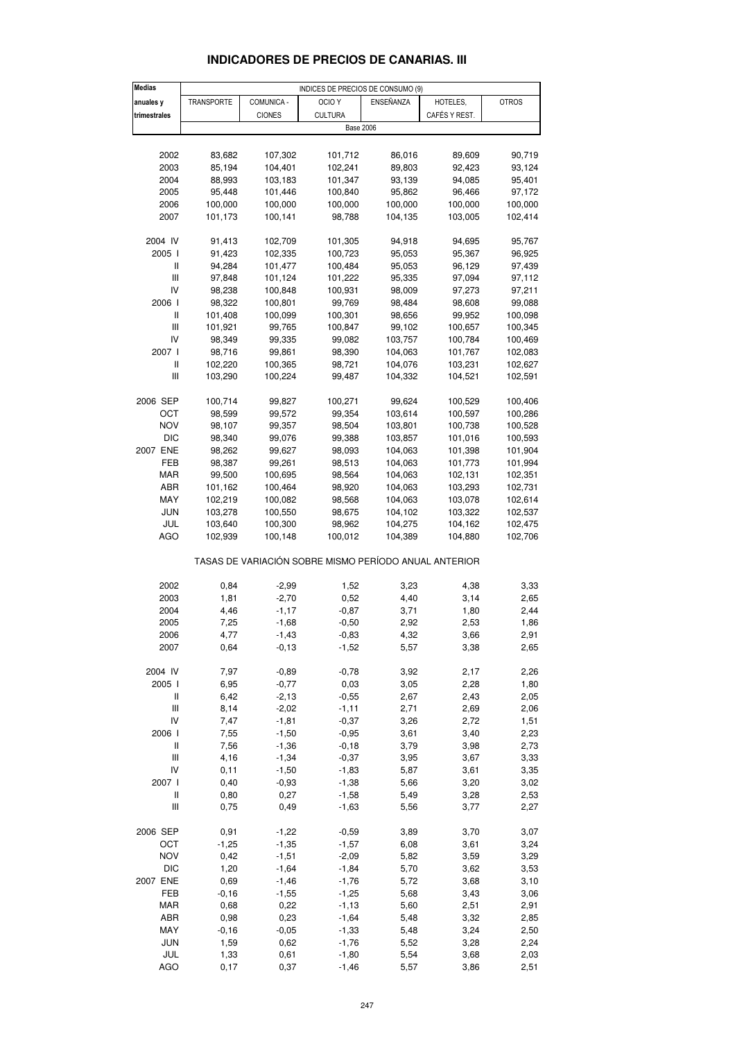| <b>Medias</b>               |            |               | INDICES DE PRECIOS DE CONSUMO (9)                     |           |               |              |
|-----------------------------|------------|---------------|-------------------------------------------------------|-----------|---------------|--------------|
| anuales y                   | TRANSPORTE | COMUNICA -    | OCIO <sub>Y</sub>                                     | ENSEÑANZA | HOTELES,      | <b>OTROS</b> |
| trimestrales                |            | <b>CIONES</b> | <b>CULTURA</b>                                        |           | CAFÉS Y REST. |              |
|                             |            |               | <b>Base 2006</b>                                      |           |               |              |
|                             |            |               |                                                       |           |               |              |
|                             |            |               |                                                       |           |               |              |
| 2002                        | 83,682     | 107,302       | 101,712                                               | 86,016    | 89,609        | 90,719       |
| 2003                        | 85,194     | 104,401       | 102,241                                               | 89,803    | 92,423        | 93,124       |
| 2004                        | 88,993     | 103,183       | 101,347                                               | 93,139    | 94,085        | 95,401       |
| 2005                        | 95,448     | 101,446       | 100,840                                               | 95,862    | 96,466        | 97,172       |
| 2006                        | 100,000    | 100,000       | 100,000                                               | 100,000   | 100,000       | 100,000      |
| 2007                        | 101,173    | 100,141       | 98,788                                                | 104,135   | 103,005       | 102,414      |
|                             |            |               |                                                       |           |               |              |
| 2004 IV                     | 91,413     | 102,709       | 101,305                                               | 94,918    | 94,695        | 95,767       |
|                             |            |               |                                                       |           |               |              |
| 2005                        | 91,423     | 102,335       | 100,723                                               | 95,053    | 95,367        | 96,925       |
| Ш                           | 94,284     | 101,477       | 100,484                                               | 95,053    | 96,129        | 97,439       |
| Ш                           | 97,848     | 101,124       | 101,222                                               | 95,335    | 97,094        | 97,112       |
| IV                          | 98,238     | 100,848       | 100,931                                               | 98,009    | 97,273        | 97,211       |
| 2006                        | 98,322     | 100,801       | 99,769                                                | 98,484    | 98,608        | 99,088       |
| Ш                           | 101,408    | 100,099       | 100,301                                               | 98,656    | 99,952        | 100,098      |
| $\mathop{\rm III}\nolimits$ | 101,921    | 99,765        | 100,847                                               | 99,102    | 100,657       | 100,345      |
| IV                          | 98,349     | 99,335        | 99,082                                                | 103,757   | 100,784       | 100,469      |
| 2007 l                      | 98,716     | 99,861        | 98,390                                                | 104,063   | 101,767       | 102,083      |
| Ш                           | 102,220    | 100,365       | 98,721                                                | 104,076   | 103,231       | 102,627      |
| Ш                           | 103,290    | 100,224       | 99,487                                                | 104,332   | 104,521       | 102,591      |
|                             |            |               |                                                       |           |               |              |
|                             |            |               |                                                       |           |               |              |
| 2006 SEP                    | 100,714    | 99,827        | 100,271                                               | 99,624    | 100,529       | 100,406      |
| OCT                         | 98,599     | 99,572        | 99,354                                                | 103,614   | 100,597       | 100,286      |
| <b>NOV</b>                  | 98,107     | 99,357        | 98,504                                                | 103,801   | 100,738       | 100,528      |
| <b>DIC</b>                  | 98,340     | 99,076        | 99,388                                                | 103,857   | 101,016       | 100,593      |
| 2007 ENE                    | 98,262     | 99,627        | 98,093                                                | 104,063   | 101,398       | 101,904      |
| FEB                         | 98,387     | 99,261        | 98,513                                                | 104,063   | 101,773       | 101,994      |
| MAR                         | 99,500     | 100,695       | 98,564                                                | 104,063   | 102,131       | 102,351      |
| ABR                         | 101,162    | 100,464       | 98,920                                                | 104,063   | 103,293       | 102,731      |
| MAY                         | 102,219    | 100,082       | 98,568                                                | 104,063   | 103,078       | 102,614      |
| <b>JUN</b>                  | 103,278    | 100,550       | 98,675                                                | 104,102   | 103,322       | 102,537      |
| JUL                         |            |               |                                                       |           |               |              |
|                             | 103,640    | 100,300       | 98,962                                                | 104,275   | 104,162       | 102,475      |
| <b>AGO</b>                  | 102,939    | 100,148       | 100,012                                               | 104,389   | 104,880       | 102,706      |
|                             |            |               | TASAS DE VARIACIÓN SOBRE MISMO PERÍODO ANUAL ANTERIOR |           |               |              |
|                             |            |               |                                                       |           |               |              |
| 2002                        | 0,84       | $-2,99$       | 1,52                                                  | 3,23      | 4,38          | 3,33         |
| 2003                        | 1,81       | $-2,70$       | 0,52                                                  | 4,40      | 3,14          | 2,65         |
| 2004                        | 4,46       | $-1,17$       | $-0,87$                                               | 3,71      | 1,80          | 2,44         |
| 2005                        | 7,25       | $-1,68$       | $-0,50$                                               | 2,92      | 2,53          | 1,86         |
| 2006                        | 4,77       | $-1,43$       | $-0,83$                                               | 4,32      | 3,66          | 2,91         |
| 2007                        | 0,64       | $-0, 13$      | $-1,52$                                               | 5,57      | 3,38          | 2,65         |
|                             |            |               |                                                       |           |               |              |
| 2004 IV                     | 7,97       | $-0,89$       | $-0,78$                                               | 3,92      | 2,17          | 2,26         |
| 2005 l                      | 6,95       | $-0,77$       | 0,03                                                  | 3,05      | 2,28          | 1,80         |
| Ш                           | 6,42       | $-2,13$       | $-0,55$                                               | 2,67      | 2,43          | 2,05         |
| Ш                           | 8,14       | $-2,02$       | $-1, 11$                                              | 2,71      | 2,69          | 2,06         |
| IV                          | 7,47       | $-1,81$       | $-0,37$                                               | 3,26      | 2,72          | 1,51         |
|                             |            |               |                                                       |           |               |              |
| 2006 l                      | 7,55       | $-1,50$       | $-0,95$                                               | 3,61      | 3,40          | 2,23         |
| Ш                           | 7,56       | $-1,36$       | $-0,18$                                               | 3,79      | 3,98          | 2,73         |
| Ш                           | 4,16       | $-1,34$       | $-0,37$                                               | 3,95      | 3,67          | 3,33         |
| IV                          | 0,11       | $-1,50$       | $-1,83$                                               | 5,87      | 3,61          | 3,35         |
| 2007 l                      | 0,40       | $-0,93$       | $-1,38$                                               | 5,66      | 3,20          | 3,02         |
| Ш                           | 0,80       | 0,27          | $-1,58$                                               | 5,49      | 3,28          | 2,53         |
| Ш                           | 0,75       | 0,49          | $-1,63$                                               | 5,56      | 3,77          | 2,27         |
|                             |            |               |                                                       |           |               |              |
| 2006 SEP                    | 0,91       | $-1,22$       | $-0,59$                                               | 3,89      | 3,70          | 3,07         |
| OCT                         | $-1,25$    | $-1,35$       | $-1,57$                                               | 6,08      | 3,61          | 3,24         |
|                             |            |               |                                                       |           |               |              |
| <b>NOV</b>                  | 0,42       | $-1,51$       | $-2,09$                                               | 5,82      | 3,59          | 3,29         |
| DIC                         | 1,20       | $-1,64$       | $-1,84$                                               | 5,70      | 3,62          | 3,53         |
| 2007 ENE                    | 0,69       | $-1,46$       | $-1,76$                                               | 5,72      | 3,68          | 3,10         |
| FEB                         | $-0,16$    | $-1,55$       | $-1,25$                                               | 5,68      | 3,43          | 3,06         |
| MAR                         | 0,68       | 0,22          | $-1,13$                                               | 5,60      | 2,51          | 2,91         |
| ABR                         | 0,98       | 0,23          | $-1,64$                                               | 5,48      | 3,32          | 2,85         |
| MAY                         | $-0,16$    | $-0,05$       | $-1,33$                                               | 5,48      | 3,24          | 2,50         |
| <b>JUN</b>                  | 1,59       | 0,62          | $-1,76$                                               | 5,52      | 3,28          | 2,24         |
| JUL                         | 1,33       | 0,61          | $-1,80$                                               | 5,54      | 3,68          | 2,03         |

### **INDICADORES DE PRECIOS DE CANARIAS. III**

AGO 0,17 0,37 -1,46 5,57 3,86 2,51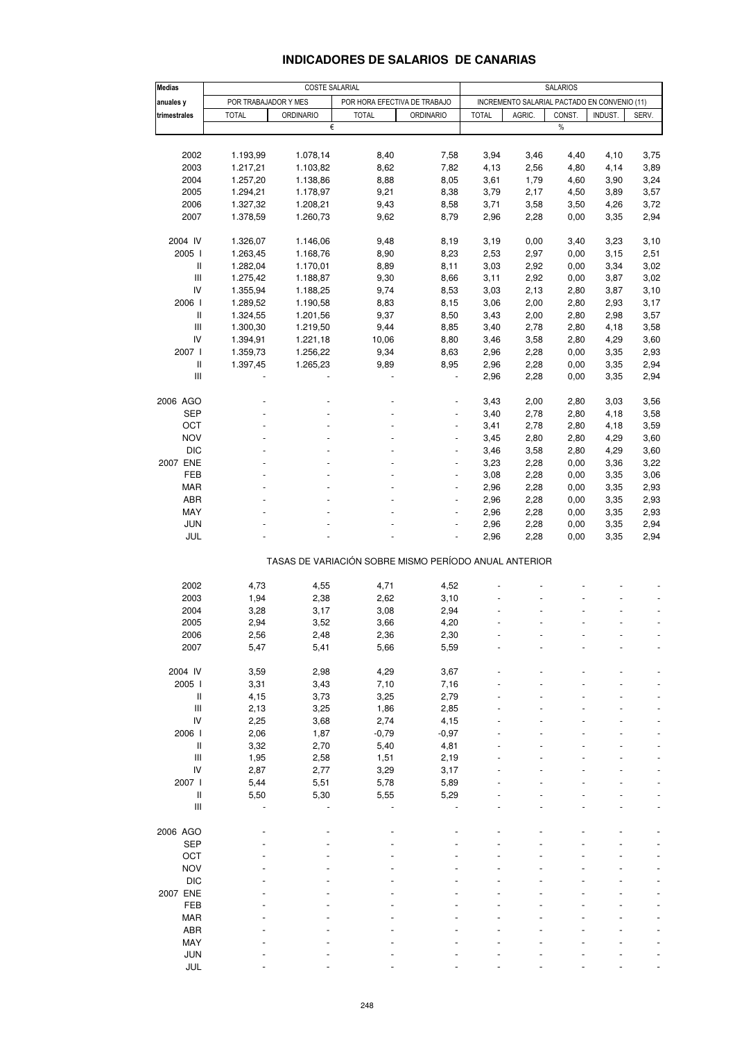| <b>Medias</b>                            | COSTE SALARIAL       |                      |                                                       |                 | <b>SALARIOS</b> |                                              |              |              |              |
|------------------------------------------|----------------------|----------------------|-------------------------------------------------------|-----------------|-----------------|----------------------------------------------|--------------|--------------|--------------|
| anuales y                                | POR TRABAJADOR Y MES |                      | POR HORA EFECTIVA DE TRABAJO                          |                 |                 | INCREMENTO SALARIAL PACTADO EN CONVENIO (11) |              |              |              |
| trimestrales                             | <b>TOTAL</b>         | <b>ORDINARIO</b>     | <b>TOTAL</b>                                          | ORDINARIO       | <b>TOTAL</b>    | AGRIC.                                       | CONST.       | INDUST.      | SERV.        |
|                                          |                      | €                    |                                                       |                 |                 |                                              | $\%$         |              |              |
|                                          |                      |                      |                                                       |                 |                 |                                              |              |              |              |
| 2002                                     | 1.193,99             | 1.078,14             | 8,40                                                  | 7,58            | 3,94            | 3,46                                         | 4,40         | 4,10         | 3,75         |
| 2003                                     | 1.217,21             | 1.103,82             | 8,62                                                  | 7,82            | 4,13            | 2,56                                         | 4,80         | 4,14         | 3,89         |
| 2004                                     | 1.257,20             | 1.138,86             | 8,88                                                  | 8,05            | 3,61            | 1,79                                         | 4,60         | 3,90         | 3,24         |
| 2005                                     | 1.294,21             | 1.178,97             | 9,21                                                  | 8,38            | 3,79            | 2,17                                         | 4,50         | 3,89         | 3,57         |
| 2006                                     | 1.327,32             | 1.208,21             | 9,43                                                  | 8,58            | 3,71            | 3,58                                         | 3,50         | 4,26         | 3,72         |
| 2007                                     | 1.378,59             | 1.260,73             | 9,62                                                  | 8,79            | 2,96            | 2,28                                         | 0,00         | 3,35         | 2,94         |
|                                          |                      |                      |                                                       |                 |                 |                                              |              |              |              |
| 2004 IV<br>2005 l                        | 1.326,07             | 1.146,06<br>1.168,76 | 9,48                                                  | 8,19            | 3,19            | 0,00                                         | 3,40         | 3,23         | 3,10         |
| Ш                                        | 1.263,45<br>1.282,04 | 1.170,01             | 8,90<br>8,89                                          | 8,23<br>8,11    | 2,53<br>3,03    | 2,97<br>2,92                                 | 0,00<br>0,00 | 3,15<br>3,34 | 2,51<br>3,02 |
| $\ensuremath{\mathsf{III}}\xspace$       | 1.275,42             | 1.188,87             | 9,30                                                  | 8,66            | 3,11            | 2,92                                         | 0,00         | 3,87         | 3,02         |
| IV                                       | 1.355,94             | 1.188,25             | 9,74                                                  | 8,53            | 3,03            | 2,13                                         | 2,80         | 3,87         | 3,10         |
| 2006                                     | 1.289,52             | 1.190,58             | 8,83                                                  | 8,15            | 3,06            | 2,00                                         | 2,80         | 2,93         | 3,17         |
| $\ensuremath{\mathsf{II}}$               | 1.324,55             | 1.201,56             | 9,37                                                  | 8,50            | 3,43            | 2,00                                         | 2,80         | 2,98         | 3,57         |
| $\ensuremath{\mathsf{III}}\xspace$       | 1.300,30             | 1.219,50             | 9,44                                                  | 8,85            | 3,40            | 2,78                                         | 2,80         | 4,18         | 3,58         |
| IV                                       | 1.394,91             | 1.221,18             | 10,06                                                 | 8,80            | 3,46            | 3,58                                         | 2,80         | 4,29         | 3,60         |
| 2007                                     | 1.359,73             | 1.256,22             | 9,34                                                  | 8,63            | 2,96            | 2,28                                         | 0,00         | 3,35         | 2,93         |
| Ш                                        | 1.397,45             | 1.265,23             | 9,89                                                  | 8,95            | 2,96            | 2,28                                         | 0,00         | 3,35         | 2,94         |
| Ш                                        |                      |                      |                                                       |                 | 2,96            | 2,28                                         | 0,00         | 3,35         | 2,94         |
|                                          |                      |                      |                                                       |                 |                 |                                              |              |              |              |
| 2006 AGO                                 |                      |                      |                                                       |                 | 3,43            | 2,00                                         | 2,80         | 3,03         | 3,56         |
| SEP                                      |                      |                      |                                                       | -               | 3,40            | 2,78                                         | 2,80         | 4,18         | 3,58         |
| OCT                                      |                      |                      |                                                       |                 | 3,41            | 2,78                                         | 2,80         | 4,18         | 3,59         |
| <b>NOV</b>                               |                      |                      |                                                       | $\overline{a}$  | 3,45            | 2,80                                         | 2,80         | 4,29         | 3,60         |
| <b>DIC</b>                               |                      |                      |                                                       | $\frac{1}{2}$   | 3,46            | 3,58                                         | 2,80         | 4,29         | 3,60         |
| 2007 ENE                                 |                      |                      |                                                       |                 | 3,23            | 2,28                                         | 0,00         | 3,36         | 3,22         |
| FEB                                      |                      |                      |                                                       | $\overline{a}$  | 3,08            | 2,28                                         | 0,00         | 3,35         | 3,06         |
| MAR                                      |                      |                      |                                                       | $\overline{a}$  | 2,96            | 2,28                                         | 0,00         | 3,35         | 2,93         |
| ABR                                      |                      |                      |                                                       |                 | 2,96            | 2,28                                         | 0,00         | 3,35         | 2,93         |
| MAY                                      |                      |                      |                                                       | ٠               | 2,96            | 2,28                                         | 0,00         | 3,35         | 2,93         |
| <b>JUN</b>                               |                      |                      |                                                       |                 | 2,96            | 2,28                                         | 0,00         | 3,35         | 2,94         |
| JUL                                      |                      |                      |                                                       |                 | 2,96            | 2,28                                         | 0,00         | 3,35         | 2,94         |
|                                          |                      |                      | TASAS DE VARIACIÓN SOBRE MISMO PERÍODO ANUAL ANTERIOR |                 |                 |                                              |              |              |              |
|                                          |                      |                      |                                                       |                 |                 |                                              |              |              |              |
| 2002                                     | 4,73                 | 4,55                 | 4,71                                                  | 4,52            |                 |                                              |              |              |              |
| 2003                                     | 1,94                 | 2,38                 | 2,62                                                  | 3,10            |                 |                                              |              |              |              |
| 2004                                     | 3,28                 | 3,17                 | 3,08                                                  | 2,94            |                 |                                              |              |              |              |
| 2005                                     | 2,94                 | 3,52                 | 3,66                                                  | 4,20            |                 |                                              |              |              |              |
| 2006                                     | 2,56                 | 2,48                 | 2,36                                                  | 2,30            |                 |                                              |              |              |              |
| 2007                                     | 5,47                 | 5,41                 | 5,66                                                  | 5,59            |                 |                                              |              |              |              |
|                                          |                      |                      |                                                       |                 |                 |                                              |              |              |              |
| 2004 IV                                  | 3,59                 | 2,98                 | 4,29                                                  | 3,67            |                 |                                              |              |              |              |
| 2005 l                                   | 3,31                 | 3,43                 | 7,10                                                  | 7,16            |                 |                                              |              |              |              |
| $\ensuremath{\mathsf{II}}$               | 4,15                 | 3,73                 | 3,25                                                  | 2,79            |                 |                                              |              |              |              |
| $\ensuremath{\mathsf{III}}\xspace$<br>IV | 2,13                 | 3,25                 | 1,86                                                  | 2,85            |                 |                                              |              |              |              |
| 2006                                     | 2,25<br>2,06         | 3,68<br>1,87         | 2,74<br>$-0,79$                                       | 4,15<br>$-0,97$ |                 |                                              |              |              |              |
| $\ensuremath{\mathsf{II}}$               | 3,32                 | 2,70                 | 5,40                                                  | 4,81            |                 |                                              |              |              |              |
| $\mathsf{III}$                           | 1,95                 | 2,58                 | 1,51                                                  | 2,19            |                 |                                              |              |              |              |
| IV                                       | 2,87                 | 2,77                 | 3,29                                                  | 3,17            |                 |                                              |              |              |              |
| 2007 l                                   | 5,44                 | 5,51                 | 5,78                                                  | 5,89            |                 |                                              |              |              |              |
| Ш                                        | 5,50                 | 5,30                 | 5,55                                                  | 5,29            |                 |                                              |              |              |              |
| Ш                                        |                      |                      |                                                       |                 |                 |                                              |              |              |              |
|                                          |                      |                      |                                                       |                 |                 |                                              |              |              |              |
| 2006 AGO                                 |                      |                      |                                                       |                 |                 |                                              |              |              |              |
| <b>SEP</b>                               |                      |                      |                                                       |                 |                 |                                              |              |              |              |
| OCT                                      |                      |                      |                                                       |                 |                 |                                              |              |              |              |
| <b>NOV</b>                               |                      |                      |                                                       |                 |                 |                                              |              |              |              |
| <b>DIC</b>                               |                      |                      |                                                       |                 |                 |                                              |              |              |              |
| 2007 ENE                                 |                      |                      |                                                       |                 |                 |                                              |              |              |              |
| FEB                                      |                      |                      |                                                       |                 |                 |                                              |              |              |              |
| <b>MAR</b>                               |                      |                      |                                                       |                 |                 |                                              |              |              |              |
| ABR                                      |                      |                      |                                                       |                 |                 |                                              |              |              |              |
| MAY                                      |                      |                      |                                                       |                 |                 |                                              |              |              |              |
| JUN                                      |                      |                      |                                                       |                 |                 |                                              |              |              |              |
| JUL                                      |                      |                      |                                                       |                 |                 |                                              |              |              |              |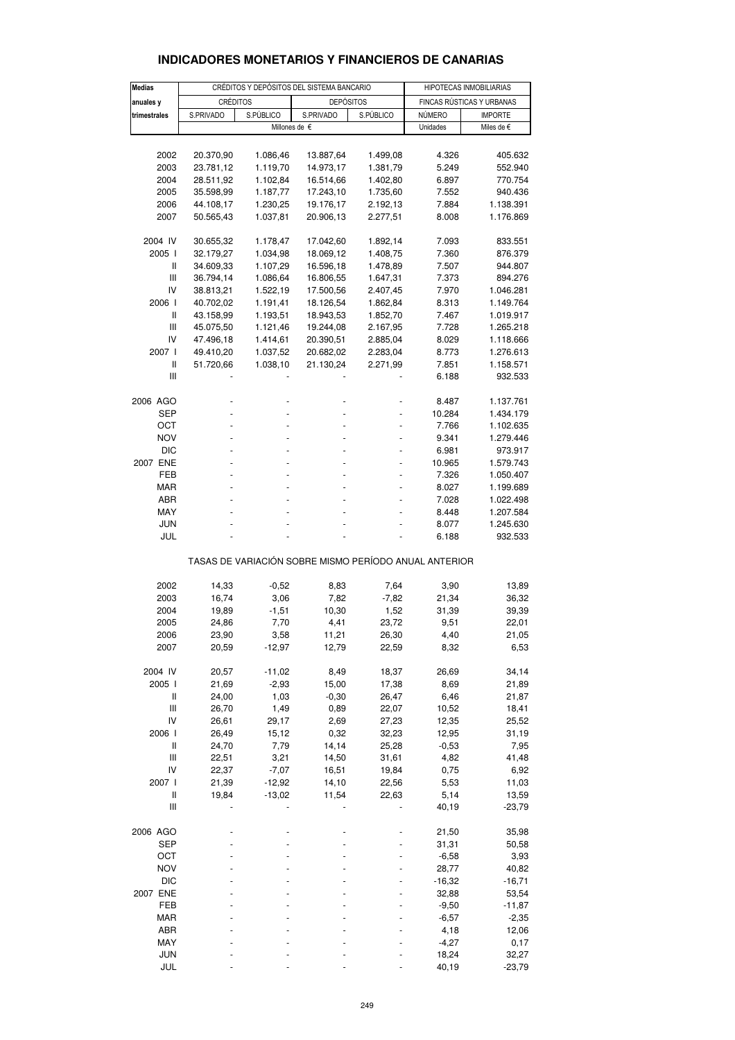| <b>Medias</b>  | CRÉDITOS Y DEPÓSITOS DEL SISTEMA BANCARIO |           |                                                       |           | HIPOTECAS INMOBILIARIAS   |                     |  |
|----------------|-------------------------------------------|-----------|-------------------------------------------------------|-----------|---------------------------|---------------------|--|
|                |                                           |           |                                                       |           | FINCAS RÚSTICAS Y URBANAS |                     |  |
| anuales y      | <b>CRÉDITOS</b>                           |           | <b>DEPÓSITOS</b>                                      |           |                           |                     |  |
| trimestrales   | S.PRIVADO                                 | S.PÚBLICO | S.PRIVADO                                             | S.PÚBLICO | NÚMERO                    | <b>IMPORTE</b>      |  |
|                |                                           |           | Millones de €                                         |           | Unidades                  | Miles de $\epsilon$ |  |
|                |                                           |           |                                                       |           |                           |                     |  |
| 2002           | 20.370,90                                 | 1.086,46  | 13.887,64                                             | 1.499,08  | 4.326                     | 405.632             |  |
| 2003           | 23.781,12                                 | 1.119,70  | 14.973,17                                             | 1.381,79  | 5.249                     | 552.940             |  |
| 2004           | 28.511,92                                 | 1.102,84  | 16.514,66                                             | 1.402,80  | 6.897                     | 770.754             |  |
| 2005           | 35.598,99                                 | 1.187,77  | 17.243,10                                             | 1.735,60  | 7.552                     | 940.436             |  |
| 2006           | 44.108,17                                 | 1.230,25  | 19.176,17                                             | 2.192,13  | 7.884                     | 1.138.391           |  |
| 2007           | 50.565,43                                 | 1.037,81  | 20.906,13                                             | 2.277,51  | 8.008                     | 1.176.869           |  |
| 2004 IV        | 30.655,32                                 | 1.178,47  | 17.042,60                                             | 1.892,14  | 7.093                     | 833.551             |  |
| 2005 l         | 32.179,27                                 | 1.034,98  | 18.069,12                                             | 1.408,75  | 7.360                     | 876.379             |  |
| Ш              | 34.609,33                                 | 1.107,29  | 16.596,18                                             | 1.478,89  | 7.507                     | 944.807             |  |
| Ш              | 36.794,14                                 | 1.086,64  | 16.806,55                                             | 1.647,31  | 7.373                     | 894.276             |  |
| IV             | 38.813,21                                 | 1.522,19  | 17.500,56                                             | 2.407,45  | 7.970                     | 1.046.281           |  |
| 2006 l         | 40.702,02                                 | 1.191,41  | 18.126,54                                             | 1.862,84  | 8.313                     | 1.149.764           |  |
| $\mathbf{I}$   | 43.158,99                                 | 1.193,51  | 18.943,53                                             | 1.852,70  | 7.467                     | 1.019.917           |  |
| Ш              | 45.075,50                                 | 1.121,46  | 19.244,08                                             | 2.167,95  | 7.728                     | 1.265.218           |  |
| IV             | 47.496,18                                 | 1.414,61  | 20.390,51                                             | 2.885,04  | 8.029                     | 1.118.666           |  |
| 2007 l         | 49.410,20                                 | 1.037,52  | 20.682,02                                             | 2.283,04  | 8.773                     | 1.276.613           |  |
| Ш              | 51.720,66                                 | 1.038,10  | 21.130,24                                             | 2.271,99  | 7.851                     | 1.158.571           |  |
| Ш              |                                           |           |                                                       |           | 6.188                     | 932.533             |  |
| 2006 AGO       |                                           |           |                                                       |           | 8.487                     | 1.137.761           |  |
| SEP            |                                           |           |                                                       |           | 10.284                    | 1.434.179           |  |
| OCT            |                                           |           |                                                       |           | 7.766                     | 1.102.635           |  |
| <b>NOV</b>     |                                           |           |                                                       |           | 9.341                     | 1.279.446           |  |
| DIC            |                                           |           |                                                       |           | 6.981                     | 973.917             |  |
| 2007 ENE       |                                           |           |                                                       |           | 10.965                    | 1.579.743           |  |
| FEB            |                                           |           |                                                       |           | 7.326                     | 1.050.407           |  |
| <b>MAR</b>     |                                           |           |                                                       |           | 8.027                     | 1.199.689           |  |
| ABR            |                                           |           |                                                       |           | 7.028                     | 1.022.498           |  |
| MAY            |                                           |           |                                                       |           | 8.448                     | 1.207.584           |  |
| <b>JUN</b>     |                                           |           |                                                       |           | 8.077                     | 1.245.630           |  |
| JUL            |                                           |           |                                                       |           | 6.188                     | 932.533             |  |
|                |                                           |           | TASAS DE VARIACIÓN SOBRE MISMO PERÍODO ANUAL ANTERIOR |           |                           |                     |  |
|                |                                           |           |                                                       |           |                           |                     |  |
| 2002           | 14,33                                     | $-0.52$   | 8,83                                                  | 7,64      | 3,90                      | 13,89               |  |
| 2003           | 16,74                                     | 3,06      | 7,82                                                  | $-7,82$   | 21,34                     | 36,32               |  |
| 2004           | 19,89                                     | $-1,51$   | 10,30                                                 | 1,52      | 31,39                     | 39,39               |  |
| 2005           | 24,86                                     | 7,70      | 4,41                                                  | 23,72     | 9,51                      | 22,01               |  |
| 2006           | 23,90                                     | 3,58      | 11,21                                                 | 26,30     | 4,40                      | 21,05               |  |
| 2007           | 20,59                                     | $-12,97$  | 12,79                                                 | 22,59     | 8,32                      | 6,53                |  |
| 2004 IV        | 20,57                                     | $-11,02$  | 8,49                                                  | 18,37     | 26,69                     | 34,14               |  |
| 2005 l         | 21,69                                     | $-2,93$   | 15,00                                                 | 17,38     | 8,69                      | 21,89               |  |
| Ш              | 24,00                                     | 1,03      | $-0,30$                                               | 26,47     | 6,46                      | 21,87               |  |
| $\mathsf{III}$ | 26,70                                     | 1,49      | 0,89                                                  | 22,07     | 10,52                     | 18,41               |  |
| IV             | 26,61                                     | 29,17     | 2,69                                                  | 27,23     | 12,35                     | 25,52               |  |
| 2006 l         | 26,49                                     | 15,12     | 0,32                                                  | 32,23     | 12,95                     | 31,19               |  |
| $\sf II$       | 24,70                                     | 7,79      | 14,14                                                 | 25,28     | $-0,53$                   | 7,95                |  |
| $\mathsf{III}$ | 22,51                                     | 3,21      | 14,50                                                 | 31,61     | 4,82                      | 41,48               |  |
| IV             | 22,37                                     | $-7,07$   | 16,51                                                 | 19,84     | 0,75                      | 6,92                |  |
| 2007 l         | 21,39                                     | $-12,92$  | 14,10                                                 | 22,56     | 5,53                      | 11,03               |  |
| Ш              | 19,84                                     | $-13,02$  | 11,54                                                 | 22,63     | 5,14                      | 13,59               |  |
| $\mathsf{III}$ |                                           |           |                                                       |           | 40,19                     | $-23,79$            |  |
| 2006 AGO       |                                           |           |                                                       |           | 21,50                     | 35,98               |  |
| <b>SEP</b>     |                                           |           |                                                       |           | 31,31                     | 50,58               |  |
| OCT            |                                           |           |                                                       |           | $-6,58$                   | 3,93                |  |
| <b>NOV</b>     |                                           |           |                                                       |           | 28,77                     | 40,82               |  |
| DIC            |                                           |           |                                                       |           | $-16,32$                  | -16,71              |  |
| 2007 ENE       |                                           |           |                                                       |           | 32,88                     | 53,54               |  |
| FEB            |                                           |           |                                                       |           | $-9,50$                   | $-11,87$            |  |
| MAR            |                                           |           |                                                       |           | $-6,57$                   | $-2,35$             |  |
| ABR            |                                           |           |                                                       |           | 4,18                      | 12,06               |  |
| MAY            |                                           |           |                                                       |           | $-4,27$                   | 0,17                |  |
| JUN            |                                           |           |                                                       |           | 18,24                     | 32,27               |  |
| JUL            |                                           |           |                                                       |           | 40,19                     | $-23,79$            |  |

## **INDICADORES MONETARIOS Y FINANCIEROS DE CANARIAS**